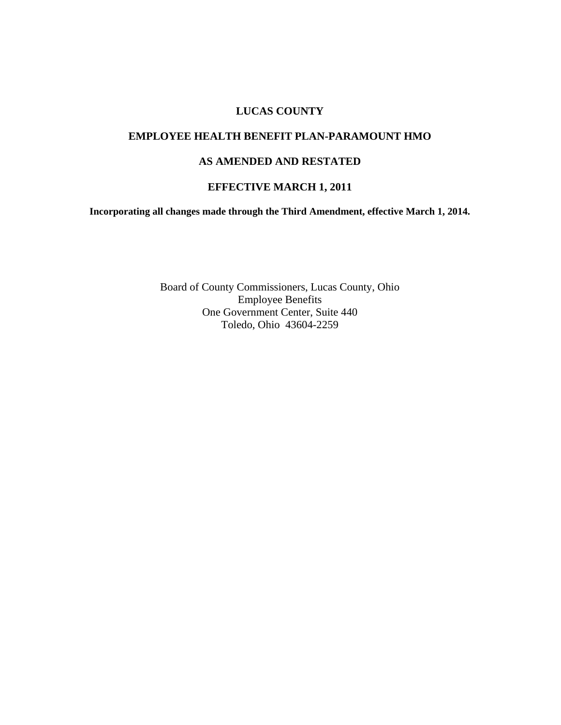#### **LUCAS COUNTY**

#### **EMPLOYEE HEALTH BENEFIT PLAN-PARAMOUNT HMO**

#### **AS AMENDED AND RESTATED**

#### **EFFECTIVE MARCH 1, 2011**

**Incorporating all changes made through the Third Amendment, effective March 1, 2014.**

Board of County Commissioners, Lucas County, Ohio Employee Benefits One Government Center, Suite 440 Toledo, Ohio 43604-2259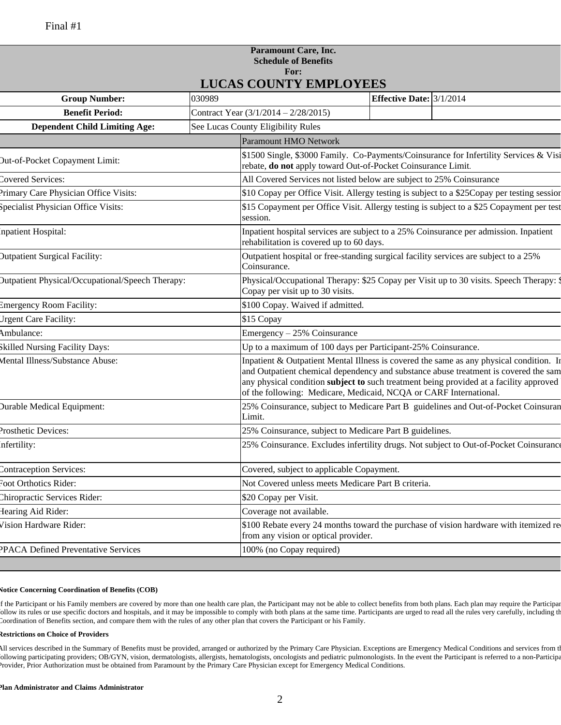#### **Paramount Care, Inc. Schedule of Benefits For: LUCAS COUNTY EMPLOYEES**

|                                                         |        | LUCAS COUNTT EMPLOTEES                                                                                                                                                                                                                                                                                                                        |                                   |                                                                                         |
|---------------------------------------------------------|--------|-----------------------------------------------------------------------------------------------------------------------------------------------------------------------------------------------------------------------------------------------------------------------------------------------------------------------------------------------|-----------------------------------|-----------------------------------------------------------------------------------------|
| <b>Group Number:</b>                                    | 030989 |                                                                                                                                                                                                                                                                                                                                               | <b>Effective Date:</b> $3/1/2014$ |                                                                                         |
| <b>Benefit Period:</b>                                  |        | Contract Year $(3/1/2014 - 2/28/2015)$                                                                                                                                                                                                                                                                                                        |                                   |                                                                                         |
| <b>Dependent Child Limiting Age:</b>                    |        | See Lucas County Eligibility Rules                                                                                                                                                                                                                                                                                                            |                                   |                                                                                         |
|                                                         |        | <b>Paramount HMO Network</b>                                                                                                                                                                                                                                                                                                                  |                                   |                                                                                         |
| Out-of-Pocket Copayment Limit:                          |        | \$1500 Single, \$3000 Family. Co-Payments/Coinsurance for Infertility Services & Visi<br>rebate, do not apply toward Out-of-Pocket Coinsurance Limit.                                                                                                                                                                                         |                                   |                                                                                         |
| Covered Services:                                       |        | All Covered Services not listed below are subject to 25% Coinsurance                                                                                                                                                                                                                                                                          |                                   |                                                                                         |
| Primary Care Physician Office Visits:                   |        | \$10 Copay per Office Visit. Allergy testing is subject to a \$25 Copay per testing session                                                                                                                                                                                                                                                   |                                   |                                                                                         |
| Specialist Physician Office Visits:                     |        | \$15 Copayment per Office Visit. Allergy testing is subject to a \$25 Copayment per test<br>session.                                                                                                                                                                                                                                          |                                   |                                                                                         |
| Inpatient Hospital:                                     |        | Inpatient hospital services are subject to a 25% Coinsurance per admission. Inpatient<br>rehabilitation is covered up to 60 days.                                                                                                                                                                                                             |                                   |                                                                                         |
| <b>Dutpatient Surgical Facility:</b>                    |        | Outpatient hospital or free-standing surgical facility services are subject to a 25%<br>Coinsurance.                                                                                                                                                                                                                                          |                                   |                                                                                         |
| <b>Dutpatient Physical/Occupational/Speech Therapy:</b> |        | Copay per visit up to 30 visits.                                                                                                                                                                                                                                                                                                              |                                   | Physical/Occupational Therapy: \$25 Copay per Visit up to 30 visits. Speech Therapy: \$ |
| <b>Emergency Room Facility:</b>                         |        | \$100 Copay. Waived if admitted.                                                                                                                                                                                                                                                                                                              |                                   |                                                                                         |
| Urgent Care Facility:                                   |        | \$15 Copay                                                                                                                                                                                                                                                                                                                                    |                                   |                                                                                         |
| Ambulance:                                              |        | Emergency - 25% Coinsurance                                                                                                                                                                                                                                                                                                                   |                                   |                                                                                         |
| Skilled Nursing Facility Days:                          |        | Up to a maximum of 100 days per Participant-25% Coinsurance.                                                                                                                                                                                                                                                                                  |                                   |                                                                                         |
| Mental Illness/Substance Abuse:                         |        | Inpatient & Outpatient Mental Illness is covered the same as any physical condition. In<br>and Outpatient chemical dependency and substance abuse treatment is covered the sam<br>any physical condition subject to such treatment being provided at a facility approved<br>of the following: Medicare, Medicaid, NCQA or CARF International. |                                   |                                                                                         |
| <b>Durable Medical Equipment:</b>                       |        | 25% Coinsurance, subject to Medicare Part B guidelines and Out-of-Pocket Coinsuran<br>Limit.                                                                                                                                                                                                                                                  |                                   |                                                                                         |
| Prosthetic Devices:                                     |        | 25% Coinsurance, subject to Medicare Part B guidelines.                                                                                                                                                                                                                                                                                       |                                   |                                                                                         |
| Infertility:                                            |        |                                                                                                                                                                                                                                                                                                                                               |                                   | 25% Coinsurance. Excludes infertility drugs. Not subject to Out-of-Pocket Coinsurance   |
| Contraception Services:                                 |        | Covered, subject to applicable Copayment.                                                                                                                                                                                                                                                                                                     |                                   |                                                                                         |
| Foot Orthotics Rider:                                   |        | Not Covered unless meets Medicare Part B criteria.                                                                                                                                                                                                                                                                                            |                                   |                                                                                         |
| Chiropractic Services Rider:                            |        | \$20 Copay per Visit.                                                                                                                                                                                                                                                                                                                         |                                   |                                                                                         |
| Hearing Aid Rider:                                      |        | Coverage not available.                                                                                                                                                                                                                                                                                                                       |                                   |                                                                                         |
| Vision Hardware Rider:                                  |        | \$100 Rebate every 24 months toward the purchase of vision hardware with itemized re<br>from any vision or optical provider.                                                                                                                                                                                                                  |                                   |                                                                                         |
| PPACA Defined Preventative Services                     |        | 100% (no Copay required)                                                                                                                                                                                                                                                                                                                      |                                   |                                                                                         |

#### **Notice Concerning Coordination of Benefits (COB)**

f the Participant or his Family members are covered by more than one health care plan, the Participant may not be able to collect benefits from both plans. Each plan may require the Participan follow its rules or use specific doctors and hospitals, and it may be impossible to comply with both plans at the same time. Participants are urged to read all the rules very carefully, including the Coordination of Benefits section, and compare them with the rules of any other plan that covers the Participant or his Family.

#### **Restrictions on Choice of Providers**

All services described in the Summary of Benefits must be provided, arranged or authorized by the Primary Care Physician. Exceptions are Emergency Medical Conditions and services from t ollowing participating providers; OB/GYN, vision, dermatologists, allergists, hematologists, oncologists and pediatric pulmonologists. In the event the Participant is referred to a non-Participa Provider, Prior Authorization must be obtained from Paramount by the Primary Care Physician except for Emergency Medical Conditions.

#### **Plan Administrator and Claims Administrator**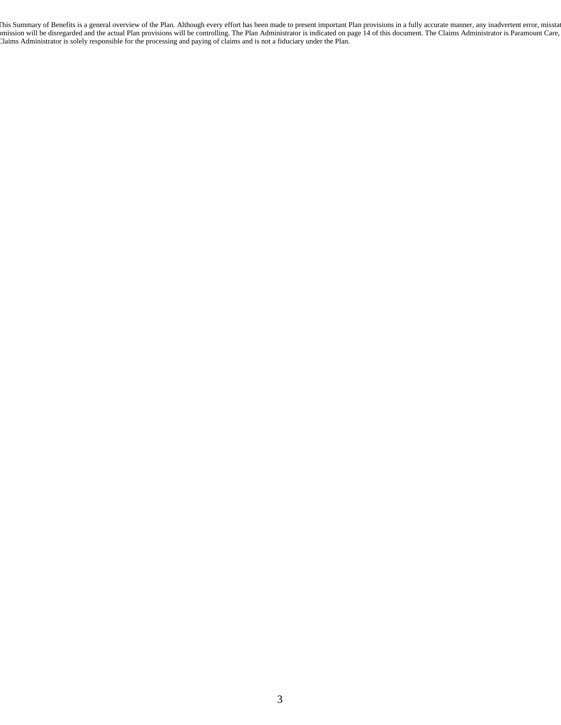This Summary of Benefits is a general overview of the Plan. Although every effort has been made to present important Plan provisions in a fully accurate manner, any inadvertent error, misstat omission will be disregarded and the actual Plan provisions will be controlling. The Plan Administrator is indicated on page 14 of this document. The Claims Administrator is Paramount Care, Claims Administrator is solely responsible for the processing and paying of claims and is not a fiduciary under the Plan.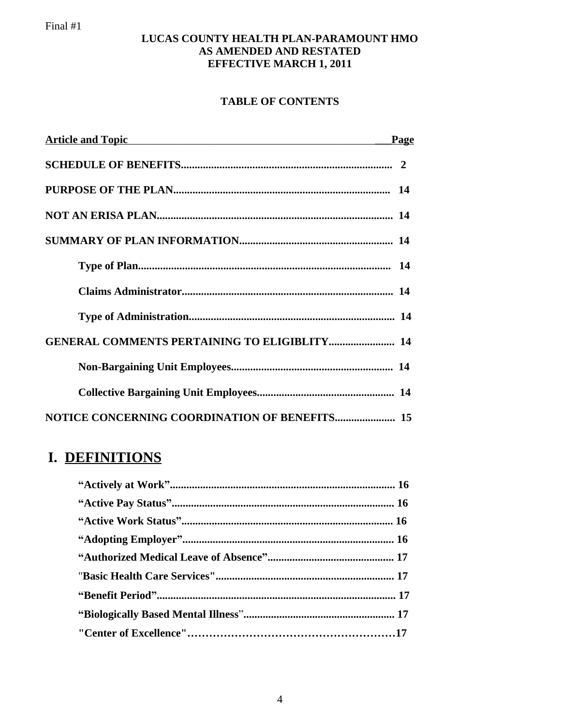#### **LUCAS COUNTY HEALTH PLAN-PARAMOUNT HMO AS AMENDED AND RESTATED EFFECTIVE MARCH 1, 2011**

### **TABLE OF CONTENTS**

| Article and Topic <b>Executive Service Service Service Service Service Service Service Service Service Service Service Service Service Service Service Service Service Service Service Service Service Service Service Service S</b> | Page |
|--------------------------------------------------------------------------------------------------------------------------------------------------------------------------------------------------------------------------------------|------|
|                                                                                                                                                                                                                                      |      |
|                                                                                                                                                                                                                                      |      |
|                                                                                                                                                                                                                                      |      |
|                                                                                                                                                                                                                                      |      |
|                                                                                                                                                                                                                                      |      |
|                                                                                                                                                                                                                                      |      |
|                                                                                                                                                                                                                                      |      |
| <b>GENERAL COMMENTS PERTAINING TO ELIGIBLITY 14</b>                                                                                                                                                                                  |      |
|                                                                                                                                                                                                                                      |      |
|                                                                                                                                                                                                                                      |      |
|                                                                                                                                                                                                                                      |      |

## **I. DEFINITIONS**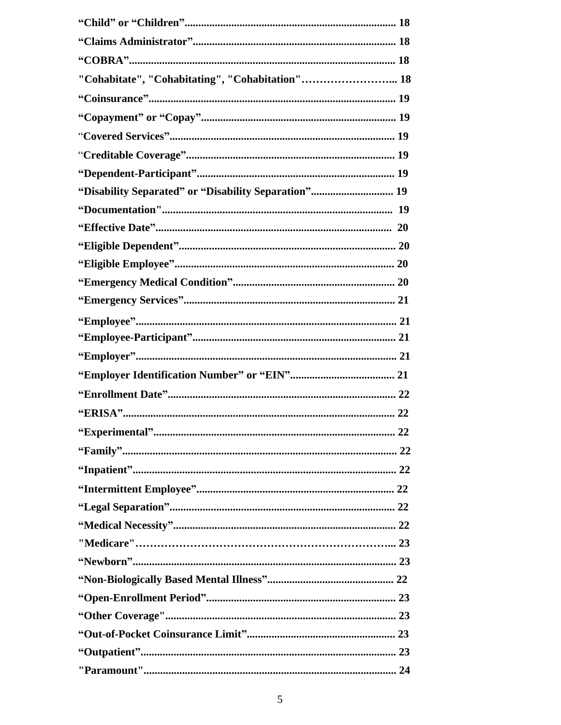| "Cohabitate", "Cohabitating", "Cohabitation" 18      |
|------------------------------------------------------|
|                                                      |
|                                                      |
|                                                      |
|                                                      |
|                                                      |
| "Disability Separated" or "Disability Separation" 19 |
|                                                      |
|                                                      |
|                                                      |
|                                                      |
|                                                      |
|                                                      |
|                                                      |
|                                                      |
|                                                      |
|                                                      |
|                                                      |
|                                                      |
|                                                      |
|                                                      |
|                                                      |
|                                                      |
|                                                      |
|                                                      |
|                                                      |
|                                                      |
|                                                      |
|                                                      |
|                                                      |
|                                                      |
|                                                      |
|                                                      |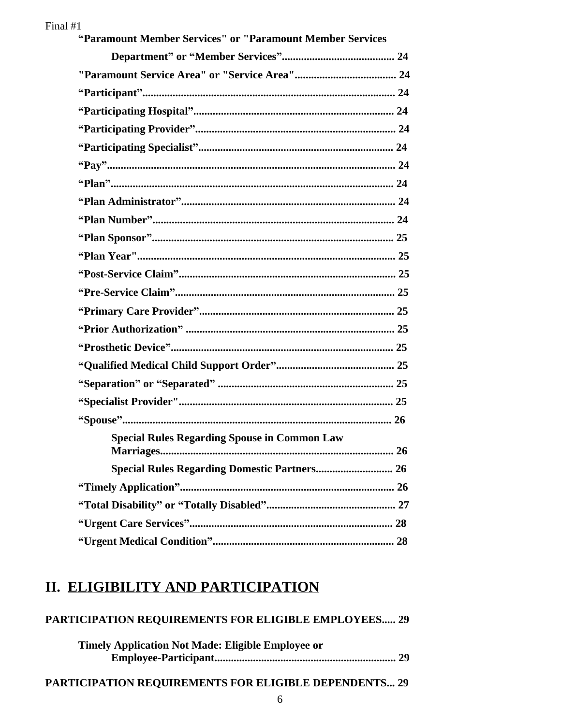| "Paramount Member Services" or "Paramount Member Services |
|-----------------------------------------------------------|
|                                                           |
|                                                           |
|                                                           |
|                                                           |
|                                                           |
|                                                           |
|                                                           |
|                                                           |
|                                                           |
|                                                           |
|                                                           |
|                                                           |
|                                                           |
|                                                           |
|                                                           |
|                                                           |
|                                                           |
|                                                           |
|                                                           |
|                                                           |
|                                                           |
| <b>Special Rules Regarding Spouse in Common Law</b>       |
|                                                           |
|                                                           |
|                                                           |
|                                                           |
|                                                           |

### II. ELIGIBILITY AND PARTICIPATION

| <b>PARTICIPATION REOUIREMENTS FOR ELIGIBLE EMPLOYEES 29</b> |  |
|-------------------------------------------------------------|--|
| <b>Timely Application Not Made: Eligible Employee or</b>    |  |
|                                                             |  |
|                                                             |  |

### PARTICIPATION REQUIREMENTS FOR ELIGIBLE DEPENDENTS... 29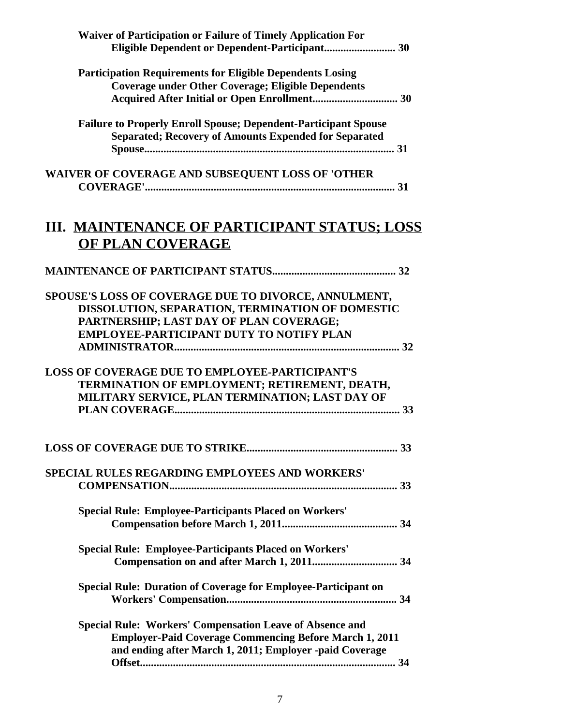| <b>Waiver of Participation or Failure of Timely Application For</b>                                                                                                                                    |
|--------------------------------------------------------------------------------------------------------------------------------------------------------------------------------------------------------|
| <b>Participation Requirements for Eligible Dependents Losing</b><br><b>Coverage under Other Coverage; Eligible Dependents</b>                                                                          |
| <b>Failure to Properly Enroll Spouse; Dependent-Participant Spouse</b><br><b>Separated: Recovery of Amounts Expended for Separated</b>                                                                 |
| WAIVER OF COVERAGE AND SUBSEQUENT LOSS OF 'OTHER                                                                                                                                                       |
| III. MAINTENANCE OF PARTICIPANT STATUS; LOSS<br>OF PLAN COVERAGE                                                                                                                                       |
|                                                                                                                                                                                                        |
| SPOUSE'S LOSS OF COVERAGE DUE TO DIVORCE, ANNULMENT,<br>DISSOLUTION, SEPARATION, TERMINATION OF DOMESTIC<br>PARTNERSHIP; LAST DAY OF PLAN COVERAGE;<br><b>EMPLOYEE-PARTICIPANT DUTY TO NOTIFY PLAN</b> |
| <b>LOSS OF COVERAGE DUE TO EMPLOYEE-PARTICIPANT'S</b><br>TERMINATION OF EMPLOYMENT; RETIREMENT, DEATH,<br>MILITARY SERVICE, PLAN TERMINATION; LAST DAY OF                                              |
|                                                                                                                                                                                                        |
| SPECIAL RULES REGARDING EMPLOYEES AND WORKERS'                                                                                                                                                         |
| <b>Special Rule: Employee-Participants Placed on Workers'</b>                                                                                                                                          |
| <b>Special Rule: Employee-Participants Placed on Workers'</b>                                                                                                                                          |
| Special Rule: Duration of Coverage for Employee-Participant on                                                                                                                                         |
| <b>Special Rule: Workers' Compensation Leave of Absence and</b><br><b>Employer-Paid Coverage Commencing Before March 1, 2011</b><br>and ending after March 1, 2011; Employer -paid Coverage            |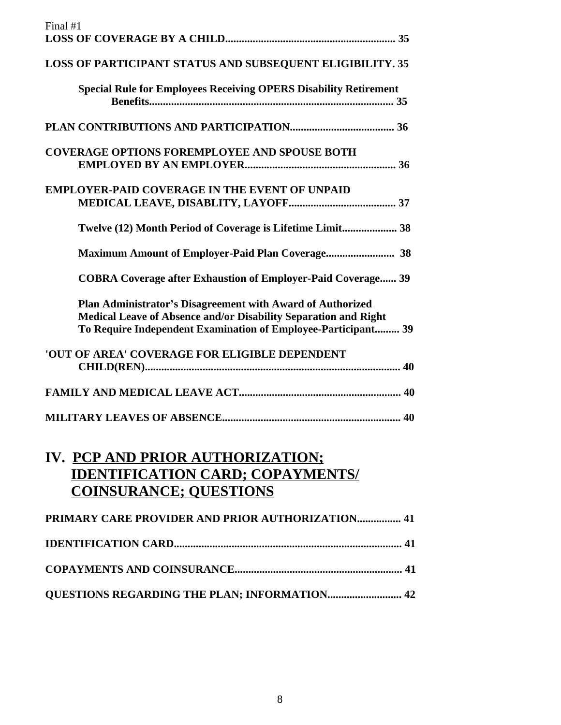| Final #1                                                                                                                                                                                       |
|------------------------------------------------------------------------------------------------------------------------------------------------------------------------------------------------|
|                                                                                                                                                                                                |
| <b>LOSS OF PARTICIPANT STATUS AND SUBSEQUENT ELIGIBILITY. 35</b>                                                                                                                               |
| <b>Special Rule for Employees Receiving OPERS Disability Retirement</b>                                                                                                                        |
|                                                                                                                                                                                                |
| <b>COVERAGE OPTIONS FOREMPLOYEE AND SPOUSE BOTH</b>                                                                                                                                            |
| <b>EMPLOYER-PAID COVERAGE IN THE EVENT OF UNPAID</b>                                                                                                                                           |
| Twelve (12) Month Period of Coverage is Lifetime Limit 38                                                                                                                                      |
|                                                                                                                                                                                                |
| <b>COBRA Coverage after Exhaustion of Employer-Paid Coverage 39</b>                                                                                                                            |
| Plan Administrator's Disagreement with Award of Authorized<br>Medical Leave of Absence and/or Disability Separation and Right<br>To Require Independent Examination of Employee-Participant 39 |
| 'OUT OF AREA' COVERAGE FOR ELIGIBLE DEPENDENT                                                                                                                                                  |
|                                                                                                                                                                                                |
|                                                                                                                                                                                                |
| <b>IV. PCP AND PRIOR AUTHORIZATION:</b><br><b>IDENTIFICATION CARD; COPAYMENTS/</b><br><b>COINSURANCE; OUESTIONS</b>                                                                            |
| PRIMARY CARE PROVIDER AND PRIOR AUTHORIZATION 41                                                                                                                                               |
|                                                                                                                                                                                                |
|                                                                                                                                                                                                |
| <b>QUESTIONS REGARDING THE PLAN; INFORMATION 42</b>                                                                                                                                            |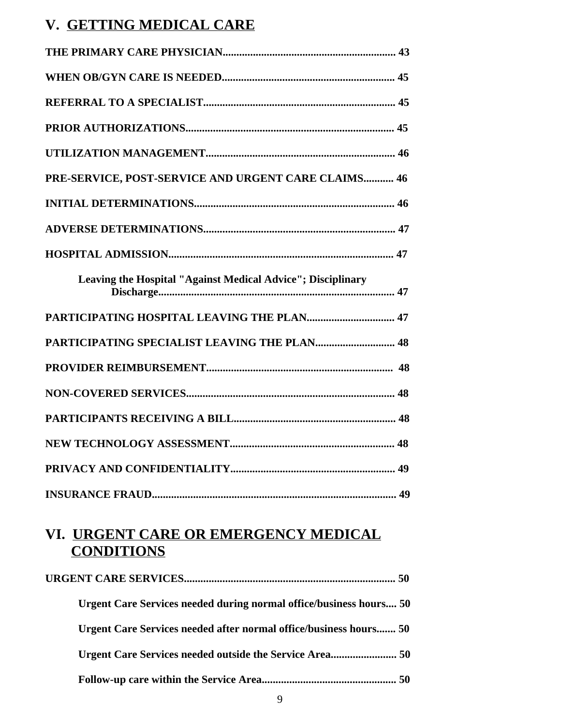## **V. GETTING MEDICAL CARE**

| PRE-SERVICE, POST-SERVICE AND URGENT CARE CLAIMS 46         |  |
|-------------------------------------------------------------|--|
|                                                             |  |
|                                                             |  |
|                                                             |  |
| Leaving the Hospital "Against Medical Advice"; Disciplinary |  |
| PARTICIPATING HOSPITAL LEAVING THE PLAN 47                  |  |
| PARTICIPATING SPECIALIST LEAVING THE PLAN 48                |  |
|                                                             |  |
|                                                             |  |
|                                                             |  |
|                                                             |  |
|                                                             |  |
|                                                             |  |

### **VI. URGENT CARE OR EMERGENCY MEDICAL CONDITIONS**

| <b>Urgent Care Services needed during normal office/business hours 50</b> |
|---------------------------------------------------------------------------|
| Urgent Care Services needed after normal office/business hours 50         |
|                                                                           |
|                                                                           |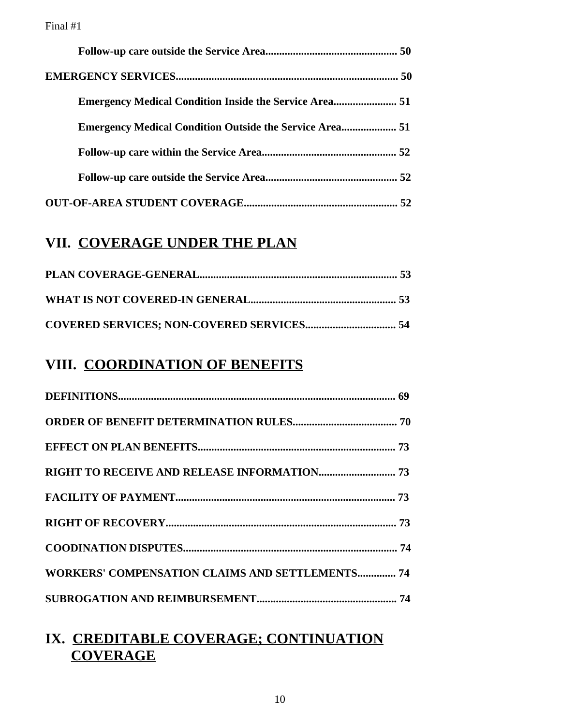### **VII. COVERAGE UNDER THE PLAN**

### **VIII. COORDINATION OF BENEFITS**

| <b>WORKERS' COMPENSATION CLAIMS AND SETTLEMENTS 74</b> |
|--------------------------------------------------------|
|                                                        |

## **IX. CREDITABLE COVERAGE; CONTINUATION COVERAGE**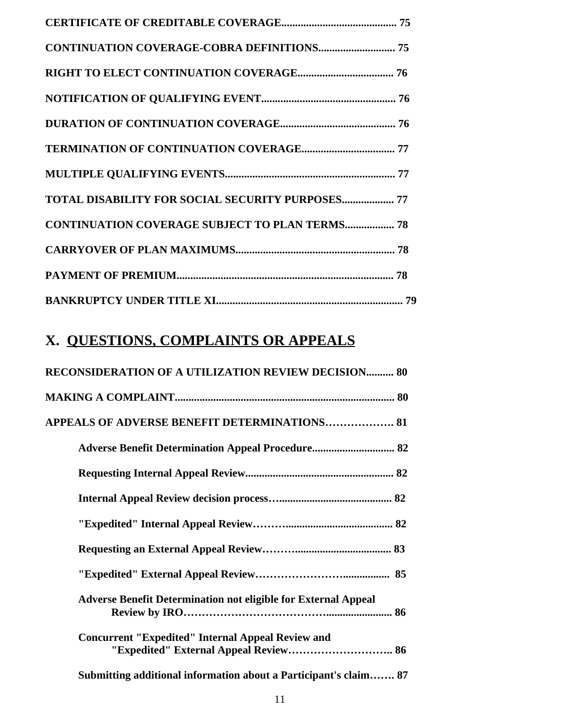| <b>TOTAL DISABILITY FOR SOCIAL SECURITY PURPOSES 77</b> |  |
|---------------------------------------------------------|--|
| <b>CONTINUATION COVERAGE SUBJECT TO PLAN TERMS 78</b>   |  |
|                                                         |  |
|                                                         |  |
|                                                         |  |

# **X. QUESTIONS, COMPLAINTS OR APPEALS**

| <b>RECONSIDERATION OF A UTILIZATION REVIEW DECISION 80</b>            |
|-----------------------------------------------------------------------|
|                                                                       |
| APPEALS OF ADVERSE BENEFIT DETERMINATIONS 81                          |
| <b>Adverse Benefit Determination Appeal Procedure 82</b>              |
|                                                                       |
|                                                                       |
|                                                                       |
|                                                                       |
|                                                                       |
| <b>Adverse Benefit Determination not eligible for External Appeal</b> |
| <b>Concurrent "Expedited" Internal Appeal Review and</b>              |
| Submitting additional information about a Participant's claim 87      |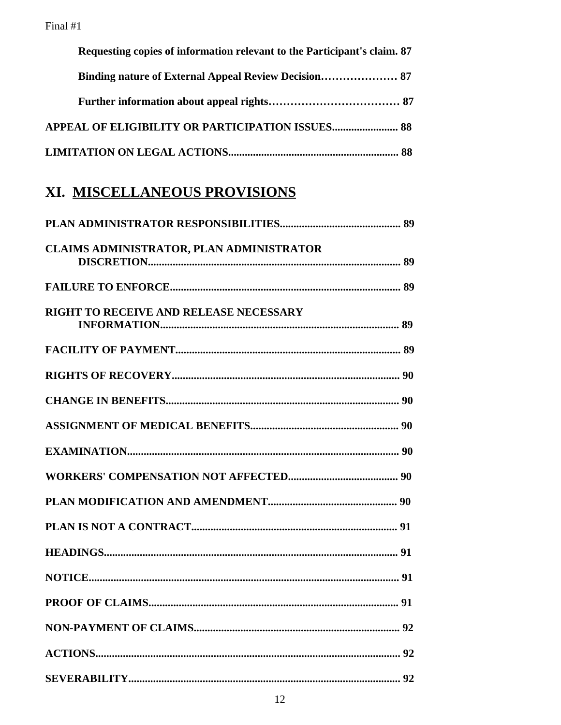| Requesting copies of information relevant to the Participant's claim. 87 |  |
|--------------------------------------------------------------------------|--|
|                                                                          |  |
|                                                                          |  |
| <b>APPEAL OF ELIGIBILITY OR PARTICIPATION ISSUES 88</b>                  |  |
|                                                                          |  |

# XI. MISCELLANEOUS PROVISIONS

| CLAIMS ADMINISTRATOR, PLAN ADMINISTRATOR |  |
|------------------------------------------|--|
|                                          |  |
| RIGHT TO RECEIVE AND RELEASE NECESSARY   |  |
|                                          |  |
|                                          |  |
|                                          |  |
|                                          |  |
|                                          |  |
|                                          |  |
|                                          |  |
|                                          |  |
|                                          |  |
|                                          |  |
|                                          |  |
|                                          |  |
|                                          |  |
|                                          |  |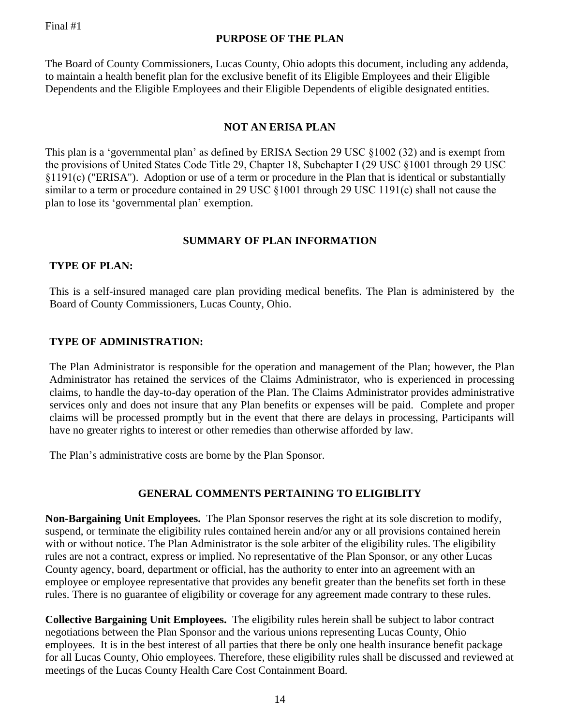#### **PURPOSE OF THE PLAN**

The Board of County Commissioners, Lucas County, Ohio adopts this document, including any addenda, to maintain a health benefit plan for the exclusive benefit of its Eligible Employees and their Eligible Dependents and the Eligible Employees and their Eligible Dependents of eligible designated entities.

#### **NOT AN ERISA PLAN**

This plan is a 'governmental plan' as defined by ERISA Section 29 USC §1002 (32) and is exempt from the provisions of United States Code Title 29, Chapter 18, Subchapter I (29 USC §1001 through 29 USC §1191(c) ("ERISA"). Adoption or use of a term or procedure in the Plan that is identical or substantially similar to a term or procedure contained in 29 USC §1001 through 29 USC 1191(c) shall not cause the plan to lose its 'governmental plan' exemption.

#### **SUMMARY OF PLAN INFORMATION**

#### **TYPE OF PLAN:**

This is a self-insured managed care plan providing medical benefits. The Plan is administered by the Board of County Commissioners, Lucas County, Ohio.

#### **TYPE OF ADMINISTRATION:**

The Plan Administrator is responsible for the operation and management of the Plan; however, the Plan Administrator has retained the services of the Claims Administrator, who is experienced in processing claims, to handle the day-to-day operation of the Plan. The Claims Administrator provides administrative services only and does not insure that any Plan benefits or expenses will be paid. Complete and proper claims will be processed promptly but in the event that there are delays in processing, Participants will have no greater rights to interest or other remedies than otherwise afforded by law.

The Plan's administrative costs are borne by the Plan Sponsor.

### **GENERAL COMMENTS PERTAINING TO ELIGIBLITY**

**Non-Bargaining Unit Employees.** The Plan Sponsor reserves the right at its sole discretion to modify, suspend, or terminate the eligibility rules contained herein and/or any or all provisions contained herein with or without notice. The Plan Administrator is the sole arbiter of the eligibility rules. The eligibility rules are not a contract, express or implied. No representative of the Plan Sponsor, or any other Lucas County agency, board, department or official, has the authority to enter into an agreement with an employee or employee representative that provides any benefit greater than the benefits set forth in these rules. There is no guarantee of eligibility or coverage for any agreement made contrary to these rules.

**Collective Bargaining Unit Employees.** The eligibility rules herein shall be subject to labor contract negotiations between the Plan Sponsor and the various unions representing Lucas County, Ohio employees. It is in the best interest of all parties that there be only one health insurance benefit package for all Lucas County, Ohio employees. Therefore, these eligibility rules shall be discussed and reviewed at meetings of the Lucas County Health Care Cost Containment Board.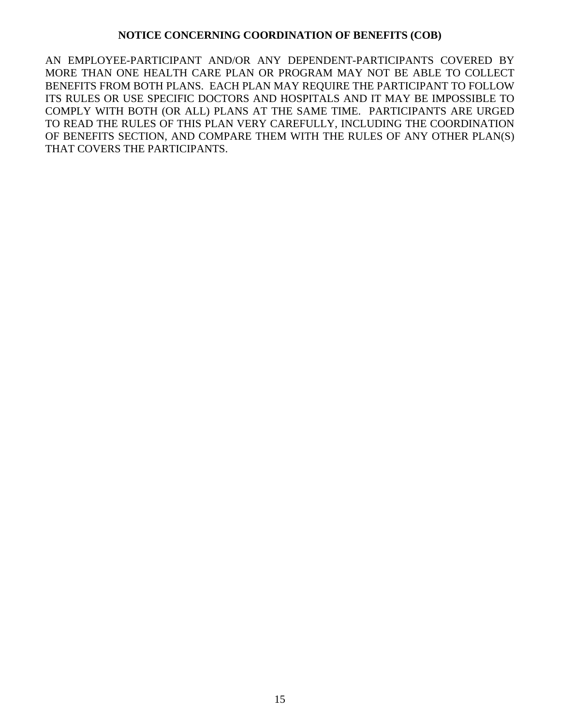#### **NOTICE CONCERNING COORDINATION OF BENEFITS (COB)**

AN EMPLOYEE-PARTICIPANT AND/OR ANY DEPENDENT-PARTICIPANTS COVERED BY MORE THAN ONE HEALTH CARE PLAN OR PROGRAM MAY NOT BE ABLE TO COLLECT BENEFITS FROM BOTH PLANS. EACH PLAN MAY REQUIRE THE PARTICIPANT TO FOLLOW ITS RULES OR USE SPECIFIC DOCTORS AND HOSPITALS AND IT MAY BE IMPOSSIBLE TO COMPLY WITH BOTH (OR ALL) PLANS AT THE SAME TIME. PARTICIPANTS ARE URGED TO READ THE RULES OF THIS PLAN VERY CAREFULLY, INCLUDING THE COORDINATION OF BENEFITS SECTION, AND COMPARE THEM WITH THE RULES OF ANY OTHER PLAN(S) THAT COVERS THE PARTICIPANTS.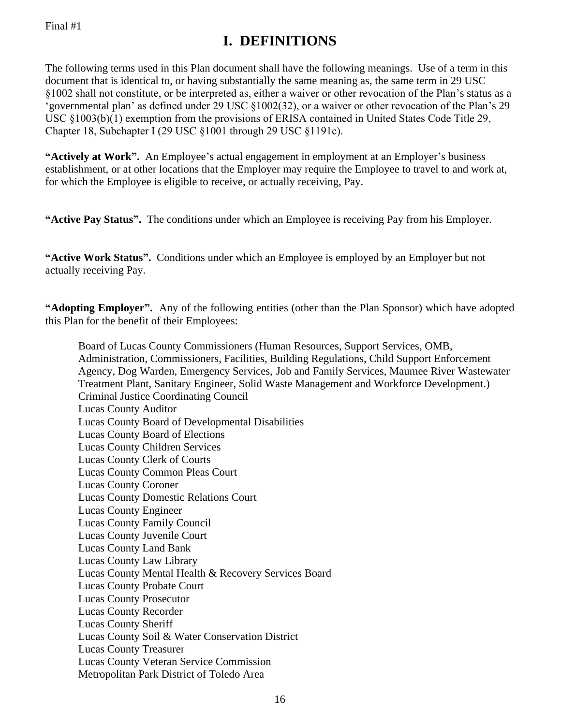### **I. DEFINITIONS**

The following terms used in this Plan document shall have the following meanings. Use of a term in this document that is identical to, or having substantially the same meaning as, the same term in 29 USC §1002 shall not constitute, or be interpreted as, either a waiver or other revocation of the Plan's status as a 'governmental plan' as defined under 29 USC §1002(32), or a waiver or other revocation of the Plan's 29 USC §1003(b)(1) exemption from the provisions of ERISA contained in United States Code Title 29, Chapter 18, Subchapter I (29 USC §1001 through 29 USC §1191c).

**"Actively at Work".** An Employee's actual engagement in employment at an Employer's business establishment, or at other locations that the Employer may require the Employee to travel to and work at, for which the Employee is eligible to receive, or actually receiving, Pay.

**"Active Pay Status".** The conditions under which an Employee is receiving Pay from his Employer.

**"Active Work Status".** Conditions under which an Employee is employed by an Employer but not actually receiving Pay.

**"Adopting Employer".** Any of the following entities (other than the Plan Sponsor) which have adopted this Plan for the benefit of their Employees:

Board of Lucas County Commissioners (Human Resources, Support Services, OMB, Administration, Commissioners, Facilities, Building Regulations, Child Support Enforcement Agency, Dog Warden, Emergency Services, Job and Family Services, Maumee River Wastewater Treatment Plant, Sanitary Engineer, Solid Waste Management and Workforce Development.) Criminal Justice Coordinating Council Lucas County Auditor Lucas County Board of Developmental Disabilities Lucas County Board of Elections Lucas County Children Services Lucas County Clerk of Courts Lucas County Common Pleas Court Lucas County Coroner Lucas County Domestic Relations Court Lucas County Engineer Lucas County Family Council Lucas County Juvenile Court Lucas County Land Bank Lucas County Law Library Lucas County Mental Health & Recovery Services Board Lucas County Probate Court Lucas County Prosecutor Lucas County Recorder Lucas County Sheriff Lucas County Soil & Water Conservation District Lucas County Treasurer Lucas County Veteran Service Commission Metropolitan Park District of Toledo Area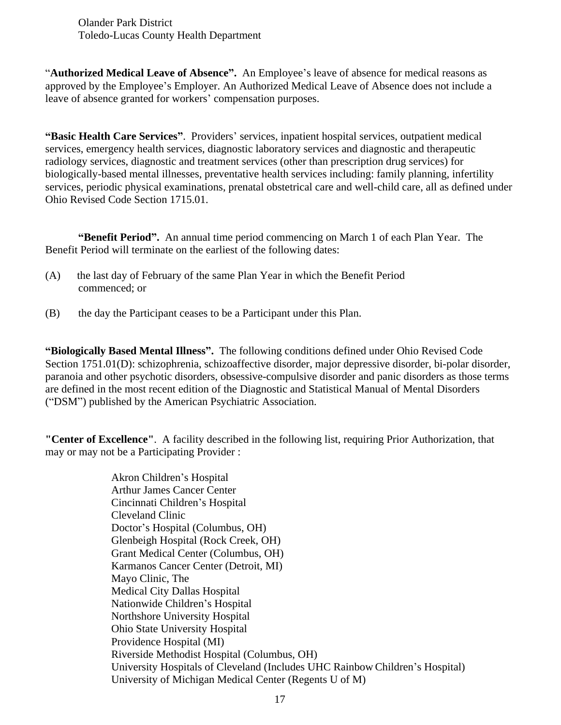Olander Park District Toledo-Lucas County Health Department

"**Authorized Medical Leave of Absence".** An Employee's leave of absence for medical reasons as approved by the Employee's Employer. An Authorized Medical Leave of Absence does not include a leave of absence granted for workers' compensation purposes.

**"Basic Health Care Services"**. Providers' services, inpatient hospital services, outpatient medical services, emergency health services, diagnostic laboratory services and diagnostic and therapeutic radiology services, diagnostic and treatment services (other than prescription drug services) for biologically-based mental illnesses, preventative health services including: family planning, infertility services, periodic physical examinations, prenatal obstetrical care and well-child care, all as defined under Ohio Revised Code Section 1715.01.

**"Benefit Period".** An annual time period commencing on March 1 of each Plan Year. The Benefit Period will terminate on the earliest of the following dates:

- (A) the last day of February of the same Plan Year in which the Benefit Period commenced; or
- (B) the day the Participant ceases to be a Participant under this Plan.

**"Biologically Based Mental Illness".** The following conditions defined under Ohio Revised Code Section 1751.01(D): schizophrenia, schizoaffective disorder, major depressive disorder, bi-polar disorder, paranoia and other psychotic disorders, obsessive-compulsive disorder and panic disorders as those terms are defined in the most recent edition of the Diagnostic and Statistical Manual of Mental Disorders ("DSM") published by the American Psychiatric Association.

**"Center of Excellence"**. A facility described in the following list, requiring Prior Authorization, that may or may not be a Participating Provider :

> Akron Children's Hospital Arthur James Cancer Center Cincinnati Children's Hospital Cleveland Clinic Doctor's Hospital (Columbus, OH) Glenbeigh Hospital (Rock Creek, OH) Grant Medical Center (Columbus, OH) Karmanos Cancer Center (Detroit, MI) Mayo Clinic, The Medical City Dallas Hospital Nationwide Children's Hospital Northshore University Hospital Ohio State University Hospital Providence Hospital (MI) Riverside Methodist Hospital (Columbus, OH) University Hospitals of Cleveland (Includes UHC Rainbow Children's Hospital) University of Michigan Medical Center (Regents U of M)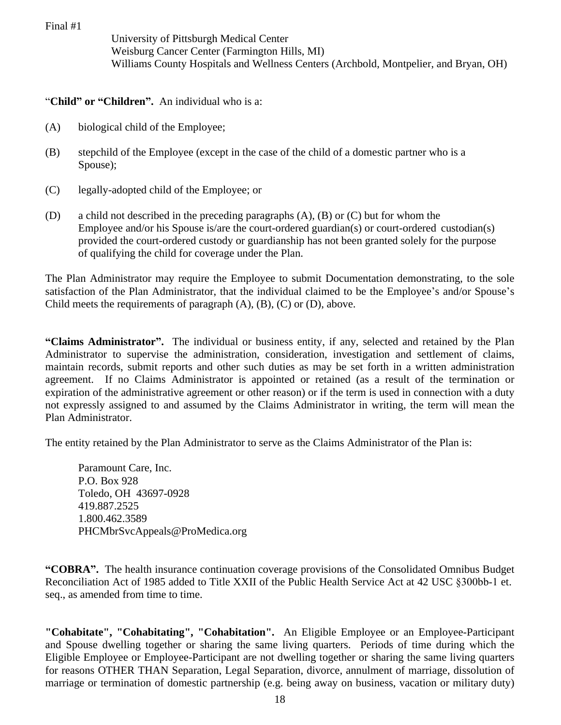University of Pittsburgh Medical Center Weisburg Cancer Center (Farmington Hills, MI) Williams County Hospitals and Wellness Centers (Archbold, Montpelier, and Bryan, OH)

"**Child" or "Children".** An individual who is a:

- (A) biological child of the Employee;
- (B) stepchild of the Employee (except in the case of the child of a domestic partner who is a Spouse);
- (C) legally-adopted child of the Employee; or
- (D) a child not described in the preceding paragraphs (A), (B) or (C) but for whom the Employee and/or his Spouse is/are the court-ordered guardian(s) or court-ordered custodian(s) provided the court-ordered custody or guardianship has not been granted solely for the purpose of qualifying the child for coverage under the Plan.

The Plan Administrator may require the Employee to submit Documentation demonstrating, to the sole satisfaction of the Plan Administrator, that the individual claimed to be the Employee's and/or Spouse's Child meets the requirements of paragraph  $(A)$ ,  $(B)$ ,  $(C)$  or  $(D)$ , above.

**"Claims Administrator".** The individual or business entity, if any, selected and retained by the Plan Administrator to supervise the administration, consideration, investigation and settlement of claims, maintain records, submit reports and other such duties as may be set forth in a written administration agreement. If no Claims Administrator is appointed or retained (as a result of the termination or expiration of the administrative agreement or other reason) or if the term is used in connection with a duty not expressly assigned to and assumed by the Claims Administrator in writing, the term will mean the Plan Administrator.

The entity retained by the Plan Administrator to serve as the Claims Administrator of the Plan is:

Paramount Care, Inc. P.O. Box 928 Toledo, OH 43697-0928 419.887.2525 1.800.462.3589 PHCMbrSvcAppeals@ProMedica.org

**"COBRA".** The health insurance continuation coverage provisions of the Consolidated Omnibus Budget Reconciliation Act of 1985 added to Title XXII of the Public Health Service Act at 42 USC §300bb-1 et. seq., as amended from time to time.

**"Cohabitate", "Cohabitating", "Cohabitation".** An Eligible Employee or an Employee-Participant and Spouse dwelling together or sharing the same living quarters. Periods of time during which the Eligible Employee or Employee-Participant are not dwelling together or sharing the same living quarters for reasons OTHER THAN Separation, Legal Separation, divorce, annulment of marriage, dissolution of marriage or termination of domestic partnership (e.g. being away on business, vacation or military duty)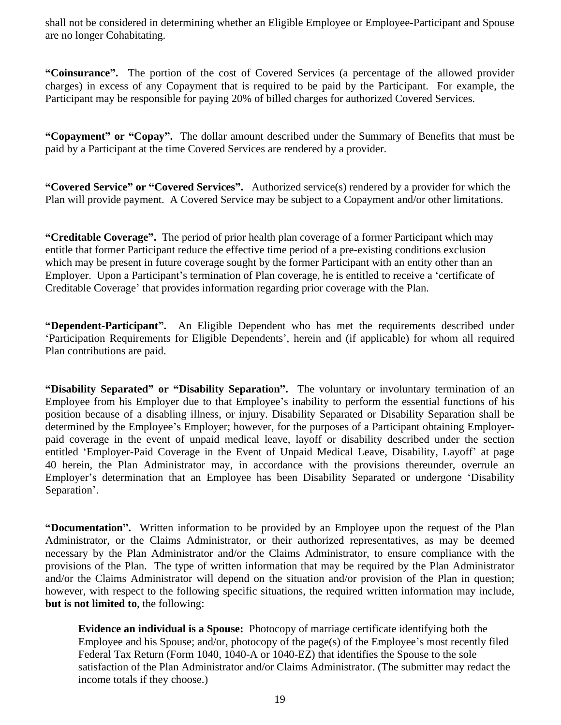shall not be considered in determining whether an Eligible Employee or Employee-Participant and Spouse are no longer Cohabitating.

**"Coinsurance".** The portion of the cost of Covered Services (a percentage of the allowed provider charges) in excess of any Copayment that is required to be paid by the Participant. For example, the Participant may be responsible for paying 20% of billed charges for authorized Covered Services.

**"Copayment" or "Copay".** The dollar amount described under the Summary of Benefits that must be paid by a Participant at the time Covered Services are rendered by a provider.

**"Covered Service" or "Covered Services".** Authorized service(s) rendered by a provider for which the Plan will provide payment. A Covered Service may be subject to a Copayment and/or other limitations.

**"Creditable Coverage".** The period of prior health plan coverage of a former Participant which may entitle that former Participant reduce the effective time period of a pre-existing conditions exclusion which may be present in future coverage sought by the former Participant with an entity other than an Employer. Upon a Participant's termination of Plan coverage, he is entitled to receive a 'certificate of Creditable Coverage' that provides information regarding prior coverage with the Plan.

**"Dependent-Participant".** An Eligible Dependent who has met the requirements described under 'Participation Requirements for Eligible Dependents', herein and (if applicable) for whom all required Plan contributions are paid.

**"Disability Separated" or "Disability Separation".** The voluntary or involuntary termination of an Employee from his Employer due to that Employee's inability to perform the essential functions of his position because of a disabling illness, or injury. Disability Separated or Disability Separation shall be determined by the Employee's Employer; however, for the purposes of a Participant obtaining Employerpaid coverage in the event of unpaid medical leave, layoff or disability described under the section entitled 'Employer-Paid Coverage in the Event of Unpaid Medical Leave, Disability, Layoff' at page 40 herein, the Plan Administrator may, in accordance with the provisions thereunder, overrule an Employer's determination that an Employee has been Disability Separated or undergone 'Disability Separation'.

**"Documentation".** Written information to be provided by an Employee upon the request of the Plan Administrator, or the Claims Administrator, or their authorized representatives, as may be deemed necessary by the Plan Administrator and/or the Claims Administrator, to ensure compliance with the provisions of the Plan. The type of written information that may be required by the Plan Administrator and/or the Claims Administrator will depend on the situation and/or provision of the Plan in question; however, with respect to the following specific situations, the required written information may include, **but is not limited to**, the following:

**Evidence an individual is a Spouse:** Photocopy of marriage certificate identifying both the Employee and his Spouse; and/or, photocopy of the page(s) of the Employee's most recently filed Federal Tax Return (Form 1040, 1040-A or 1040-EZ) that identifies the Spouse to the sole satisfaction of the Plan Administrator and/or Claims Administrator. (The submitter may redact the income totals if they choose.)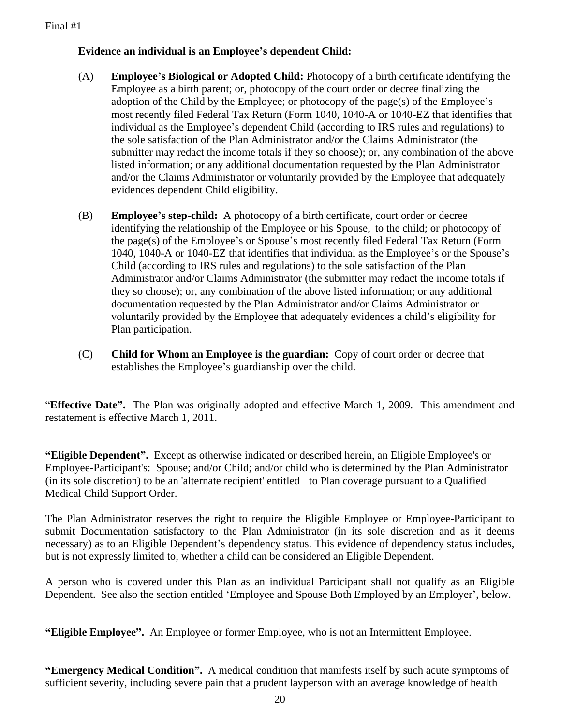#### **Evidence an individual is an Employee's dependent Child:**

- (A) **Employee's Biological or Adopted Child:** Photocopy of a birth certificate identifying the Employee as a birth parent; or, photocopy of the court order or decree finalizing the adoption of the Child by the Employee; or photocopy of the page(s) of the Employee's most recently filed Federal Tax Return (Form 1040, 1040-A or 1040-EZ that identifies that individual as the Employee's dependent Child (according to IRS rules and regulations) to the sole satisfaction of the Plan Administrator and/or the Claims Administrator (the submitter may redact the income totals if they so choose); or, any combination of the above listed information; or any additional documentation requested by the Plan Administrator and/or the Claims Administrator or voluntarily provided by the Employee that adequately evidences dependent Child eligibility.
- (B) **Employee's step-child:** A photocopy of a birth certificate, court order or decree identifying the relationship of the Employee or his Spouse, to the child; or photocopy of the page(s) of the Employee's or Spouse's most recently filed Federal Tax Return (Form 1040, 1040-A or 1040-EZ that identifies that individual as the Employee's or the Spouse's Child (according to IRS rules and regulations) to the sole satisfaction of the Plan Administrator and/or Claims Administrator (the submitter may redact the income totals if they so choose); or, any combination of the above listed information; or any additional documentation requested by the Plan Administrator and/or Claims Administrator or voluntarily provided by the Employee that adequately evidences a child's eligibility for Plan participation.
- (C) **Child for Whom an Employee is the guardian:** Copy of court order or decree that establishes the Employee's guardianship over the child.

"**Effective Date".** The Plan was originally adopted and effective March 1, 2009. This amendment and restatement is effective March 1, 2011.

**"Eligible Dependent".** Except as otherwise indicated or described herein, an Eligible Employee's or Employee-Participant's: Spouse; and/or Child; and/or child who is determined by the Plan Administrator (in its sole discretion) to be an 'alternate recipient' entitled to Plan coverage pursuant to a Qualified Medical Child Support Order.

The Plan Administrator reserves the right to require the Eligible Employee or Employee-Participant to submit Documentation satisfactory to the Plan Administrator (in its sole discretion and as it deems necessary) as to an Eligible Dependent's dependency status. This evidence of dependency status includes, but is not expressly limited to, whether a child can be considered an Eligible Dependent.

A person who is covered under this Plan as an individual Participant shall not qualify as an Eligible Dependent. See also the section entitled 'Employee and Spouse Both Employed by an Employer', below.

**"Eligible Employee".** An Employee or former Employee, who is not an Intermittent Employee.

**"Emergency Medical Condition".** A medical condition that manifests itself by such acute symptoms of sufficient severity, including severe pain that a prudent layperson with an average knowledge of health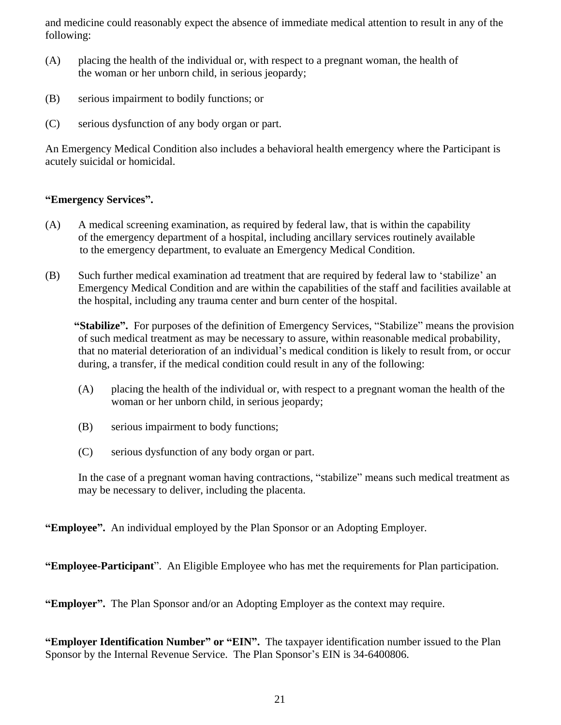and medicine could reasonably expect the absence of immediate medical attention to result in any of the following:

- (A) placing the health of the individual or, with respect to a pregnant woman, the health of the woman or her unborn child, in serious jeopardy;
- (B) serious impairment to bodily functions; or
- (C) serious dysfunction of any body organ or part.

An Emergency Medical Condition also includes a behavioral health emergency where the Participant is acutely suicidal or homicidal.

#### **"Emergency Services".**

- (A) A medical screening examination, as required by federal law, that is within the capability of the emergency department of a hospital, including ancillary services routinely available to the emergency department, to evaluate an Emergency Medical Condition.
- (B) Such further medical examination ad treatment that are required by federal law to 'stabilize' an Emergency Medical Condition and are within the capabilities of the staff and facilities available at the hospital, including any trauma center and burn center of the hospital.

**"Stabilize".** For purposes of the definition of Emergency Services, "Stabilize" means the provision of such medical treatment as may be necessary to assure, within reasonable medical probability, that no material deterioration of an individual's medical condition is likely to result from, or occur during, a transfer, if the medical condition could result in any of the following:

- (A) placing the health of the individual or, with respect to a pregnant woman the health of the woman or her unborn child, in serious jeopardy;
- (B) serious impairment to body functions;
- (C) serious dysfunction of any body organ or part.

In the case of a pregnant woman having contractions, "stabilize" means such medical treatment as may be necessary to deliver, including the placenta.

**"Employee".** An individual employed by the Plan Sponsor or an Adopting Employer.

**"Employee-Participant**".An Eligible Employee who has met the requirements for Plan participation.

**"Employer".** The Plan Sponsor and/or an Adopting Employer as the context may require.

**"Employer Identification Number" or "EIN".** The taxpayer identification number issued to the Plan Sponsor by the Internal Revenue Service. The Plan Sponsor's EIN is 34-6400806.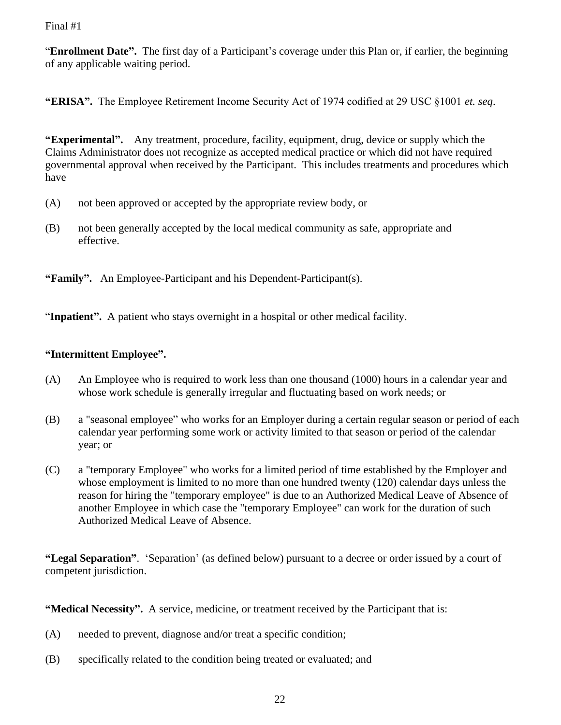"**Enrollment Date".** The first day of a Participant's coverage under this Plan or, if earlier, the beginning of any applicable waiting period.

**"ERISA".** The Employee Retirement Income Security Act of 1974 codified at 29 USC §1001 *et. seq*.

**"Experimental".** Any treatment, procedure, facility, equipment, drug, device or supply which the Claims Administrator does not recognize as accepted medical practice or which did not have required governmental approval when received by the Participant. This includes treatments and procedures which have

- (A) not been approved or accepted by the appropriate review body, or
- (B) not been generally accepted by the local medical community as safe, appropriate and effective.

**"Family".** An Employee-Participant and his Dependent-Participant(s).

"**Inpatient".** A patient who stays overnight in a hospital or other medical facility.

#### **"Intermittent Employee".**

- (A) An Employee who is required to work less than one thousand (1000) hours in a calendar year and whose work schedule is generally irregular and fluctuating based on work needs; or
- (B)a "seasonal employee" who works for an Employer during a certain regular season or period of each calendar year performing some work or activity limited to that season or period of the calendar year; or
- (C) a "temporary Employee" who works for a limited period of time established by the Employer and whose employment is limited to no more than one hundred twenty (120) calendar days unless the reason for hiring the "temporary employee" is due to an Authorized Medical Leave of Absence of another Employee in which case the "temporary Employee" can work for the duration of such Authorized Medical Leave of Absence.

**"Legal Separation"**. 'Separation' (as defined below) pursuant to a decree or order issued by a court of competent jurisdiction.

**"Medical Necessity".** A service, medicine, or treatment received by the Participant that is:

- (A) needed to prevent, diagnose and/or treat a specific condition;
- (B) specifically related to the condition being treated or evaluated; and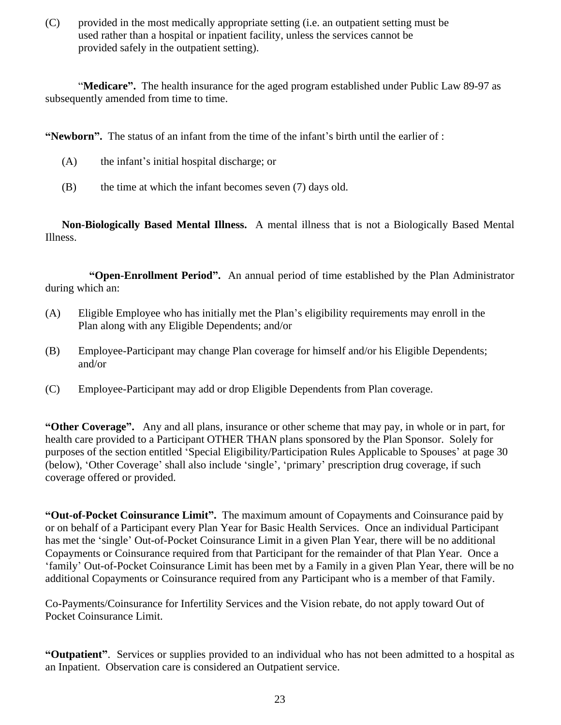(C) provided in the most medically appropriate setting (i.e. an outpatient setting must be used rather than a hospital or inpatient facility, unless the services cannot be provided safely in the outpatient setting).

"**Medicare".** The health insurance for the aged program established under Public Law 89-97 as subsequently amended from time to time.

**"Newborn".** The status of an infant from the time of the infant's birth until the earlier of :

- (A) the infant's initial hospital discharge; or
- (B) the time at which the infant becomes seven (7) days old.

**Non-Biologically Based Mental Illness.** A mental illness that is not a Biologically Based Mental Illness.

**"Open-Enrollment Period".** An annual period of time established by the Plan Administrator during which an:

- (A) Eligible Employee who has initially met the Plan's eligibility requirements may enroll in the Plan along with any Eligible Dependents; and/or
- (B) Employee-Participant may change Plan coverage for himself and/or his Eligible Dependents; and/or
- (C) Employee-Participant may add or drop Eligible Dependents from Plan coverage.

**"Other Coverage".** Any and all plans, insurance or other scheme that may pay, in whole or in part, for health care provided to a Participant OTHER THAN plans sponsored by the Plan Sponsor. Solely for purposes of the section entitled 'Special Eligibility/Participation Rules Applicable to Spouses' at page 30 (below), 'Other Coverage' shall also include 'single', 'primary' prescription drug coverage, if such coverage offered or provided.

**"Out-of-Pocket Coinsurance Limit".** The maximum amount of Copayments and Coinsurance paid by or on behalf of a Participant every Plan Year for Basic Health Services. Once an individual Participant has met the 'single' Out-of-Pocket Coinsurance Limit in a given Plan Year, there will be no additional Copayments or Coinsurance required from that Participant for the remainder of that Plan Year. Once a 'family' Out-of-Pocket Coinsurance Limit has been met by a Family in a given Plan Year, there will be no additional Copayments or Coinsurance required from any Participant who is a member of that Family.

Co-Payments/Coinsurance for Infertility Services and the Vision rebate, do not apply toward Out of Pocket Coinsurance Limit.

**"Outpatient"**. Services or supplies provided to an individual who has not been admitted to a hospital as an Inpatient. Observation care is considered an Outpatient service.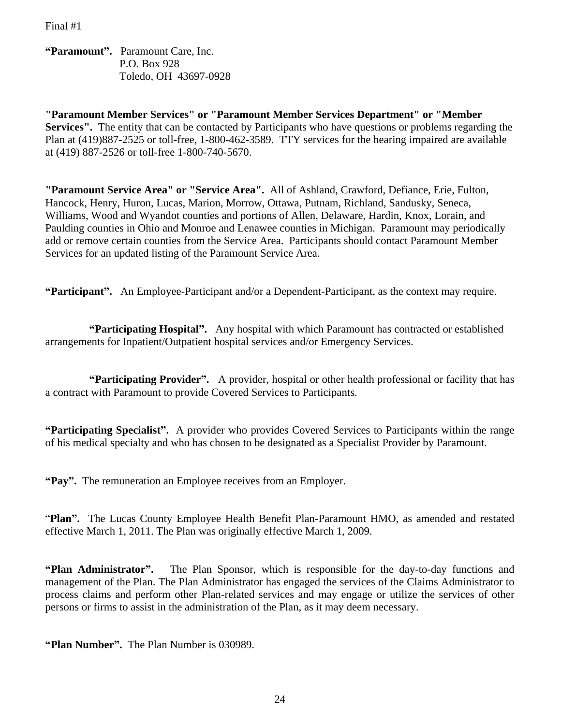**"Paramount".** Paramount Care, Inc. P.O. Box 928 Toledo, OH 43697-0928

**"Paramount Member Services" or "Paramount Member Services Department" or "Member Services".** The entity that can be contacted by Participants who have questions or problems regarding the Plan at (419)887-2525 or toll-free, 1-800-462-3589. TTY services for the hearing impaired are available at (419) 887-2526 or toll-free 1-800-740-5670.

**"Paramount Service Area" or "Service Area".** All of Ashland, Crawford, Defiance, Erie, Fulton, Hancock, Henry, Huron, Lucas, Marion, Morrow, Ottawa, Putnam, Richland, Sandusky, Seneca, Williams, Wood and Wyandot counties and portions of Allen, Delaware, Hardin, Knox, Lorain, and Paulding counties in Ohio and Monroe and Lenawee counties in Michigan. Paramount may periodically add or remove certain counties from the Service Area. Participants should contact Paramount Member Services for an updated listing of the Paramount Service Area.

**"Participant".** An Employee-Participant and/or a Dependent-Participant, as the context may require.

**"Participating Hospital".** Any hospital with which Paramount has contracted or established arrangements for Inpatient/Outpatient hospital services and/or Emergency Services.

**"Participating Provider".** A provider, hospital or other health professional or facility that has a contract with Paramount to provide Covered Services to Participants.

**"Participating Specialist".** A provider who provides Covered Services to Participants within the range of his medical specialty and who has chosen to be designated as a Specialist Provider by Paramount.

**"Pay".** The remuneration an Employee receives from an Employer.

"**Plan".** The Lucas County Employee Health Benefit Plan-Paramount HMO, as amended and restated effective March 1, 2011. The Plan was originally effective March 1, 2009.

**"Plan Administrator".** The Plan Sponsor, which is responsible for the day-to-day functions and management of the Plan. The Plan Administrator has engaged the services of the Claims Administrator to process claims and perform other Plan-related services and may engage or utilize the services of other persons or firms to assist in the administration of the Plan, as it may deem necessary.

**"Plan Number".** The Plan Number is 030989.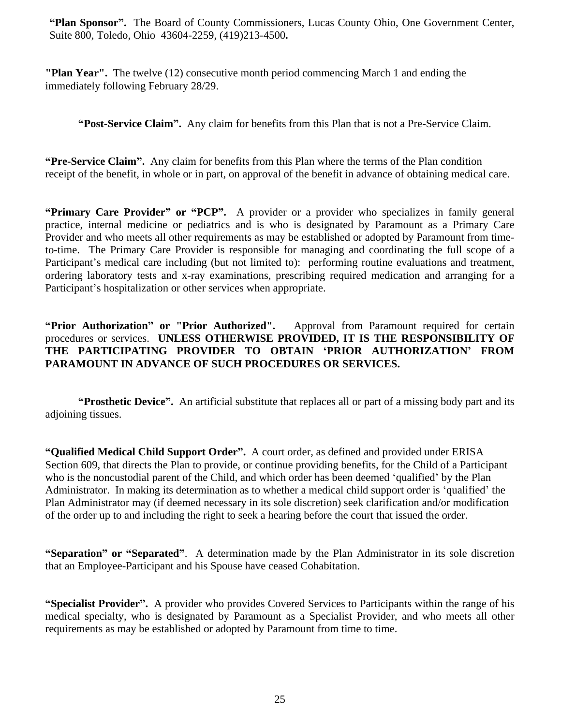**"Plan Sponsor".** The Board of County Commissioners, Lucas County Ohio, One Government Center, Suite 800, Toledo, Ohio 43604-2259, (419)213-4500**.**

**"Plan Year".** The twelve (12) consecutive month period commencing March 1 and ending the immediately following February 28/29.

**"Post-Service Claim".** Any claim for benefits from this Plan that is not a Pre-Service Claim.

**"Pre-Service Claim".** Any claim for benefits from this Plan where the terms of the Plan condition receipt of the benefit, in whole or in part, on approval of the benefit in advance of obtaining medical care.

**"Primary Care Provider" or "PCP".** A provider or a provider who specializes in family general practice, internal medicine or pediatrics and is who is designated by Paramount as a Primary Care Provider and who meets all other requirements as may be established or adopted by Paramount from timeto-time. The Primary Care Provider is responsible for managing and coordinating the full scope of a Participant's medical care including (but not limited to): performing routine evaluations and treatment, ordering laboratory tests and x-ray examinations, prescribing required medication and arranging for a Participant's hospitalization or other services when appropriate.

#### **"Prior Authorization" or "Prior Authorized".** Approval from Paramount required for certain procedures or services. **UNLESS OTHERWISE PROVIDED, IT IS THE RESPONSIBILITY OF THE PARTICIPATING PROVIDER TO OBTAIN 'PRIOR AUTHORIZATION' FROM PARAMOUNT IN ADVANCE OF SUCH PROCEDURES OR SERVICES.**

**"Prosthetic Device".** An artificial substitute that replaces all or part of a missing body part and its adjoining tissues.

**"Qualified Medical Child Support Order".** A court order, as defined and provided under ERISA Section 609, that directs the Plan to provide, or continue providing benefits, for the Child of a Participant who is the noncustodial parent of the Child, and which order has been deemed 'qualified' by the Plan Administrator. In making its determination as to whether a medical child support order is 'qualified' the Plan Administrator may (if deemed necessary in its sole discretion) seek clarification and/or modification of the order up to and including the right to seek a hearing before the court that issued the order.

**"Separation" or "Separated"**. A determination made by the Plan Administrator in its sole discretion that an Employee-Participant and his Spouse have ceased Cohabitation.

**"Specialist Provider".** A provider who provides Covered Services to Participants within the range of his medical specialty, who is designated by Paramount as a Specialist Provider, and who meets all other requirements as may be established or adopted by Paramount from time to time.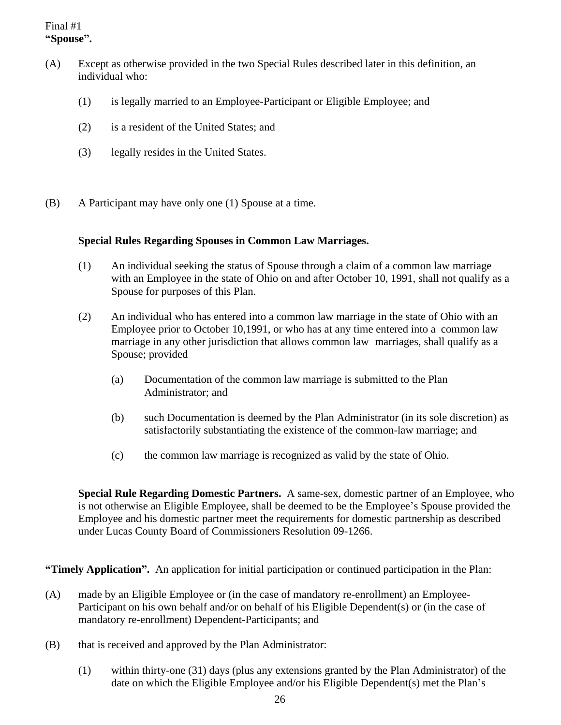#### Final #1 **"Spouse".**

- (A) Except as otherwise provided in the two Special Rules described later in this definition, an individual who:
	- (1) is legally married to an Employee-Participant or Eligible Employee; and
	- (2) is a resident of the United States; and
	- (3) legally resides in the United States.
- (B) A Participant may have only one (1) Spouse at a time.

#### **Special Rules Regarding Spouses in Common Law Marriages.**

- (1) An individual seeking the status of Spouse through a claim of a common law marriage with an Employee in the state of Ohio on and after October 10, 1991, shall not qualify as a Spouse for purposes of this Plan.
- (2) An individual who has entered into a common law marriage in the state of Ohio with an Employee prior to October 10,1991, or who has at any time entered into a common law marriage in any other jurisdiction that allows common law marriages, shall qualify as a Spouse; provided
	- (a) Documentation of the common law marriage is submitted to the Plan Administrator; and
	- (b) such Documentation is deemed by the Plan Administrator (in its sole discretion) as satisfactorily substantiating the existence of the common-law marriage; and
	- (c) the common law marriage is recognized as valid by the state of Ohio.

**Special Rule Regarding Domestic Partners.** A same-sex, domestic partner of an Employee, who is not otherwise an Eligible Employee, shall be deemed to be the Employee's Spouse provided the Employee and his domestic partner meet the requirements for domestic partnership as described under Lucas County Board of Commissioners Resolution 09-1266.

**"Timely Application".** An application for initial participation or continued participation in the Plan:

- (A) made by an Eligible Employee or (in the case of mandatory re-enrollment) an Employee-Participant on his own behalf and/or on behalf of his Eligible Dependent(s) or (in the case of mandatory re-enrollment) Dependent-Participants; and
- (B) that is received and approved by the Plan Administrator:
	- (1) within thirty-one (31) days (plus any extensions granted by the Plan Administrator) of the date on which the Eligible Employee and/or his Eligible Dependent(s) met the Plan's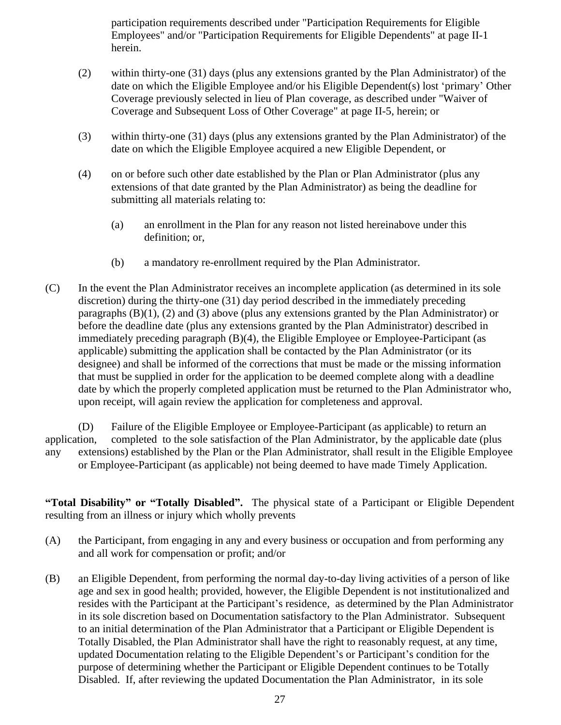participation requirements described under "Participation Requirements for Eligible Employees" and/or "Participation Requirements for Eligible Dependents" at page II-1 herein.

- (2) within thirty-one (31) days (plus any extensions granted by the Plan Administrator) of the date on which the Eligible Employee and/or his Eligible Dependent(s) lost 'primary' Other Coverage previously selected in lieu of Plan coverage, as described under "Waiver of Coverage and Subsequent Loss of Other Coverage" at page II-5, herein; or
- (3) within thirty-one (31) days (plus any extensions granted by the Plan Administrator) of the date on which the Eligible Employee acquired a new Eligible Dependent, or
- (4) on or before such other date established by the Plan or Plan Administrator (plus any extensions of that date granted by the Plan Administrator) as being the deadline for submitting all materials relating to:
	- (a) an enrollment in the Plan for any reason not listed hereinabove under this definition; or,
	- (b) a mandatory re-enrollment required by the Plan Administrator.
- (C) In the event the Plan Administrator receives an incomplete application (as determined in its sole discretion) during the thirty-one (31) day period described in the immediately preceding paragraphs  $(B)(1)$ ,  $(2)$  and  $(3)$  above (plus any extensions granted by the Plan Administrator) or before the deadline date (plus any extensions granted by the Plan Administrator) described in immediately preceding paragraph (B)(4), the Eligible Employee or Employee-Participant (as applicable) submitting the application shall be contacted by the Plan Administrator (or its designee) and shall be informed of the corrections that must be made or the missing information that must be supplied in order for the application to be deemed complete along with a deadline date by which the properly completed application must be returned to the Plan Administrator who, upon receipt, will again review the application for completeness and approval.

(D) Failure of the Eligible Employee or Employee-Participant (as applicable) to return an application, completed to the sole satisfaction of the Plan Administrator, by the applicable date (plus any extensions) established by the Plan or the Plan Administrator, shall result in the Eligible Employee or Employee-Participant (as applicable) not being deemed to have made Timely Application.

**"Total Disability" or "Totally Disabled".** The physical state of a Participant or Eligible Dependent resulting from an illness or injury which wholly prevents

- (A) the Participant, from engaging in any and every business or occupation and from performing any and all work for compensation or profit; and/or
- (B) an Eligible Dependent, from performing the normal day-to-day living activities of a person of like age and sex in good health; provided, however, the Eligible Dependent is not institutionalized and resides with the Participant at the Participant's residence, as determined by the Plan Administrator in its sole discretion based on Documentation satisfactory to the Plan Administrator. Subsequent to an initial determination of the Plan Administrator that a Participant or Eligible Dependent is Totally Disabled, the Plan Administrator shall have the right to reasonably request, at any time, updated Documentation relating to the Eligible Dependent's or Participant's condition for the purpose of determining whether the Participant or Eligible Dependent continues to be Totally Disabled. If, after reviewing the updated Documentation the Plan Administrator, in its sole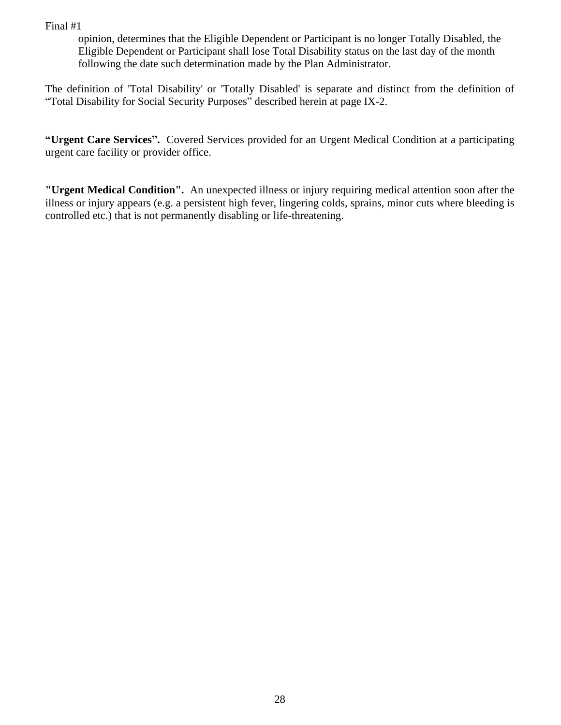opinion, determines that the Eligible Dependent or Participant is no longer Totally Disabled, the Eligible Dependent or Participant shall lose Total Disability status on the last day of the month following the date such determination made by the Plan Administrator.

The definition of 'Total Disability' or 'Totally Disabled' is separate and distinct from the definition of "Total Disability for Social Security Purposes" described herein at page IX-2.

**"Urgent Care Services".** Covered Services provided for an Urgent Medical Condition at a participating urgent care facility or provider office.

**"Urgent Medical Condition".** An unexpected illness or injury requiring medical attention soon after the illness or injury appears (e.g. a persistent high fever, lingering colds, sprains, minor cuts where bleeding is controlled etc.) that is not permanently disabling or life-threatening.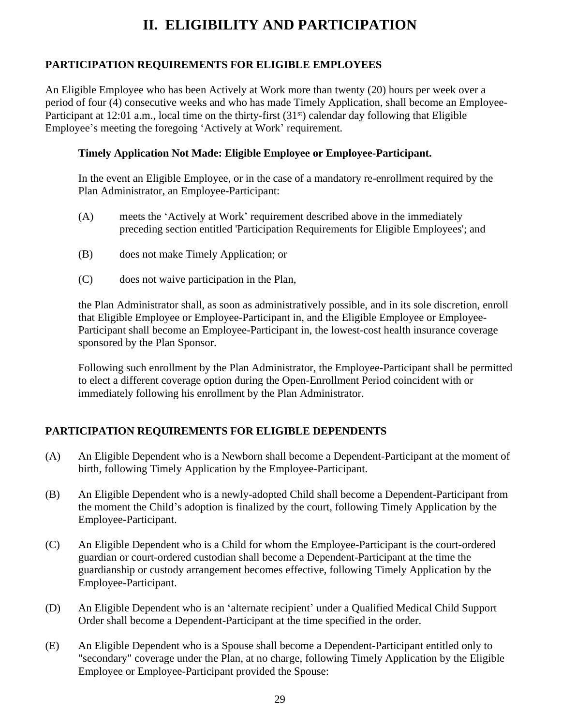## **II. ELIGIBILITY AND PARTICIPATION**

#### **PARTICIPATION REQUIREMENTS FOR ELIGIBLE EMPLOYEES**

An Eligible Employee who has been Actively at Work more than twenty (20) hours per week over a period of four (4) consecutive weeks and who has made Timely Application, shall become an Employee-Participant at 12:01 a.m., local time on the thirty-first (31<sup>st</sup>) calendar day following that Eligible Employee's meeting the foregoing 'Actively at Work' requirement.

#### **Timely Application Not Made: Eligible Employee or Employee-Participant.**

In the event an Eligible Employee, or in the case of a mandatory re-enrollment required by the Plan Administrator, an Employee-Participant:

- (A) meets the 'Actively at Work' requirement described above in the immediately preceding section entitled 'Participation Requirements for Eligible Employees'; and
- (B) does not make Timely Application; or
- (C) does not waive participation in the Plan,

the Plan Administrator shall, as soon as administratively possible, and in its sole discretion, enroll that Eligible Employee or Employee-Participant in, and the Eligible Employee or Employee-Participant shall become an Employee-Participant in, the lowest-cost health insurance coverage sponsored by the Plan Sponsor.

Following such enrollment by the Plan Administrator, the Employee-Participant shall be permitted to elect a different coverage option during the Open-Enrollment Period coincident with or immediately following his enrollment by the Plan Administrator.

#### **PARTICIPATION REQUIREMENTS FOR ELIGIBLE DEPENDENTS**

- (A) An Eligible Dependent who is a Newborn shall become a Dependent-Participant at the moment of birth, following Timely Application by the Employee-Participant.
- (B) An Eligible Dependent who is a newly-adopted Child shall become a Dependent-Participant from the moment the Child's adoption is finalized by the court, following Timely Application by the Employee-Participant.
- (C) An Eligible Dependent who is a Child for whom the Employee-Participant is the court-ordered guardian or court-ordered custodian shall become a Dependent-Participant at the time the guardianship or custody arrangement becomes effective, following Timely Application by the Employee-Participant.
- (D) An Eligible Dependent who is an 'alternate recipient' under a Qualified Medical Child Support Order shall become a Dependent-Participant at the time specified in the order.
- (E) An Eligible Dependent who is a Spouse shall become a Dependent-Participant entitled only to "secondary" coverage under the Plan, at no charge, following Timely Application by the Eligible Employee or Employee-Participant provided the Spouse: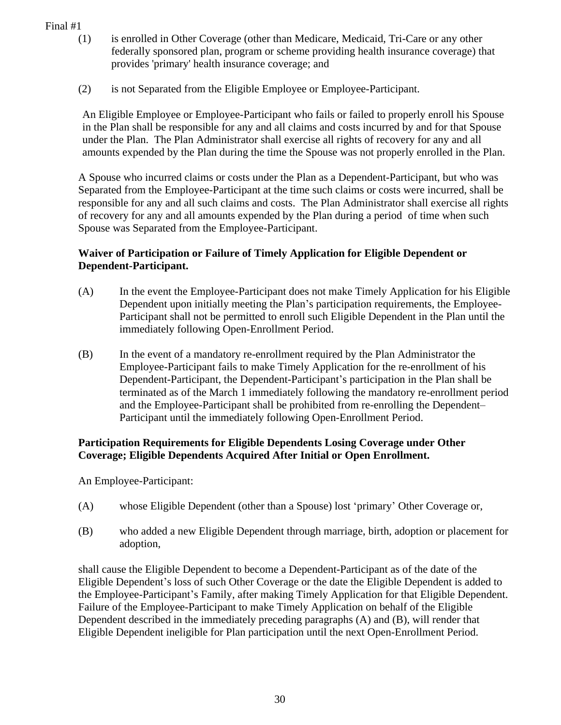- (1) is enrolled in Other Coverage (other than Medicare, Medicaid, Tri-Care or any other federally sponsored plan, program or scheme providing health insurance coverage) that provides 'primary' health insurance coverage; and
- (2) is not Separated from the Eligible Employee or Employee-Participant.

An Eligible Employee or Employee-Participant who fails or failed to properly enroll his Spouse in the Plan shall be responsible for any and all claims and costs incurred by and for that Spouse under the Plan. The Plan Administrator shall exercise all rights of recovery for any and all amounts expended by the Plan during the time the Spouse was not properly enrolled in the Plan.

A Spouse who incurred claims or costs under the Plan as a Dependent-Participant, but who was Separated from the Employee-Participant at the time such claims or costs were incurred, shall be responsible for any and all such claims and costs. The Plan Administrator shall exercise all rights of recovery for any and all amounts expended by the Plan during a period of time when such Spouse was Separated from the Employee-Participant.

#### **Waiver of Participation or Failure of Timely Application for Eligible Dependent or Dependent-Participant.**

- (A) In the event the Employee-Participant does not make Timely Application for his Eligible Dependent upon initially meeting the Plan's participation requirements, the Employee-Participant shall not be permitted to enroll such Eligible Dependent in the Plan until the immediately following Open-Enrollment Period.
- (B) In the event of a mandatory re-enrollment required by the Plan Administrator the Employee-Participant fails to make Timely Application for the re-enrollment of his Dependent-Participant, the Dependent-Participant's participation in the Plan shall be terminated as of the March 1 immediately following the mandatory re-enrollment period and the Employee-Participant shall be prohibited from re-enrolling the Dependent– Participant until the immediately following Open-Enrollment Period.

#### **Participation Requirements for Eligible Dependents Losing Coverage under Other Coverage; Eligible Dependents Acquired After Initial or Open Enrollment.**

An Employee-Participant:

- (A) whose Eligible Dependent (other than a Spouse) lost 'primary' Other Coverage or,
- (B) who added a new Eligible Dependent through marriage, birth, adoption or placement for adoption,

shall cause the Eligible Dependent to become a Dependent-Participant as of the date of the Eligible Dependent's loss of such Other Coverage or the date the Eligible Dependent is added to the Employee-Participant's Family, after making Timely Application for that Eligible Dependent. Failure of the Employee-Participant to make Timely Application on behalf of the Eligible Dependent described in the immediately preceding paragraphs (A) and (B), will render that Eligible Dependent ineligible for Plan participation until the next Open-Enrollment Period.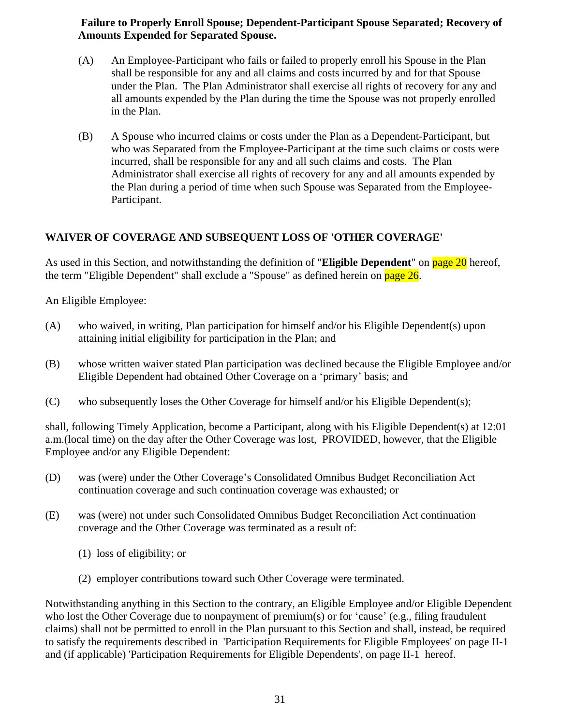#### **Failure to Properly Enroll Spouse; Dependent-Participant Spouse Separated; Recovery of Amounts Expended for Separated Spouse.**

- (A) An Employee-Participant who fails or failed to properly enroll his Spouse in the Plan shall be responsible for any and all claims and costs incurred by and for that Spouse under the Plan. The Plan Administrator shall exercise all rights of recovery for any and all amounts expended by the Plan during the time the Spouse was not properly enrolled in the Plan.
- (B) A Spouse who incurred claims or costs under the Plan as a Dependent-Participant, but who was Separated from the Employee-Participant at the time such claims or costs were incurred, shall be responsible for any and all such claims and costs. The Plan Administrator shall exercise all rights of recovery for any and all amounts expended by the Plan during a period of time when such Spouse was Separated from the Employee-Participant.

### **WAIVER OF COVERAGE AND SUBSEQUENT LOSS OF 'OTHER COVERAGE'**

As used in this Section, and notwithstanding the definition of "**Eligible Dependent**" on page 20 hereof, the term "Eligible Dependent" shall exclude a "Spouse" as defined herein on page 26.

An Eligible Employee:

- (A) who waived, in writing, Plan participation for himself and/or his Eligible Dependent(s) upon attaining initial eligibility for participation in the Plan; and
- (B) whose written waiver stated Plan participation was declined because the Eligible Employee and/or Eligible Dependent had obtained Other Coverage on a 'primary' basis; and
- (C) who subsequently loses the Other Coverage for himself and/or his Eligible Dependent(s);

shall, following Timely Application, become a Participant, along with his Eligible Dependent(s) at 12:01 a.m.(local time) on the day after the Other Coverage was lost, PROVIDED, however, that the Eligible Employee and/or any Eligible Dependent:

- (D) was (were) under the Other Coverage's Consolidated Omnibus Budget Reconciliation Act continuation coverage and such continuation coverage was exhausted; or
- (E) was (were) not under such Consolidated Omnibus Budget Reconciliation Act continuation coverage and the Other Coverage was terminated as a result of:
	- (1) loss of eligibility; or
	- (2) employer contributions toward such Other Coverage were terminated.

Notwithstanding anything in this Section to the contrary, an Eligible Employee and/or Eligible Dependent who lost the Other Coverage due to nonpayment of premium(s) or for 'cause' (e.g., filing fraudulent claims) shall not be permitted to enroll in the Plan pursuant to this Section and shall, instead, be required to satisfy the requirements described in 'Participation Requirements for Eligible Employees' on page II-1 and (if applicable) 'Participation Requirements for Eligible Dependents', on page II-1 hereof.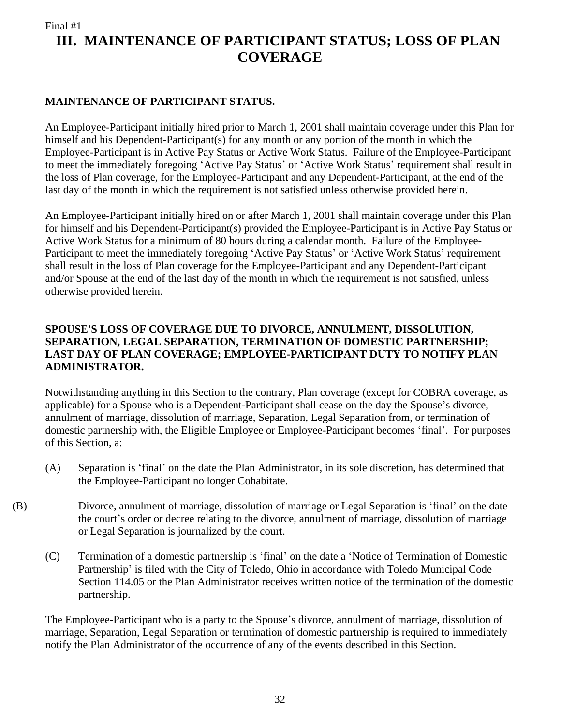### **III. MAINTENANCE OF PARTICIPANT STATUS; LOSS OF PLAN COVERAGE**

#### **MAINTENANCE OF PARTICIPANT STATUS.**

An Employee-Participant initially hired prior to March 1, 2001 shall maintain coverage under this Plan for himself and his Dependent-Participant(s) for any month or any portion of the month in which the Employee-Participant is in Active Pay Status or Active Work Status. Failure of the Employee-Participant to meet the immediately foregoing 'Active Pay Status' or 'Active Work Status' requirement shall result in the loss of Plan coverage, for the Employee-Participant and any Dependent-Participant, at the end of the last day of the month in which the requirement is not satisfied unless otherwise provided herein.

An Employee-Participant initially hired on or after March 1, 2001 shall maintain coverage under this Plan for himself and his Dependent-Participant(s) provided the Employee-Participant is in Active Pay Status or Active Work Status for a minimum of 80 hours during a calendar month. Failure of the Employee-Participant to meet the immediately foregoing 'Active Pay Status' or 'Active Work Status' requirement shall result in the loss of Plan coverage for the Employee-Participant and any Dependent-Participant and/or Spouse at the end of the last day of the month in which the requirement is not satisfied, unless otherwise provided herein.

#### **SPOUSE'S LOSS OF COVERAGE DUE TO DIVORCE, ANNULMENT, DISSOLUTION, SEPARATION, LEGAL SEPARATION, TERMINATION OF DOMESTIC PARTNERSHIP; LAST DAY OF PLAN COVERAGE; EMPLOYEE-PARTICIPANT DUTY TO NOTIFY PLAN ADMINISTRATOR.**

Notwithstanding anything in this Section to the contrary, Plan coverage (except for COBRA coverage, as applicable) for a Spouse who is a Dependent-Participant shall cease on the day the Spouse's divorce, annulment of marriage, dissolution of marriage, Separation, Legal Separation from, or termination of domestic partnership with, the Eligible Employee or Employee-Participant becomes 'final'. For purposes of this Section, a:

- (A) Separation is 'final' on the date the Plan Administrator, in its sole discretion, has determined that the Employee-Participant no longer Cohabitate.
- (B) Divorce, annulment of marriage, dissolution of marriage or Legal Separation is 'final' on the date the court's order or decree relating to the divorce, annulment of marriage, dissolution of marriage or Legal Separation is journalized by the court.
	- (C) Termination of a domestic partnership is 'final' on the date a 'Notice of Termination of Domestic Partnership' is filed with the City of Toledo, Ohio in accordance with Toledo Municipal Code Section 114.05 or the Plan Administrator receives written notice of the termination of the domestic partnership.

The Employee-Participant who is a party to the Spouse's divorce, annulment of marriage, dissolution of marriage, Separation, Legal Separation or termination of domestic partnership is required to immediately notify the Plan Administrator of the occurrence of any of the events described in this Section.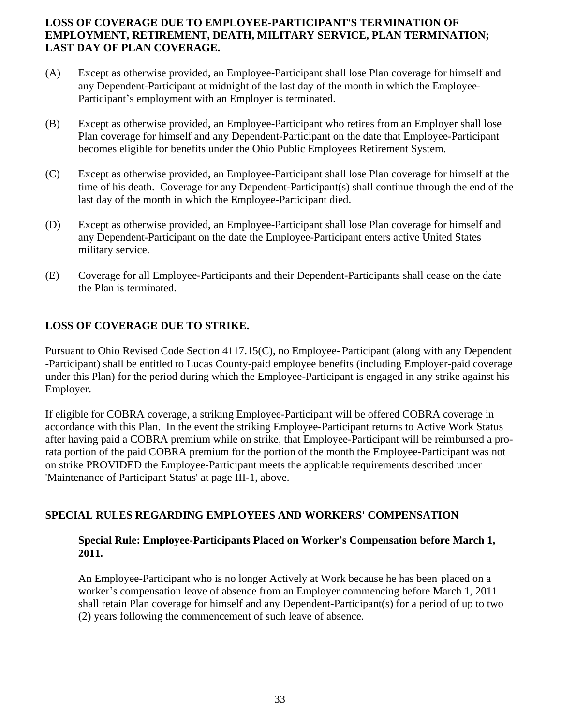#### **LOSS OF COVERAGE DUE TO EMPLOYEE-PARTICIPANT'S TERMINATION OF EMPLOYMENT, RETIREMENT, DEATH, MILITARY SERVICE, PLAN TERMINATION; LAST DAY OF PLAN COVERAGE.**

- (A) Except as otherwise provided, an Employee-Participant shall lose Plan coverage for himself and any Dependent-Participant at midnight of the last day of the month in which the Employee-Participant's employment with an Employer is terminated.
- (B) Except as otherwise provided, an Employee-Participant who retires from an Employer shall lose Plan coverage for himself and any Dependent-Participant on the date that Employee-Participant becomes eligible for benefits under the Ohio Public Employees Retirement System.
- (C) Except as otherwise provided, an Employee-Participant shall lose Plan coverage for himself at the time of his death. Coverage for any Dependent-Participant(s) shall continue through the end of the last day of the month in which the Employee-Participant died.
- (D) Except as otherwise provided, an Employee-Participant shall lose Plan coverage for himself and any Dependent-Participant on the date the Employee-Participant enters active United States military service.
- (E) Coverage for all Employee-Participants and their Dependent-Participants shall cease on the date the Plan is terminated.

#### **LOSS OF COVERAGE DUE TO STRIKE.**

Pursuant to Ohio Revised Code Section 4117.15(C), no Employee- Participant (along with any Dependent -Participant) shall be entitled to Lucas County-paid employee benefits (including Employer-paid coverage under this Plan) for the period during which the Employee-Participant is engaged in any strike against his Employer.

If eligible for COBRA coverage, a striking Employee-Participant will be offered COBRA coverage in accordance with this Plan. In the event the striking Employee-Participant returns to Active Work Status after having paid a COBRA premium while on strike, that Employee-Participant will be reimbursed a prorata portion of the paid COBRA premium for the portion of the month the Employee-Participant was not on strike PROVIDED the Employee-Participant meets the applicable requirements described under 'Maintenance of Participant Status' at page III-1, above.

#### **SPECIAL RULES REGARDING EMPLOYEES AND WORKERS' COMPENSATION**

#### **Special Rule: Employee-Participants Placed on Worker's Compensation before March 1, 2011.**

An Employee-Participant who is no longer Actively at Work because he has been placed on a worker's compensation leave of absence from an Employer commencing before March 1, 2011 shall retain Plan coverage for himself and any Dependent-Participant(s) for a period of up to two (2) years following the commencement of such leave of absence.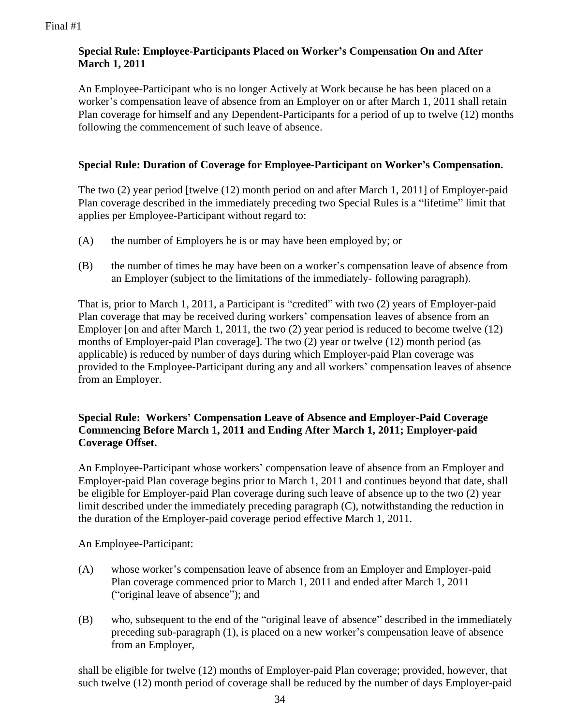#### **Special Rule: Employee-Participants Placed on Worker's Compensation On and After March 1, 2011**

An Employee-Participant who is no longer Actively at Work because he has been placed on a worker's compensation leave of absence from an Employer on or after March 1, 2011 shall retain Plan coverage for himself and any Dependent-Participants for a period of up to twelve (12) months following the commencement of such leave of absence.

#### **Special Rule: Duration of Coverage for Employee-Participant on Worker's Compensation.**

The two (2) year period [twelve (12) month period on and after March 1, 2011] of Employer-paid Plan coverage described in the immediately preceding two Special Rules is a "lifetime" limit that applies per Employee-Participant without regard to:

- (A) the number of Employers he is or may have been employed by; or
- (B) the number of times he may have been on a worker's compensation leave of absence from an Employer (subject to the limitations of the immediately- following paragraph).

That is, prior to March 1, 2011, a Participant is "credited" with two (2) years of Employer-paid Plan coverage that may be received during workers' compensation leaves of absence from an Employer [on and after March 1, 2011, the two (2) year period is reduced to become twelve (12) months of Employer-paid Plan coverage]. The two (2) year or twelve (12) month period (as applicable) is reduced by number of days during which Employer-paid Plan coverage was provided to the Employee-Participant during any and all workers' compensation leaves of absence from an Employer.

#### **Special Rule: Workers' Compensation Leave of Absence and Employer-Paid Coverage Commencing Before March 1, 2011 and Ending After March 1, 2011; Employer-paid Coverage Offset.**

An Employee-Participant whose workers' compensation leave of absence from an Employer and Employer-paid Plan coverage begins prior to March 1, 2011 and continues beyond that date, shall be eligible for Employer-paid Plan coverage during such leave of absence up to the two (2) year limit described under the immediately preceding paragraph (C), notwithstanding the reduction in the duration of the Employer-paid coverage period effective March 1, 2011.

An Employee-Participant:

- (A) whose worker's compensation leave of absence from an Employer and Employer-paid Plan coverage commenced prior to March 1, 2011 and ended after March 1, 2011 ("original leave of absence"); and
- (B) who, subsequent to the end of the "original leave of absence" described in the immediately preceding sub-paragraph (1), is placed on a new worker's compensation leave of absence from an Employer,

shall be eligible for twelve (12) months of Employer-paid Plan coverage; provided, however, that such twelve (12) month period of coverage shall be reduced by the number of days Employer-paid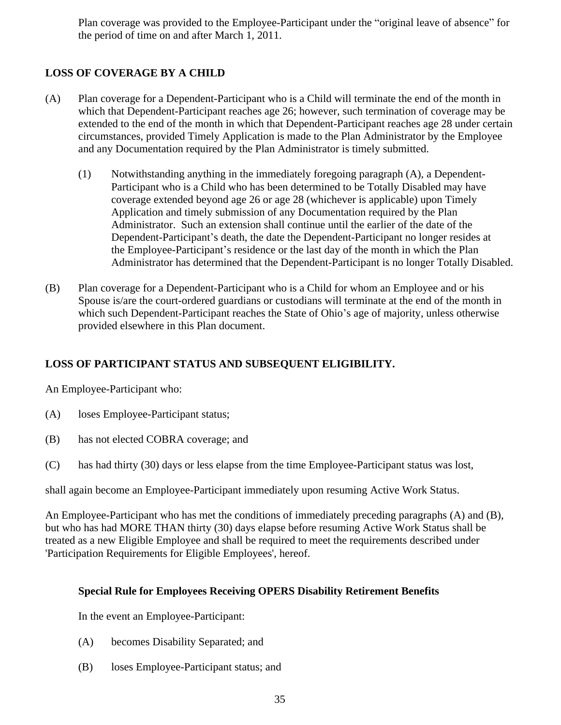Plan coverage was provided to the Employee-Participant under the "original leave of absence" for the period of time on and after March 1, 2011.

### **LOSS OF COVERAGE BY A CHILD**

- (A) Plan coverage for a Dependent-Participant who is a Child will terminate the end of the month in which that Dependent-Participant reaches age 26; however, such termination of coverage may be extended to the end of the month in which that Dependent-Participant reaches age 28 under certain circumstances, provided Timely Application is made to the Plan Administrator by the Employee and any Documentation required by the Plan Administrator is timely submitted.
	- (1) Notwithstanding anything in the immediately foregoing paragraph (A), a Dependent-Participant who is a Child who has been determined to be Totally Disabled may have coverage extended beyond age 26 or age 28 (whichever is applicable) upon Timely Application and timely submission of any Documentation required by the Plan Administrator. Such an extension shall continue until the earlier of the date of the Dependent-Participant's death, the date the Dependent-Participant no longer resides at the Employee-Participant's residence or the last day of the month in which the Plan Administrator has determined that the Dependent-Participant is no longer Totally Disabled.
- (B) Plan coverage for a Dependent-Participant who is a Child for whom an Employee and or his Spouse is/are the court-ordered guardians or custodians will terminate at the end of the month in which such Dependent-Participant reaches the State of Ohio's age of majority, unless otherwise provided elsewhere in this Plan document.

### **LOSS OF PARTICIPANT STATUS AND SUBSEQUENT ELIGIBILITY.**

An Employee-Participant who:

- (A) loses Employee-Participant status;
- (B) has not elected COBRA coverage; and
- (C) has had thirty (30) days or less elapse from the time Employee-Participant status was lost,

shall again become an Employee-Participant immediately upon resuming Active Work Status.

An Employee-Participant who has met the conditions of immediately preceding paragraphs (A) and (B), but who has had MORE THAN thirty (30) days elapse before resuming Active Work Status shall be treated as a new Eligible Employee and shall be required to meet the requirements described under 'Participation Requirements for Eligible Employees', hereof.

#### **Special Rule for Employees Receiving OPERS Disability Retirement Benefits**

In the event an Employee-Participant:

- (A) becomes Disability Separated; and
- (B) loses Employee-Participant status; and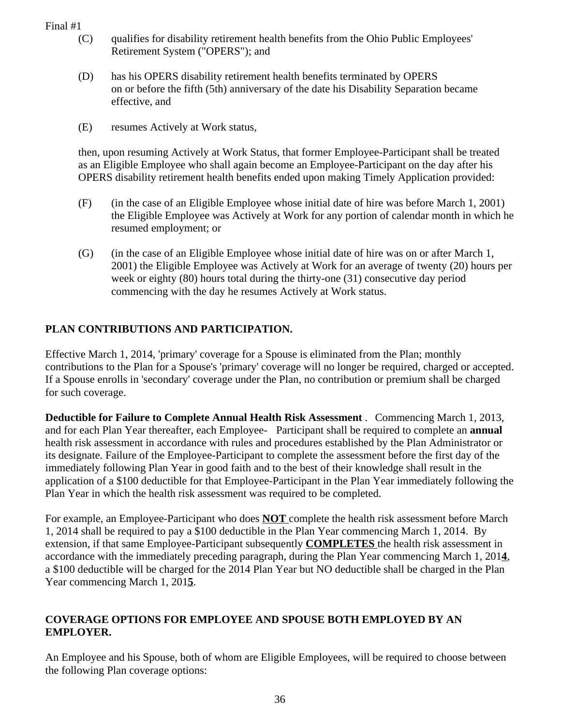- (C) qualifies for disability retirement health benefits from the Ohio Public Employees' Retirement System ("OPERS"); and
- (D) has his OPERS disability retirement health benefits terminated by OPERS on or before the fifth (5th) anniversary of the date his Disability Separation became effective, and
- (E) resumes Actively at Work status,

then, upon resuming Actively at Work Status, that former Employee-Participant shall be treated as an Eligible Employee who shall again become an Employee-Participant on the day after his OPERS disability retirement health benefits ended upon making Timely Application provided:

- (F) (in the case of an Eligible Employee whose initial date of hire was before March 1, 2001) the Eligible Employee was Actively at Work for any portion of calendar month in which he resumed employment; or
- (G) (in the case of an Eligible Employee whose initial date of hire was on or after March 1, 2001) the Eligible Employee was Actively at Work for an average of twenty (20) hours per week or eighty (80) hours total during the thirty-one (31) consecutive day period commencing with the day he resumes Actively at Work status.

### **PLAN CONTRIBUTIONS AND PARTICIPATION.**

Effective March 1, 2014, 'primary' coverage for a Spouse is eliminated from the Plan; monthly contributions to the Plan for a Spouse's 'primary' coverage will no longer be required, charged or accepted. If a Spouse enrolls in 'secondary' coverage under the Plan, no contribution or premium shall be charged for such coverage.

**Deductible for Failure to Complete Annual Health Risk Assessment** . Commencing March 1, 2013, and for each Plan Year thereafter, each Employee- Participant shall be required to complete an **annual** health risk assessment in accordance with rules and procedures established by the Plan Administrator or its designate. Failure of the Employee-Participant to complete the assessment before the first day of the immediately following Plan Year in good faith and to the best of their knowledge shall result in the application of a \$100 deductible for that Employee-Participant in the Plan Year immediately following the Plan Year in which the health risk assessment was required to be completed.

For example, an Employee-Participant who does **NOT** complete the health risk assessment before March 1, 2014 shall be required to pay a \$100 deductible in the Plan Year commencing March 1, 2014. By extension, if that same Employee-Participant subsequently **COMPLETES** the health risk assessment in accordance with the immediately preceding paragraph, during the Plan Year commencing March 1, 201**4**, a \$100 deductible will be charged for the 2014 Plan Year but NO deductible shall be charged in the Plan Year commencing March 1, 201**5**.

#### **COVERAGE OPTIONS FOR EMPLOYEE AND SPOUSE BOTH EMPLOYED BY AN EMPLOYER.**

An Employee and his Spouse, both of whom are Eligible Employees, will be required to choose between the following Plan coverage options: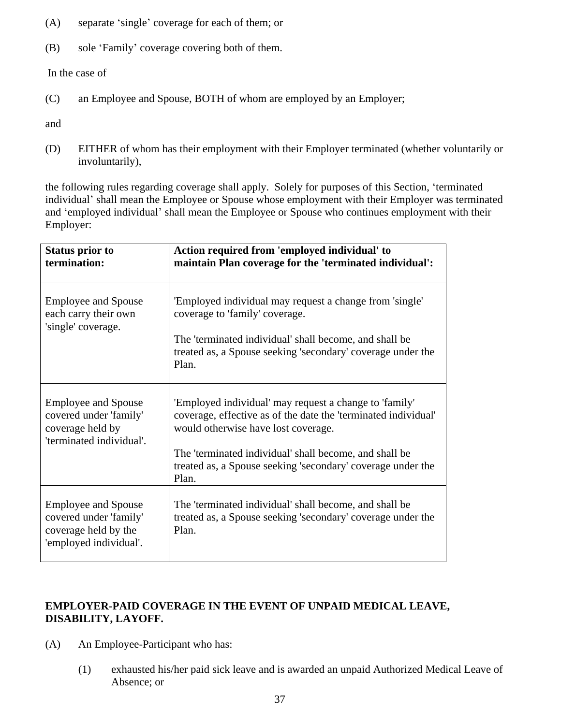- (A) separate 'single' coverage for each of them; or
- (B) sole 'Family' coverage covering both of them.

In the case of

(C) an Employee and Spouse, BOTH of whom are employed by an Employer;

and

(D) EITHER of whom has their employment with their Employer terminated (whether voluntarily or involuntarily),

the following rules regarding coverage shall apply. Solely for purposes of this Section, 'terminated individual' shall mean the Employee or Spouse whose employment with their Employer was terminated and 'employed individual' shall mean the Employee or Spouse who continues employment with their Employer:

| <b>Status prior to</b><br>termination:                                                                 | Action required from 'employed individual' to<br>maintain Plan coverage for the 'terminated individual':                                                                                                                                                                                          |
|--------------------------------------------------------------------------------------------------------|---------------------------------------------------------------------------------------------------------------------------------------------------------------------------------------------------------------------------------------------------------------------------------------------------|
| <b>Employee and Spouse</b><br>each carry their own<br>'single' coverage.                               | 'Employed individual may request a change from 'single'<br>coverage to 'family' coverage.<br>The 'terminated individual' shall become, and shall be<br>treated as, a Spouse seeking 'secondary' coverage under the<br>Plan.                                                                       |
| <b>Employee and Spouse</b><br>covered under 'family'<br>coverage held by<br>'terminated individual'.   | 'Employed individual' may request a change to 'family'<br>coverage, effective as of the date the 'terminated individual'<br>would otherwise have lost coverage.<br>The 'terminated individual' shall become, and shall be<br>treated as, a Spouse seeking 'secondary' coverage under the<br>Plan. |
| <b>Employee and Spouse</b><br>covered under 'family'<br>coverage held by the<br>'employed individual'. | The 'terminated individual' shall become, and shall be<br>treated as, a Spouse seeking 'secondary' coverage under the<br>Plan.                                                                                                                                                                    |

## **EMPLOYER-PAID COVERAGE IN THE EVENT OF UNPAID MEDICAL LEAVE, DISABILITY, LAYOFF.**

- (A) An Employee-Participant who has:
	- (1) exhausted his/her paid sick leave and is awarded an unpaid Authorized Medical Leave of Absence; or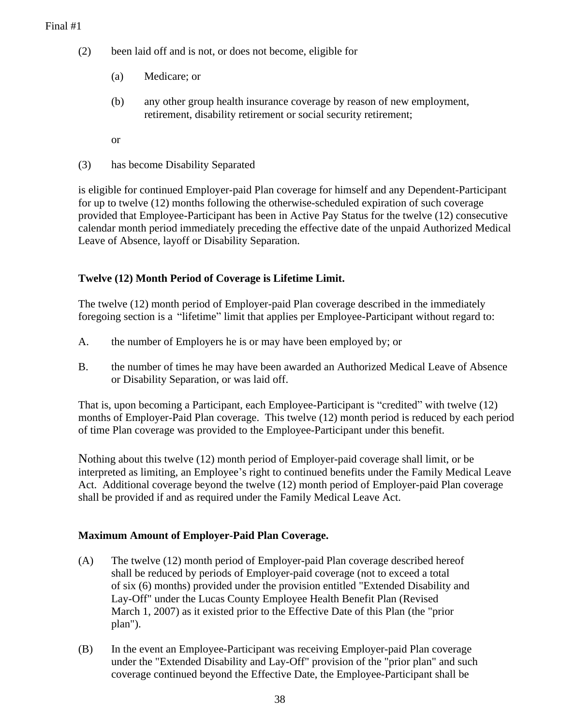- (2) been laid off and is not, or does not become, eligible for
	- (a) Medicare; or
	- (b) any other group health insurance coverage by reason of new employment, retirement, disability retirement or social security retirement;
	- or
- (3) has become Disability Separated

is eligible for continued Employer-paid Plan coverage for himself and any Dependent-Participant for up to twelve (12) months following the otherwise-scheduled expiration of such coverage provided that Employee-Participant has been in Active Pay Status for the twelve (12) consecutive calendar month period immediately preceding the effective date of the unpaid Authorized Medical Leave of Absence, layoff or Disability Separation.

#### **Twelve (12) Month Period of Coverage is Lifetime Limit.**

The twelve (12) month period of Employer-paid Plan coverage described in the immediately foregoing section is a "lifetime" limit that applies per Employee-Participant without regard to:

- A. the number of Employers he is or may have been employed by; or
- B. the number of times he may have been awarded an Authorized Medical Leave of Absence or Disability Separation, or was laid off.

That is, upon becoming a Participant, each Employee-Participant is "credited" with twelve (12) months of Employer-Paid Plan coverage. This twelve (12) month period is reduced by each period of time Plan coverage was provided to the Employee-Participant under this benefit.

Nothing about this twelve (12) month period of Employer-paid coverage shall limit, or be interpreted as limiting, an Employee's right to continued benefits under the Family Medical Leave Act. Additional coverage beyond the twelve (12) month period of Employer-paid Plan coverage shall be provided if and as required under the Family Medical Leave Act.

#### **Maximum Amount of Employer-Paid Plan Coverage.**

- (A) The twelve (12) month period of Employer-paid Plan coverage described hereof shall be reduced by periods of Employer-paid coverage (not to exceed a total of six (6) months) provided under the provision entitled "Extended Disability and Lay-Off" under the Lucas County Employee Health Benefit Plan (Revised March 1, 2007) as it existed prior to the Effective Date of this Plan (the "prior plan").
- (B) In the event an Employee-Participant was receiving Employer-paid Plan coverage under the "Extended Disability and Lay-Off" provision of the "prior plan" and such coverage continued beyond the Effective Date, the Employee-Participant shall be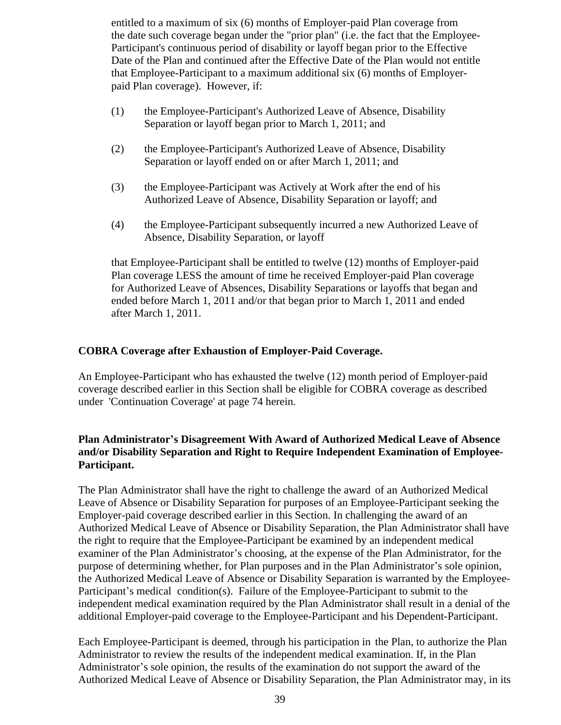entitled to a maximum of six (6) months of Employer-paid Plan coverage from the date such coverage began under the "prior plan" (i.e. the fact that the Employee-Participant's continuous period of disability or layoff began prior to the Effective Date of the Plan and continued after the Effective Date of the Plan would not entitle that Employee-Participant to a maximum additional six (6) months of Employerpaid Plan coverage). However, if:

- (1) the Employee-Participant's Authorized Leave of Absence, Disability Separation or layoff began prior to March 1, 2011; and
- (2) the Employee-Participant's Authorized Leave of Absence, Disability Separation or layoff ended on or after March 1, 2011; and
- (3) the Employee-Participant was Actively at Work after the end of his Authorized Leave of Absence, Disability Separation or layoff; and
- (4) the Employee-Participant subsequently incurred a new Authorized Leave of Absence, Disability Separation, or layoff

that Employee-Participant shall be entitled to twelve (12) months of Employer-paid Plan coverage LESS the amount of time he received Employer-paid Plan coverage for Authorized Leave of Absences, Disability Separations or layoffs that began and ended before March 1, 2011 and/or that began prior to March 1, 2011 and ended after March 1, 2011.

#### **COBRA Coverage after Exhaustion of Employer-Paid Coverage.**

An Employee-Participant who has exhausted the twelve (12) month period of Employer-paid coverage described earlier in this Section shall be eligible for COBRA coverage as described under 'Continuation Coverage' at page 74 herein.

#### **Plan Administrator's Disagreement With Award of Authorized Medical Leave of Absence and/or Disability Separation and Right to Require Independent Examination of Employee-Participant.**

The Plan Administrator shall have the right to challenge the award of an Authorized Medical Leave of Absence or Disability Separation for purposes of an Employee-Participant seeking the Employer-paid coverage described earlier in this Section. In challenging the award of an Authorized Medical Leave of Absence or Disability Separation, the Plan Administrator shall have the right to require that the Employee-Participant be examined by an independent medical examiner of the Plan Administrator's choosing, at the expense of the Plan Administrator, for the purpose of determining whether, for Plan purposes and in the Plan Administrator's sole opinion, the Authorized Medical Leave of Absence or Disability Separation is warranted by the Employee-Participant's medical condition(s). Failure of the Employee-Participant to submit to the independent medical examination required by the Plan Administrator shall result in a denial of the additional Employer-paid coverage to the Employee-Participant and his Dependent-Participant.

Each Employee-Participant is deemed, through his participation in the Plan, to authorize the Plan Administrator to review the results of the independent medical examination. If, in the Plan Administrator's sole opinion, the results of the examination do not support the award of the Authorized Medical Leave of Absence or Disability Separation, the Plan Administrator may, in its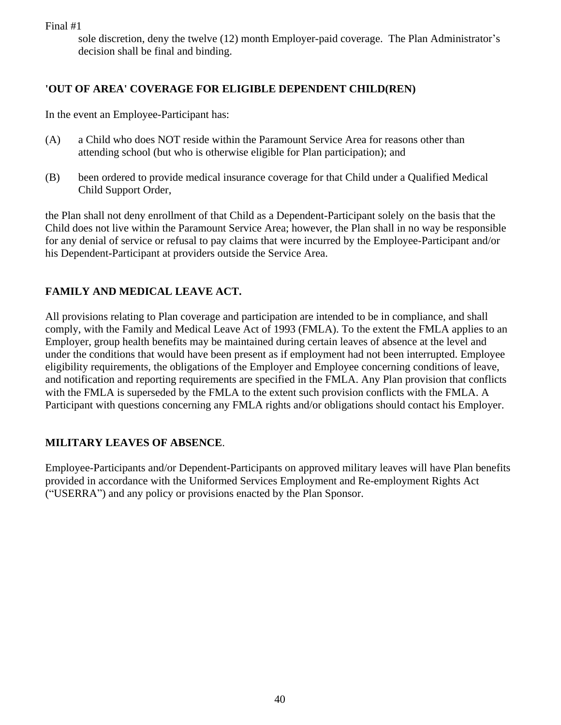sole discretion, deny the twelve (12) month Employer-paid coverage. The Plan Administrator's decision shall be final and binding.

## **'OUT OF AREA' COVERAGE FOR ELIGIBLE DEPENDENT CHILD(REN)**

In the event an Employee-Participant has:

- (A) a Child who does NOT reside within the Paramount Service Area for reasons other than attending school (but who is otherwise eligible for Plan participation); and
- (B) been ordered to provide medical insurance coverage for that Child under a Qualified Medical Child Support Order,

the Plan shall not deny enrollment of that Child as a Dependent-Participant solely on the basis that the Child does not live within the Paramount Service Area; however, the Plan shall in no way be responsible for any denial of service or refusal to pay claims that were incurred by the Employee-Participant and/or his Dependent-Participant at providers outside the Service Area.

## **FAMILY AND MEDICAL LEAVE ACT.**

All provisions relating to Plan coverage and participation are intended to be in compliance, and shall comply, with the Family and Medical Leave Act of 1993 (FMLA). To the extent the FMLA applies to an Employer, group health benefits may be maintained during certain leaves of absence at the level and under the conditions that would have been present as if employment had not been interrupted. Employee eligibility requirements, the obligations of the Employer and Employee concerning conditions of leave, and notification and reporting requirements are specified in the FMLA. Any Plan provision that conflicts with the FMLA is superseded by the FMLA to the extent such provision conflicts with the FMLA. A Participant with questions concerning any FMLA rights and/or obligations should contact his Employer.

## **MILITARY LEAVES OF ABSENCE**.

Employee-Participants and/or Dependent-Participants on approved military leaves will have Plan benefits provided in accordance with the Uniformed Services Employment and Re-employment Rights Act ("USERRA") and any policy or provisions enacted by the Plan Sponsor.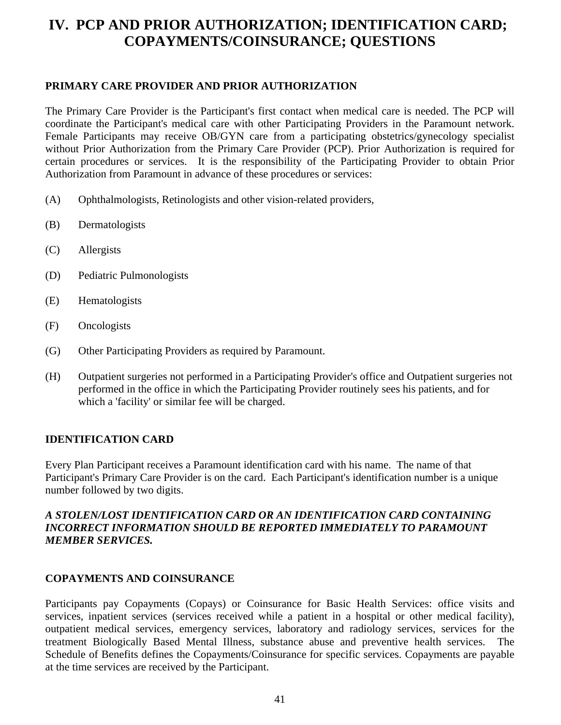# **IV. PCP AND PRIOR AUTHORIZATION; IDENTIFICATION CARD; COPAYMENTS/COINSURANCE; QUESTIONS**

#### **PRIMARY CARE PROVIDER AND PRIOR AUTHORIZATION**

The Primary Care Provider is the Participant's first contact when medical care is needed. The PCP will coordinate the Participant's medical care with other Participating Providers in the Paramount network. Female Participants may receive OB/GYN care from a participating obstetrics/gynecology specialist without Prior Authorization from the Primary Care Provider (PCP). Prior Authorization is required for certain procedures or services. It is the responsibility of the Participating Provider to obtain Prior Authorization from Paramount in advance of these procedures or services:

- (A) Ophthalmologists, Retinologists and other vision-related providers,
- (B) Dermatologists
- (C) Allergists
- (D) Pediatric Pulmonologists
- (E) Hematologists
- (F) Oncologists
- (G) Other Participating Providers as required by Paramount.
- (H) Outpatient surgeries not performed in a Participating Provider's office and Outpatient surgeries not performed in the office in which the Participating Provider routinely sees his patients, and for which a 'facility' or similar fee will be charged.

#### **IDENTIFICATION CARD**

Every Plan Participant receives a Paramount identification card with his name. The name of that Participant's Primary Care Provider is on the card. Each Participant's identification number is a unique number followed by two digits.

#### *A STOLEN/LOST IDENTIFICATION CARD OR AN IDENTIFICATION CARD CONTAINING INCORRECT INFORMATION SHOULD BE REPORTED IMMEDIATELY TO PARAMOUNT MEMBER SERVICES.*

#### **COPAYMENTS AND COINSURANCE**

Participants pay Copayments (Copays) or Coinsurance for Basic Health Services: office visits and services, inpatient services (services received while a patient in a hospital or other medical facility), outpatient medical services, emergency services, laboratory and radiology services, services for the treatment Biologically Based Mental Illness, substance abuse and preventive health services. The Schedule of Benefits defines the Copayments/Coinsurance for specific services. Copayments are payable at the time services are received by the Participant.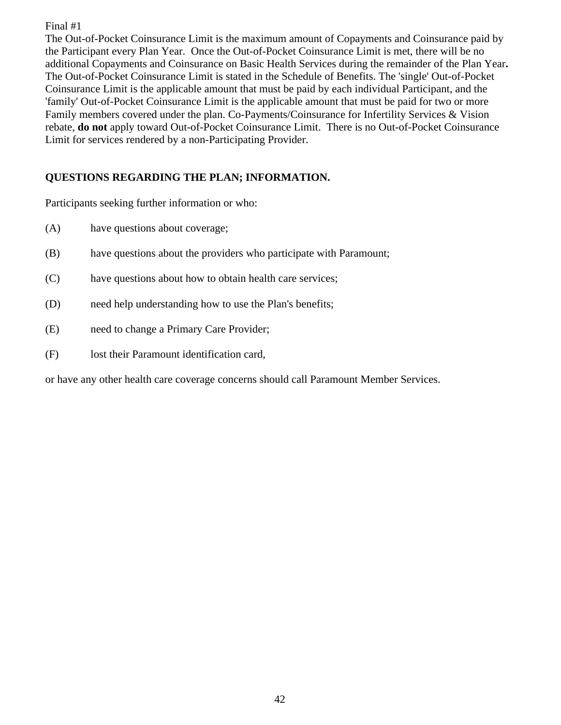The Out-of-Pocket Coinsurance Limit is the maximum amount of Copayments and Coinsurance paid by the Participant every Plan Year. Once the Out-of-Pocket Coinsurance Limit is met, there will be no additional Copayments and Coinsurance on Basic Health Services during the remainder of the Plan Year**.**  The Out-of-Pocket Coinsurance Limit is stated in the Schedule of Benefits. The 'single' Out-of-Pocket Coinsurance Limit is the applicable amount that must be paid by each individual Participant, and the 'family' Out-of-Pocket Coinsurance Limit is the applicable amount that must be paid for two or more Family members covered under the plan. Co-Payments/Coinsurance for Infertility Services & Vision rebate, **do not** apply toward Out-of-Pocket Coinsurance Limit. There is no Out-of-Pocket Coinsurance Limit for services rendered by a non-Participating Provider.

## **QUESTIONS REGARDING THE PLAN; INFORMATION.**

Participants seeking further information or who:

- (A) have questions about coverage;
- (B) have questions about the providers who participate with Paramount;
- (C) have questions about how to obtain health care services;
- (D) need help understanding how to use the Plan's benefits;
- (E) need to change a Primary Care Provider;
- (F) lost their Paramount identification card,

or have any other health care coverage concerns should call Paramount Member Services.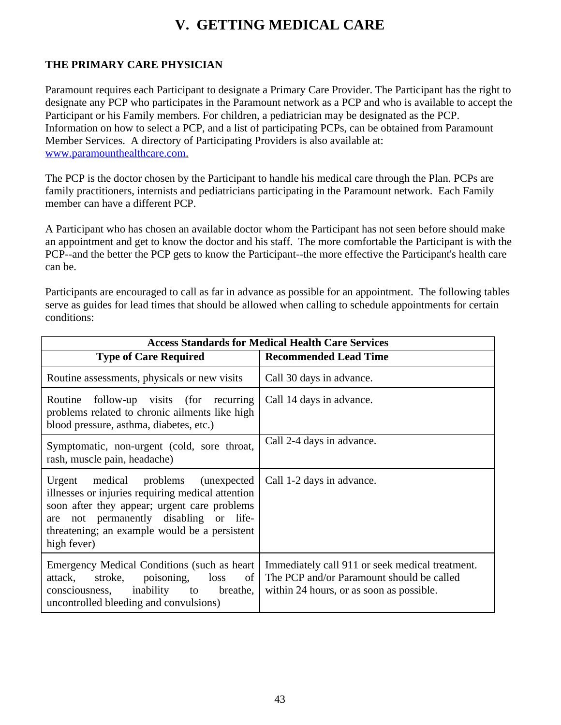# **V. GETTING MEDICAL CARE**

## **THE PRIMARY CARE PHYSICIAN**

Paramount requires each Participant to designate a Primary Care Provider. The Participant has the right to designate any PCP who participates in the Paramount network as a PCP and who is available to accept the Participant or his Family members. For children, a pediatrician may be designated as the PCP. Information on how to select a PCP, and a list of participating PCPs, can be obtained from Paramount Member Services. A directory of Participating Providers is also available at: [www.paramounthealthcare.com.](http://www.paramounthealthcare.com)

The PCP is the doctor chosen by the Participant to handle his medical care through the Plan. PCPs are family practitioners, internists and pediatricians participating in the Paramount network. Each Family member can have a different PCP.

A Participant who has chosen an available doctor whom the Participant has not seen before should make an appointment and get to know the doctor and his staff. The more comfortable the Participant is with the PCP--and the better the PCP gets to know the Participant--the more effective the Participant's health care can be.

Participants are encouraged to call as far in advance as possible for an appointment. The following tables serve as guides for lead times that should be allowed when calling to schedule appointments for certain conditions:

| <b>Access Standards for Medical Health Care Services</b>                                                                                                                                                                                              |                                                                                                                                          |  |  |
|-------------------------------------------------------------------------------------------------------------------------------------------------------------------------------------------------------------------------------------------------------|------------------------------------------------------------------------------------------------------------------------------------------|--|--|
| <b>Type of Care Required</b>                                                                                                                                                                                                                          | <b>Recommended Lead Time</b>                                                                                                             |  |  |
| Routine assessments, physicals or new visits                                                                                                                                                                                                          | Call 30 days in advance.                                                                                                                 |  |  |
| follow-up visits (for recurring<br>Routine<br>problems related to chronic ailments like high<br>blood pressure, asthma, diabetes, etc.)                                                                                                               | Call 14 days in advance.                                                                                                                 |  |  |
| Symptomatic, non-urgent (cold, sore throat,<br>rash, muscle pain, headache)                                                                                                                                                                           | Call 2-4 days in advance.                                                                                                                |  |  |
| Urgent medical problems (unexpected<br>illnesses or injuries requiring medical attention<br>soon after they appear; urgent care problems<br>not permanently disabling or life-<br>are<br>threatening; an example would be a persistent<br>high fever) | Call 1-2 days in advance.                                                                                                                |  |  |
| Emergency Medical Conditions (such as heart)<br>attack, stroke, poisoning,<br>loss<br>of<br>consciousness, inability to breathe,<br>uncontrolled bleeding and convulsions)                                                                            | Immediately call 911 or seek medical treatment.<br>The PCP and/or Paramount should be called<br>within 24 hours, or as soon as possible. |  |  |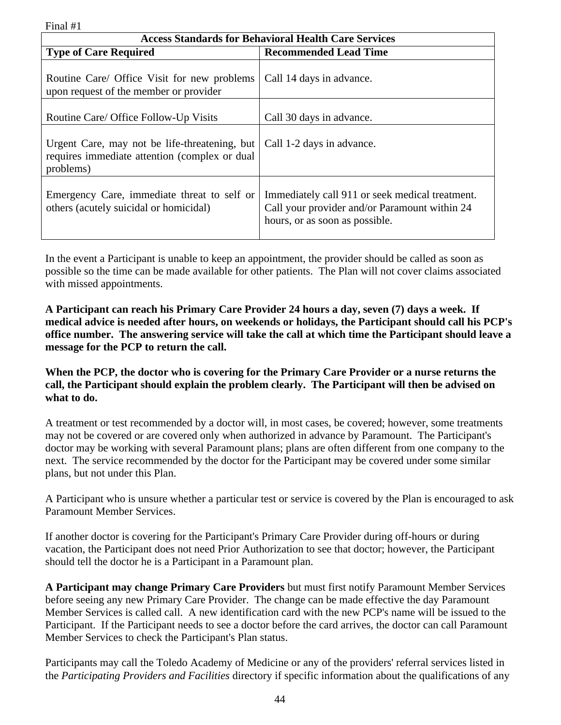| <b>Access Standards for Behavioral Health Care Services</b>                                                  |                                                                                                                                    |  |
|--------------------------------------------------------------------------------------------------------------|------------------------------------------------------------------------------------------------------------------------------------|--|
| <b>Type of Care Required</b>                                                                                 | <b>Recommended Lead Time</b>                                                                                                       |  |
| Routine Care/ Office Visit for new problems<br>upon request of the member or provider                        | Call 14 days in advance.                                                                                                           |  |
| Routine Care/ Office Follow-Up Visits                                                                        | Call 30 days in advance.                                                                                                           |  |
| Urgent Care, may not be life-threatening, but<br>requires immediate attention (complex or dual)<br>problems) | Call 1-2 days in advance.                                                                                                          |  |
| Emergency Care, immediate threat to self or<br>others (acutely suicidal or homicidal)                        | Immediately call 911 or seek medical treatment.<br>Call your provider and/or Paramount within 24<br>hours, or as soon as possible. |  |

In the event a Participant is unable to keep an appointment, the provider should be called as soon as possible so the time can be made available for other patients. The Plan will not cover claims associated with missed appointments.

**A Participant can reach his Primary Care Provider 24 hours a day, seven (7) days a week. If medical advice is needed after hours, on weekends or holidays, the Participant should call his PCP's office number. The answering service will take the call at which time the Participant should leave a message for the PCP to return the call.**

**When the PCP, the doctor who is covering for the Primary Care Provider or a nurse returns the call, the Participant should explain the problem clearly. The Participant will then be advised on what to do.**

A treatment or test recommended by a doctor will, in most cases, be covered; however, some treatments may not be covered or are covered only when authorized in advance by Paramount. The Participant's doctor may be working with several Paramount plans; plans are often different from one company to the next. The service recommended by the doctor for the Participant may be covered under some similar plans, but not under this Plan.

A Participant who is unsure whether a particular test or service is covered by the Plan is encouraged to ask Paramount Member Services.

If another doctor is covering for the Participant's Primary Care Provider during off-hours or during vacation, the Participant does not need Prior Authorization to see that doctor; however, the Participant should tell the doctor he is a Participant in a Paramount plan.

**A Participant may change Primary Care Providers** but must first notify Paramount Member Services before seeing any new Primary Care Provider. The change can be made effective the day Paramount Member Services is called call. A new identification card with the new PCP's name will be issued to the Participant. If the Participant needs to see a doctor before the card arrives, the doctor can call Paramount Member Services to check the Participant's Plan status.

Participants may call the Toledo Academy of Medicine or any of the providers' referral services listed in the *Participating Providers and Facilities* directory if specific information about the qualifications of any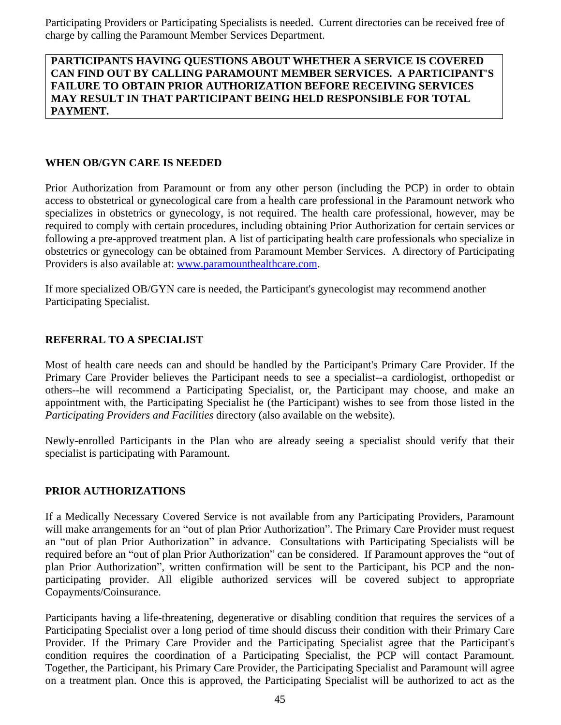Participating Providers or Participating Specialists is needed. Current directories can be received free of charge by calling the Paramount Member Services Department.

#### **PARTICIPANTS HAVING QUESTIONS ABOUT WHETHER A SERVICE IS COVERED CAN FIND OUT BY CALLING PARAMOUNT MEMBER SERVICES. A PARTICIPANT'S FAILURE TO OBTAIN PRIOR AUTHORIZATION BEFORE RECEIVING SERVICES MAY RESULT IN THAT PARTICIPANT BEING HELD RESPONSIBLE FOR TOTAL PAYMENT.**

#### **WHEN OB/GYN CARE IS NEEDED**

Prior Authorization from Paramount or from any other person (including the PCP) in order to obtain access to obstetrical or gynecological care from a health care professional in the Paramount network who specializes in obstetrics or gynecology, is not required. The health care professional, however, may be required to comply with certain procedures, including obtaining Prior Authorization for certain services or following a pre-approved treatment plan. A list of participating health care professionals who specialize in obstetrics or gynecology can be obtained from Paramount Member Services. A directory of Participating Providers is also available at: [www.paramounthealthcare.com](http://www.paramounthealthcare.com).

If more specialized OB/GYN care is needed, the Participant's gynecologist may recommend another Participating Specialist.

#### **REFERRAL TO A SPECIALIST**

Most of health care needs can and should be handled by the Participant's Primary Care Provider. If the Primary Care Provider believes the Participant needs to see a specialist--a cardiologist, orthopedist or others--he will recommend a Participating Specialist, or, the Participant may choose, and make an appointment with, the Participating Specialist he (the Participant) wishes to see from those listed in the *Participating Providers and Facilities* directory (also available on the website).

Newly-enrolled Participants in the Plan who are already seeing a specialist should verify that their specialist is participating with Paramount.

#### **PRIOR AUTHORIZATIONS**

If a Medically Necessary Covered Service is not available from any Participating Providers, Paramount will make arrangements for an "out of plan Prior Authorization". The Primary Care Provider must request an "out of plan Prior Authorization" in advance. Consultations with Participating Specialists will be required before an "out of plan Prior Authorization" can be considered. If Paramount approves the "out of plan Prior Authorization", written confirmation will be sent to the Participant, his PCP and the nonparticipating provider. All eligible authorized services will be covered subject to appropriate Copayments/Coinsurance.

Participants having a life-threatening, degenerative or disabling condition that requires the services of a Participating Specialist over a long period of time should discuss their condition with their Primary Care Provider. If the Primary Care Provider and the Participating Specialist agree that the Participant's condition requires the coordination of a Participating Specialist, the PCP will contact Paramount. Together, the Participant, his Primary Care Provider, the Participating Specialist and Paramount will agree on a treatment plan. Once this is approved, the Participating Specialist will be authorized to act as the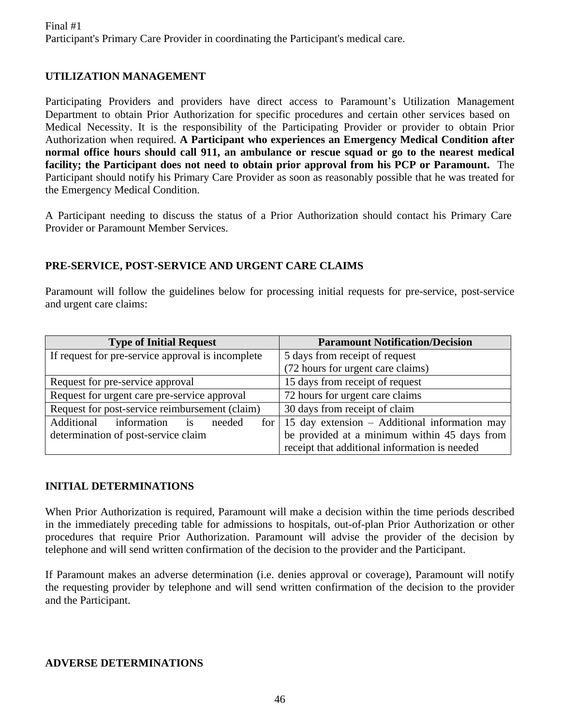## **UTILIZATION MANAGEMENT**

Participating Providers and providers have direct access to Paramount's Utilization Management Department to obtain Prior Authorization for specific procedures and certain other services based on Medical Necessity. It is the responsibility of the Participating Provider or provider to obtain Prior Authorization when required. **A Participant who experiences an Emergency Medical Condition after normal office hours should call 911, an ambulance or rescue squad or go to the nearest medical facility; the Participant does not need to obtain prior approval from his PCP or Paramount.** The Participant should notify his Primary Care Provider as soon as reasonably possible that he was treated for the Emergency Medical Condition.

A Participant needing to discuss the status of a Prior Authorization should contact his Primary Care Provider or Paramount Member Services.

#### **PRE-SERVICE, POST-SERVICE AND URGENT CARE CLAIMS**

Paramount will follow the guidelines below for processing initial requests for pre-service, post-service and urgent care claims:

| <b>Type of Initial Request</b>                    | <b>Paramount Notification/Decision</b>                |
|---------------------------------------------------|-------------------------------------------------------|
| If request for pre-service approval is incomplete | 5 days from receipt of request                        |
|                                                   | (72 hours for urgent care claims)                     |
| Request for pre-service approval                  | 15 days from receipt of request                       |
| Request for urgent care pre-service approval      | 72 hours for urgent care claims                       |
| Request for post-service reimbursement (claim)    | 30 days from receipt of claim                         |
| information<br>Additional<br>is<br>needed         | for   15 day extension $-$ Additional information may |
| determination of post-service claim               | be provided at a minimum within 45 days from          |
|                                                   | receipt that additional information is needed         |

#### **INITIAL DETERMINATIONS**

When Prior Authorization is required, Paramount will make a decision within the time periods described in the immediately preceding table for admissions to hospitals, out-of-plan Prior Authorization or other procedures that require Prior Authorization. Paramount will advise the provider of the decision by telephone and will send written confirmation of the decision to the provider and the Participant.

If Paramount makes an adverse determination (i.e. denies approval or coverage), Paramount will notify the requesting provider by telephone and will send written confirmation of the decision to the provider and the Participant.

#### **ADVERSE DETERMINATIONS**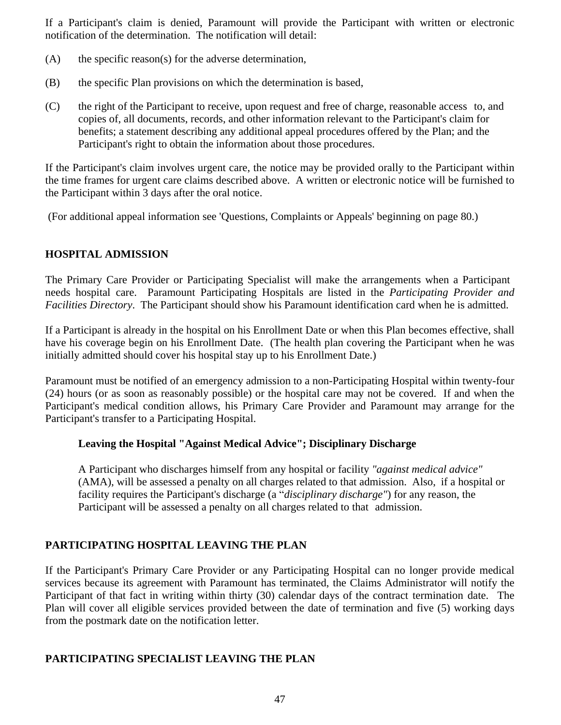If a Participant's claim is denied, Paramount will provide the Participant with written or electronic notification of the determination. The notification will detail:

- (A) the specific reason(s) for the adverse determination,
- (B) the specific Plan provisions on which the determination is based,
- (C) the right of the Participant to receive, upon request and free of charge, reasonable access to, and copies of, all documents, records, and other information relevant to the Participant's claim for benefits; a statement describing any additional appeal procedures offered by the Plan; and the Participant's right to obtain the information about those procedures.

If the Participant's claim involves urgent care, the notice may be provided orally to the Participant within the time frames for urgent care claims described above. A written or electronic notice will be furnished to the Participant within 3 days after the oral notice.

(For additional appeal information see 'Questions, Complaints or Appeals' beginning on page 80.)

#### **HOSPITAL ADMISSION**

The Primary Care Provider or Participating Specialist will make the arrangements when a Participant needs hospital care. Paramount Participating Hospitals are listed in the *Participating Provider and Facilities Directory*. The Participant should show his Paramount identification card when he is admitted.

If a Participant is already in the hospital on his Enrollment Date or when this Plan becomes effective, shall have his coverage begin on his Enrollment Date. (The health plan covering the Participant when he was initially admitted should cover his hospital stay up to his Enrollment Date.)

Paramount must be notified of an emergency admission to a non-Participating Hospital within twenty-four (24) hours (or as soon as reasonably possible) or the hospital care may not be covered. If and when the Participant's medical condition allows, his Primary Care Provider and Paramount may arrange for the Participant's transfer to a Participating Hospital.

#### **Leaving the Hospital "Against Medical Advice"; Disciplinary Discharge**

A Participant who discharges himself from any hospital or facility *"against medical advice"* (AMA), will be assessed a penalty on all charges related to that admission. Also, if a hospital or facility requires the Participant's discharge (a "*disciplinary discharge"*) for any reason, the Participant will be assessed a penalty on all charges related to that admission.

#### **PARTICIPATING HOSPITAL LEAVING THE PLAN**

If the Participant's Primary Care Provider or any Participating Hospital can no longer provide medical services because its agreement with Paramount has terminated, the Claims Administrator will notify the Participant of that fact in writing within thirty (30) calendar days of the contract termination date. The Plan will cover all eligible services provided between the date of termination and five (5) working days from the postmark date on the notification letter.

#### **PARTICIPATING SPECIALIST LEAVING THE PLAN**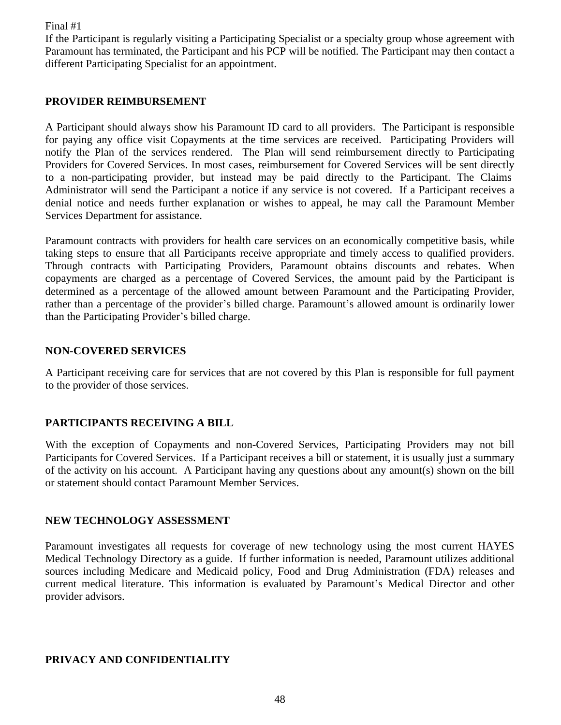If the Participant is regularly visiting a Participating Specialist or a specialty group whose agreement with Paramount has terminated, the Participant and his PCP will be notified. The Participant may then contact a different Participating Specialist for an appointment.

#### **PROVIDER REIMBURSEMENT**

A Participant should always show his Paramount ID card to all providers. The Participant is responsible for paying any office visit Copayments at the time services are received. Participating Providers will notify the Plan of the services rendered. The Plan will send reimbursement directly to Participating Providers for Covered Services. In most cases, reimbursement for Covered Services will be sent directly to a non-participating provider, but instead may be paid directly to the Participant. The Claims Administrator will send the Participant a notice if any service is not covered. If a Participant receives a denial notice and needs further explanation or wishes to appeal, he may call the Paramount Member Services Department for assistance.

Paramount contracts with providers for health care services on an economically competitive basis, while taking steps to ensure that all Participants receive appropriate and timely access to qualified providers. Through contracts with Participating Providers, Paramount obtains discounts and rebates. When copayments are charged as a percentage of Covered Services, the amount paid by the Participant is determined as a percentage of the allowed amount between Paramount and the Participating Provider, rather than a percentage of the provider's billed charge. Paramount's allowed amount is ordinarily lower than the Participating Provider's billed charge.

#### **NON-COVERED SERVICES**

A Participant receiving care for services that are not covered by this Plan is responsible for full payment to the provider of those services.

#### **PARTICIPANTS RECEIVING A BILL**

With the exception of Copayments and non-Covered Services, Participating Providers may not bill Participants for Covered Services. If a Participant receives a bill or statement, it is usually just a summary of the activity on his account. A Participant having any questions about any amount(s) shown on the bill or statement should contact Paramount Member Services.

#### **NEW TECHNOLOGY ASSESSMENT**

Paramount investigates all requests for coverage of new technology using the most current HAYES Medical Technology Directory as a guide. If further information is needed, Paramount utilizes additional sources including Medicare and Medicaid policy, Food and Drug Administration (FDA) releases and current medical literature. This information is evaluated by Paramount's Medical Director and other provider advisors.

#### **PRIVACY AND CONFIDENTIALITY**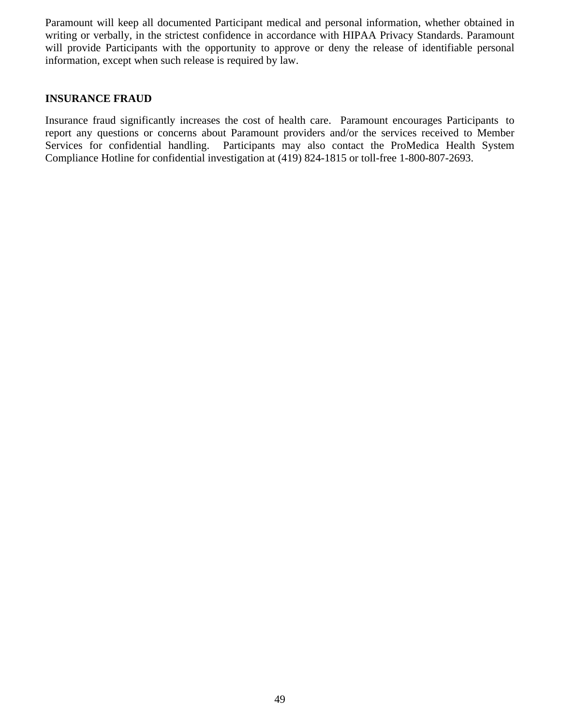Paramount will keep all documented Participant medical and personal information, whether obtained in writing or verbally, in the strictest confidence in accordance with HIPAA Privacy Standards. Paramount will provide Participants with the opportunity to approve or deny the release of identifiable personal information, except when such release is required by law.

#### **INSURANCE FRAUD**

Insurance fraud significantly increases the cost of health care. Paramount encourages Participants to report any questions or concerns about Paramount providers and/or the services received to Member Services for confidential handling. Participants may also contact the ProMedica Health System Compliance Hotline for confidential investigation at (419) 824-1815 or toll-free 1-800-807-2693.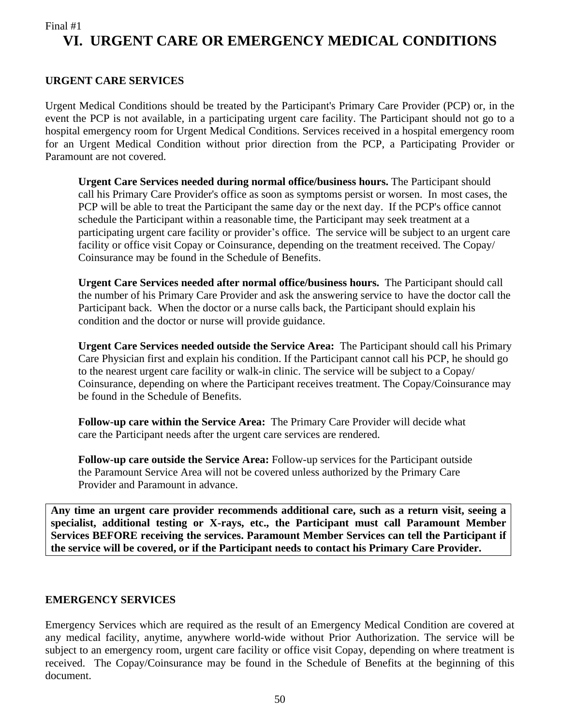## Final #1 **VI. URGENT CARE OR EMERGENCY MEDICAL CONDITIONS**

#### **URGENT CARE SERVICES**

Urgent Medical Conditions should be treated by the Participant's Primary Care Provider (PCP) or, in the event the PCP is not available, in a participating urgent care facility. The Participant should not go to a hospital emergency room for Urgent Medical Conditions. Services received in a hospital emergency room for an Urgent Medical Condition without prior direction from the PCP, a Participating Provider or Paramount are not covered.

**Urgent Care Services needed during normal office/business hours.** The Participant should call his Primary Care Provider's office as soon as symptoms persist or worsen. In most cases, the PCP will be able to treat the Participant the same day or the next day. If the PCP's office cannot schedule the Participant within a reasonable time, the Participant may seek treatment at a participating urgent care facility or provider's office. The service will be subject to an urgent care facility or office visit Copay or Coinsurance, depending on the treatment received. The Copay/ Coinsurance may be found in the Schedule of Benefits.

**Urgent Care Services needed after normal office/business hours.** The Participant should call the number of his Primary Care Provider and ask the answering service to have the doctor call the Participant back. When the doctor or a nurse calls back, the Participant should explain his condition and the doctor or nurse will provide guidance.

**Urgent Care Services needed outside the Service Area:** The Participant should call his Primary Care Physician first and explain his condition. If the Participant cannot call his PCP, he should go to the nearest urgent care facility or walk-in clinic. The service will be subject to a Copay/ Coinsurance, depending on where the Participant receives treatment. The Copay/Coinsurance may be found in the Schedule of Benefits.

**Follow-up care within the Service Area:** The Primary Care Provider will decide what care the Participant needs after the urgent care services are rendered.

**Follow-up care outside the Service Area:** Follow-up services for the Participant outside the Paramount Service Area will not be covered unless authorized by the Primary Care Provider and Paramount in advance.

**Any time an urgent care provider recommends additional care, such as a return visit, seeing a specialist, additional testing or X-rays, etc., the Participant must call Paramount Member Services BEFORE receiving the services. Paramount Member Services can tell the Participant if the service will be covered, or if the Participant needs to contact his Primary Care Provider.**

#### **EMERGENCY SERVICES**

Emergency Services which are required as the result of an Emergency Medical Condition are covered at any medical facility, anytime, anywhere world-wide without Prior Authorization. The service will be subject to an emergency room, urgent care facility or office visit Copay, depending on where treatment is received. The Copay/Coinsurance may be found in the Schedule of Benefits at the beginning of this document.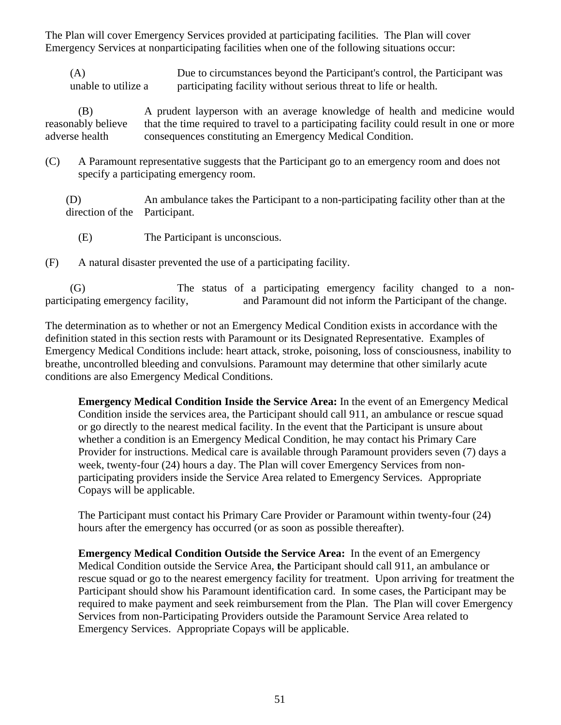The Plan will cover Emergency Services provided at participating facilities. The Plan will cover Emergency Services at nonparticipating facilities when one of the following situations occur:

(A) Due to circumstances beyond the Participant's control, the Participant was unable to utilize a participating facility without serious threat to life or health.

(B) A prudent layperson with an average knowledge of health and medicine would reasonably believe that the time required to travel to a participating facility could result in one or more adverse health consequences constituting an Emergency Medical Condition.

(C) A Paramount representative suggests that the Participant go to an emergency room and does not specify a participating emergency room.

(D) An ambulance takes the Participant to a non-participating facility other than at the direction of the Participant.

(E) The Participant is unconscious.

(F) A natural disaster prevented the use of a participating facility.

(G) The status of a participating emergency facility changed to a nonparticipating emergency facility, and Paramount did not inform the Participant of the change.

The determination as to whether or not an Emergency Medical Condition exists in accordance with the definition stated in this section rests with Paramount or its Designated Representative. Examples of Emergency Medical Conditions include: heart attack, stroke, poisoning, loss of consciousness, inability to breathe, uncontrolled bleeding and convulsions. Paramount may determine that other similarly acute conditions are also Emergency Medical Conditions.

**Emergency Medical Condition Inside the Service Area:** In the event of an Emergency Medical Condition inside the services area, the Participant should call 911, an ambulance or rescue squad or go directly to the nearest medical facility. In the event that the Participant is unsure about whether a condition is an Emergency Medical Condition, he may contact his Primary Care Provider for instructions. Medical care is available through Paramount providers seven (7) days a week, twenty-four (24) hours a day. The Plan will cover Emergency Services from nonparticipating providers inside the Service Area related to Emergency Services. Appropriate Copays will be applicable.

The Participant must contact his Primary Care Provider or Paramount within twenty-four (24) hours after the emergency has occurred (or as soon as possible thereafter).

**Emergency Medical Condition Outside the Service Area:** In the event of an Emergency Medical Condition outside the Service Area, **t**he Participant should call 911, an ambulance or rescue squad or go to the nearest emergency facility for treatment. Upon arriving for treatment the Participant should show his Paramount identification card. In some cases, the Participant may be required to make payment and seek reimbursement from the Plan. The Plan will cover Emergency Services from non-Participating Providers outside the Paramount Service Area related to Emergency Services. Appropriate Copays will be applicable.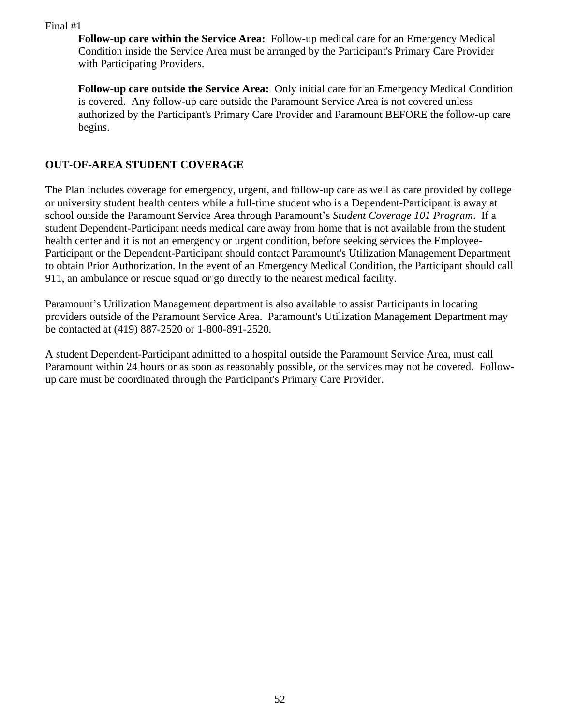**Follow-up care within the Service Area:** Follow-up medical care for an Emergency Medical Condition inside the Service Area must be arranged by the Participant's Primary Care Provider with Participating Providers.

**Follow-up care outside the Service Area:** Only initial care for an Emergency Medical Condition is covered. Any follow-up care outside the Paramount Service Area is not covered unless authorized by the Participant's Primary Care Provider and Paramount BEFORE the follow-up care begins.

## **OUT-OF-AREA STUDENT COVERAGE**

The Plan includes coverage for emergency, urgent, and follow-up care as well as care provided by college or university student health centers while a full-time student who is a Dependent-Participant is away at school outside the Paramount Service Area through Paramount's *Student Coverage 101 Program*. If a student Dependent-Participant needs medical care away from home that is not available from the student health center and it is not an emergency or urgent condition, before seeking services the Employee-Participant or the Dependent-Participant should contact Paramount's Utilization Management Department to obtain Prior Authorization. In the event of an Emergency Medical Condition, the Participant should call 911, an ambulance or rescue squad or go directly to the nearest medical facility.

Paramount's Utilization Management department is also available to assist Participants in locating providers outside of the Paramount Service Area. Paramount's Utilization Management Department may be contacted at (419) 887-2520 or 1-800-891-2520.

A student Dependent-Participant admitted to a hospital outside the Paramount Service Area, must call Paramount within 24 hours or as soon as reasonably possible, or the services may not be covered. Followup care must be coordinated through the Participant's Primary Care Provider.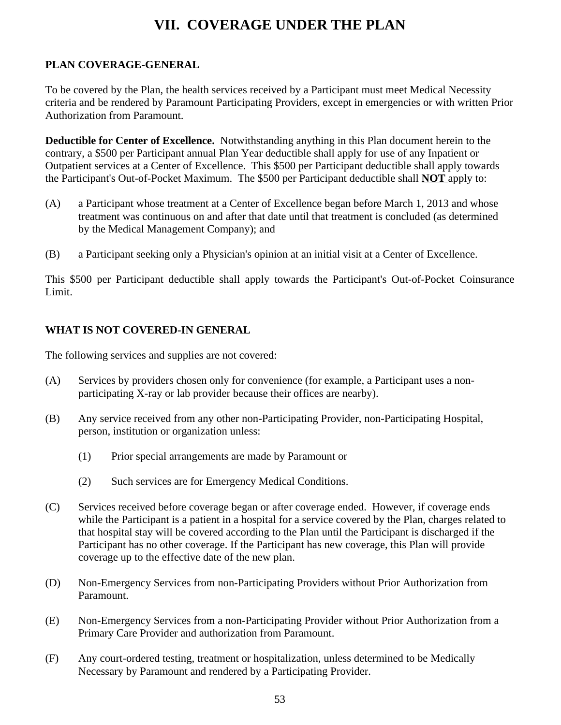# **VII. COVERAGE UNDER THE PLAN**

## **PLAN COVERAGE-GENERAL**

To be covered by the Plan, the health services received by a Participant must meet Medical Necessity criteria and be rendered by Paramount Participating Providers, except in emergencies or with written Prior Authorization from Paramount.

**Deductible for Center of Excellence.** Notwithstanding anything in this Plan document herein to the contrary, a \$500 per Participant annual Plan Year deductible shall apply for use of any Inpatient or Outpatient services at a Center of Excellence. This \$500 per Participant deductible shall apply towards the Participant's Out-of-Pocket Maximum. The \$500 per Participant deductible shall **NOT** apply to:

- (A) a Participant whose treatment at a Center of Excellence began before March 1, 2013 and whose treatment was continuous on and after that date until that treatment is concluded (as determined by the Medical Management Company); and
- (B) a Participant seeking only a Physician's opinion at an initial visit at a Center of Excellence.

This \$500 per Participant deductible shall apply towards the Participant's Out-of-Pocket Coinsurance Limit.

### **WHAT IS NOT COVERED-IN GENERAL**

The following services and supplies are not covered:

- (A) Services by providers chosen only for convenience (for example, a Participant uses a nonparticipating X-ray or lab provider because their offices are nearby).
- (B) Any service received from any other non-Participating Provider, non-Participating Hospital, person, institution or organization unless:
	- (1) Prior special arrangements are made by Paramount or
	- (2) Such services are for Emergency Medical Conditions.
- (C) Services received before coverage began or after coverage ended. However, if coverage ends while the Participant is a patient in a hospital for a service covered by the Plan, charges related to that hospital stay will be covered according to the Plan until the Participant is discharged if the Participant has no other coverage. If the Participant has new coverage, this Plan will provide coverage up to the effective date of the new plan.
- (D) Non-Emergency Services from non-Participating Providers without Prior Authorization from Paramount.
- (E) Non-Emergency Services from a non-Participating Provider without Prior Authorization from a Primary Care Provider and authorization from Paramount.
- (F) Any court-ordered testing, treatment or hospitalization, unless determined to be Medically Necessary by Paramount and rendered by a Participating Provider.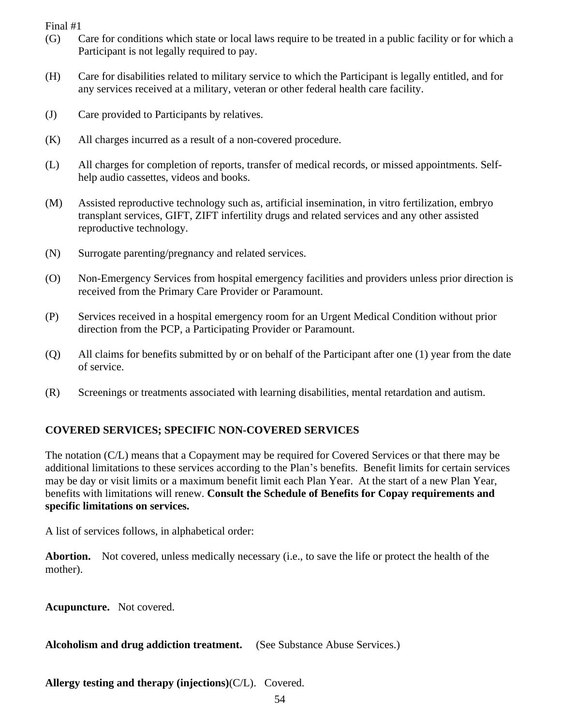- (G) Care for conditions which state or local laws require to be treated in a public facility or for which a Participant is not legally required to pay.
- (H) Care for disabilities related to military service to which the Participant is legally entitled, and for any services received at a military, veteran or other federal health care facility.
- (J) Care provided to Participants by relatives.
- (K) All charges incurred as a result of a non-covered procedure.
- (L) All charges for completion of reports, transfer of medical records, or missed appointments. Selfhelp audio cassettes, videos and books.
- (M) Assisted reproductive technology such as, artificial insemination, in vitro fertilization, embryo transplant services, GIFT, ZIFT infertility drugs and related services and any other assisted reproductive technology.
- (N) Surrogate parenting/pregnancy and related services.
- (O) Non-Emergency Services from hospital emergency facilities and providers unless prior direction is received from the Primary Care Provider or Paramount.
- (P) Services received in a hospital emergency room for an Urgent Medical Condition without prior direction from the PCP, a Participating Provider or Paramount.
- (Q) All claims for benefits submitted by or on behalf of the Participant after one (1) year from the date of service.
- (R) Screenings or treatments associated with learning disabilities, mental retardation and autism.

## **COVERED SERVICES; SPECIFIC NON-COVERED SERVICES**

The notation (C/L) means that a Copayment may be required for Covered Services or that there may be additional limitations to these services according to the Plan's benefits. Benefit limits for certain services may be day or visit limits or a maximum benefit limit each Plan Year. At the start of a new Plan Year, benefits with limitations will renew. **Consult the Schedule of Benefits for Copay requirements and specific limitations on services.**

A list of services follows, in alphabetical order:

**Abortion.** Not covered, unless medically necessary (i.e., to save the life or protect the health of the mother).

**Acupuncture.** Not covered.

**Alcoholism and drug addiction treatment.** (See Substance Abuse Services.)

**Allergy testing and therapy (injections)**(C/L). Covered.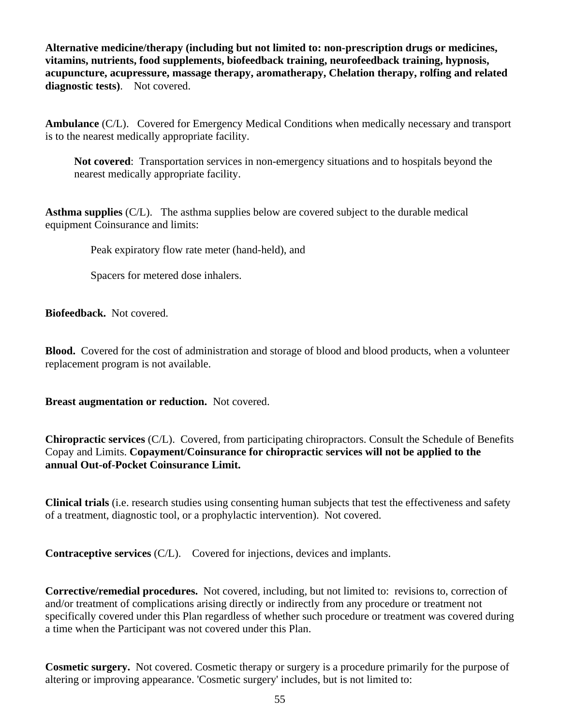**Alternative medicine/therapy (including but not limited to: non-prescription drugs or medicines, vitamins, nutrients, food supplements, biofeedback training, neurofeedback training, hypnosis, acupuncture, acupressure, massage therapy, aromatherapy, Chelation therapy, rolfing and related diagnostic tests)**. Not covered.

**Ambulance** (C/L). Covered for Emergency Medical Conditions when medically necessary and transport is to the nearest medically appropriate facility.

**Not covered**: Transportation services in non-emergency situations and to hospitals beyond the nearest medically appropriate facility.

**Asthma supplies** (C/L). The asthma supplies below are covered subject to the durable medical equipment Coinsurance and limits:

Peak expiratory flow rate meter (hand-held), and

Spacers for metered dose inhalers.

**Biofeedback.** Not covered.

**Blood.** Covered for the cost of administration and storage of blood and blood products, when a volunteer replacement program is not available.

**Breast augmentation or reduction.** Not covered.

**Chiropractic services** (C/L). Covered, from participating chiropractors. Consult the Schedule of Benefits Copay and Limits. **Copayment/Coinsurance for chiropractic services will not be applied to the annual Out-of-Pocket Coinsurance Limit.**

**Clinical trials** (i.e. research studies using consenting human subjects that test the effectiveness and safety of a treatment, diagnostic tool, or a prophylactic intervention). Not covered.

**Contraceptive services** (C/L). Covered for injections, devices and implants.

**Corrective/remedial procedures.** Not covered, including, but not limited to: revisions to, correction of and/or treatment of complications arising directly or indirectly from any procedure or treatment not specifically covered under this Plan regardless of whether such procedure or treatment was covered during a time when the Participant was not covered under this Plan.

**Cosmetic surgery.** Not covered. Cosmetic therapy or surgery is a procedure primarily for the purpose of altering or improving appearance. 'Cosmetic surgery' includes, but is not limited to: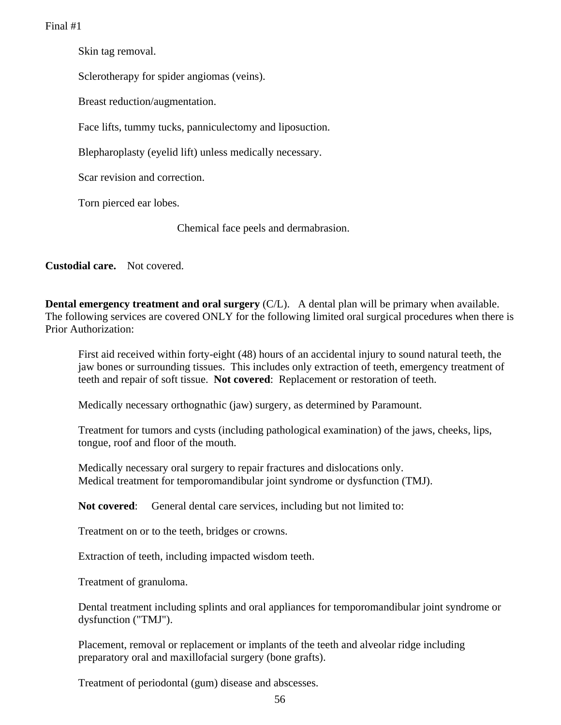Skin tag removal.

Sclerotherapy for spider angiomas (veins).

Breast reduction/augmentation.

Face lifts, tummy tucks, panniculectomy and liposuction.

Blepharoplasty (eyelid lift) unless medically necessary.

Scar revision and correction.

Torn pierced ear lobes.

Chemical face peels and dermabrasion.

**Custodial care.** Not covered.

**Dental emergency treatment and oral surgery** (C/L). A dental plan will be primary when available. The following services are covered ONLY for the following limited oral surgical procedures when there is Prior Authorization:

First aid received within forty-eight (48) hours of an accidental injury to sound natural teeth, the jaw bones or surrounding tissues. This includes only extraction of teeth, emergency treatment of teeth and repair of soft tissue. **Not covered**: Replacement or restoration of teeth.

Medically necessary orthognathic (jaw) surgery, as determined by Paramount.

Treatment for tumors and cysts (including pathological examination) of the jaws, cheeks, lips, tongue, roof and floor of the mouth.

Medically necessary oral surgery to repair fractures and dislocations only. Medical treatment for temporomandibular joint syndrome or dysfunction (TMJ).

**Not covered:** General dental care services, including but not limited to:

Treatment on or to the teeth, bridges or crowns.

Extraction of teeth, including impacted wisdom teeth.

Treatment of granuloma.

Dental treatment including splints and oral appliances for temporomandibular joint syndrome or dysfunction ("TMJ").

Placement, removal or replacement or implants of the teeth and alveolar ridge including preparatory oral and maxillofacial surgery (bone grafts).

Treatment of periodontal (gum) disease and abscesses.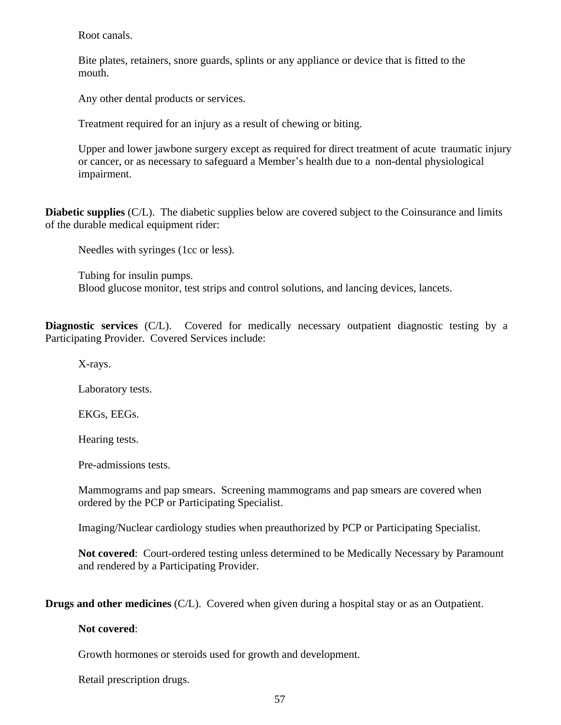Root canals.

Bite plates, retainers, snore guards, splints or any appliance or device that is fitted to the mouth.

Any other dental products or services.

Treatment required for an injury as a result of chewing or biting.

Upper and lower jawbone surgery except as required for direct treatment of acute traumatic injury or cancer, or as necessary to safeguard a Member's health due to a non-dental physiological impairment.

**Diabetic supplies** (C/L). The diabetic supplies below are covered subject to the Coinsurance and limits of the durable medical equipment rider:

Needles with syringes (1cc or less).

Tubing for insulin pumps. Blood glucose monitor, test strips and control solutions, and lancing devices, lancets.

**Diagnostic services** (C/L). Covered for medically necessary outpatient diagnostic testing by a Participating Provider. Covered Services include:

X-rays.

Laboratory tests.

EKGs, EEGs.

Hearing tests.

Pre-admissions tests.

Mammograms and pap smears. Screening mammograms and pap smears are covered when ordered by the PCP or Participating Specialist.

Imaging/Nuclear cardiology studies when preauthorized by PCP or Participating Specialist.

**Not covered**: Court-ordered testing unless determined to be Medically Necessary by Paramount and rendered by a Participating Provider.

**Drugs and other medicines** (C/L). Covered when given during a hospital stay or as an Outpatient.

**Not covered**:

Growth hormones or steroids used for growth and development.

Retail prescription drugs.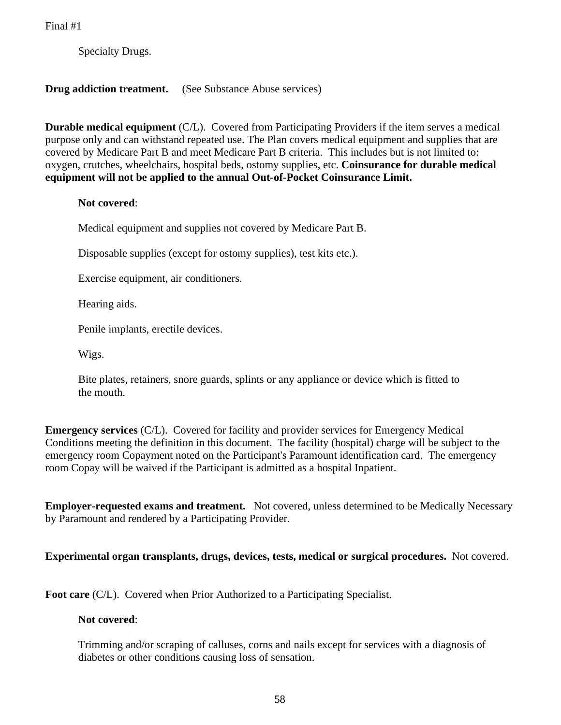Specialty Drugs.

**Drug addiction treatment.** (See Substance Abuse services)

**Durable medical equipment** (C/L). Covered from Participating Providers if the item serves a medical purpose only and can withstand repeated use. The Plan covers medical equipment and supplies that are covered by Medicare Part B and meet Medicare Part B criteria. This includes but is not limited to: oxygen, crutches, wheelchairs, hospital beds, ostomy supplies, etc. **Coinsurance for durable medical equipment will not be applied to the annual Out-of-Pocket Coinsurance Limit.**

#### **Not covered**:

Medical equipment and supplies not covered by Medicare Part B.

Disposable supplies (except for ostomy supplies), test kits etc.).

Exercise equipment, air conditioners.

Hearing aids.

Penile implants, erectile devices.

Wigs.

Bite plates, retainers, snore guards, splints or any appliance or device which is fitted to the mouth.

**Emergency services** (C/L). Covered for facility and provider services for Emergency Medical Conditions meeting the definition in this document. The facility (hospital) charge will be subject to the emergency room Copayment noted on the Participant's Paramount identification card. The emergency room Copay will be waived if the Participant is admitted as a hospital Inpatient.

**Employer-requested exams and treatment.** Not covered, unless determined to be Medically Necessary by Paramount and rendered by a Participating Provider.

**Experimental organ transplants, drugs, devices, tests, medical or surgical procedures.** Not covered.

**Foot care** (C/L). Covered when Prior Authorized to a Participating Specialist.

#### **Not covered**:

Trimming and/or scraping of calluses, corns and nails except for services with a diagnosis of diabetes or other conditions causing loss of sensation.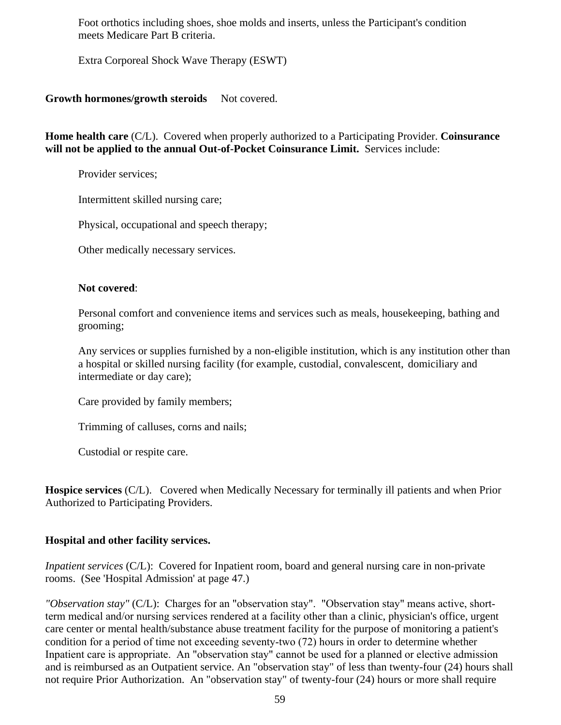Foot orthotics including shoes, shoe molds and inserts, unless the Participant's condition meets Medicare Part B criteria.

Extra Corporeal Shock Wave Therapy (ESWT)

#### Growth hormones/growth steroids Not covered.

**Home health care** (C/L). Covered when properly authorized to a Participating Provider. **Coinsurance will not be applied to the annual Out-of-Pocket Coinsurance Limit.** Services include:

Provider services;

Intermittent skilled nursing care;

Physical, occupational and speech therapy;

Other medically necessary services.

#### **Not covered**:

Personal comfort and convenience items and services such as meals, housekeeping, bathing and grooming;

Any services or supplies furnished by a non-eligible institution, which is any institution other than a hospital or skilled nursing facility (for example, custodial, convalescent, domiciliary and intermediate or day care);

Care provided by family members;

Trimming of calluses, corns and nails;

Custodial or respite care.

**Hospice services** (C/L). Covered when Medically Necessary for terminally ill patients and when Prior Authorized to Participating Providers.

#### **Hospital and other facility services.**

*Inpatient services* (C/L): Covered for Inpatient room, board and general nursing care in non-private rooms. (See 'Hospital Admission' at page 47.)

*"Observation stay"* (C/L): Charges for an "observation stay". "Observation stay" means active, shortterm medical and/or nursing services rendered at a facility other than a clinic, physician's office, urgent care center or mental health/substance abuse treatment facility for the purpose of monitoring a patient's condition for a period of time not exceeding seventy-two (72) hours in order to determine whether Inpatient care is appropriate. An "observation stay" cannot be used for a planned or elective admission and is reimbursed as an Outpatient service. An "observation stay" of less than twenty-four (24) hours shall not require Prior Authorization. An "observation stay" of twenty-four (24) hours or more shall require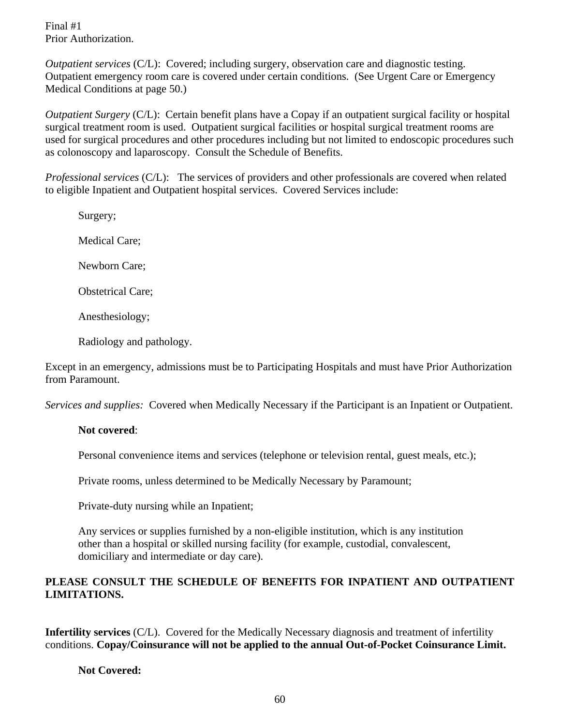Final #1 Prior Authorization.

*Outpatient services* (C/L): Covered; including surgery, observation care and diagnostic testing. Outpatient emergency room care is covered under certain conditions. (See Urgent Care or Emergency Medical Conditions at page 50.)

*Outpatient Surgery* (C/L): Certain benefit plans have a Copay if an outpatient surgical facility or hospital surgical treatment room is used. Outpatient surgical facilities or hospital surgical treatment rooms are used for surgical procedures and other procedures including but not limited to endoscopic procedures such as colonoscopy and laparoscopy. Consult the Schedule of Benefits.

*Professional services* (C/L): The services of providers and other professionals are covered when related to eligible Inpatient and Outpatient hospital services. Covered Services include:

Surgery; Medical Care; Newborn Care; Obstetrical Care; Anesthesiology; Radiology and pathology.

Except in an emergency, admissions must be to Participating Hospitals and must have Prior Authorization from Paramount.

*Services and supplies:* Covered when Medically Necessary if the Participant is an Inpatient or Outpatient.

#### **Not covered**:

Personal convenience items and services (telephone or television rental, guest meals, etc.);

Private rooms, unless determined to be Medically Necessary by Paramount;

Private-duty nursing while an Inpatient;

Any services or supplies furnished by a non-eligible institution, which is any institution other than a hospital or skilled nursing facility (for example, custodial, convalescent, domiciliary and intermediate or day care).

### **PLEASE CONSULT THE SCHEDULE OF BENEFITS FOR INPATIENT AND OUTPATIENT LIMITATIONS.**

**Infertility services** (C/L). Covered for the Medically Necessary diagnosis and treatment of infertility conditions. **Copay/Coinsurance will not be applied to the annual Out-of-Pocket Coinsurance Limit.**

#### **Not Covered:**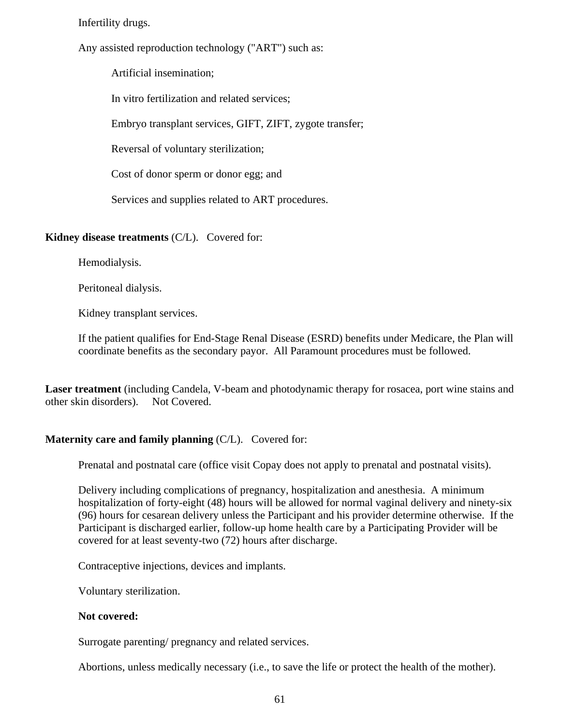Infertility drugs.

Any assisted reproduction technology ("ART") such as:

Artificial insemination;

In vitro fertilization and related services;

Embryo transplant services, GIFT, ZIFT, zygote transfer;

Reversal of voluntary sterilization;

Cost of donor sperm or donor egg; and

Services and supplies related to ART procedures.

#### **Kidney disease treatments** (C/L). Covered for:

Hemodialysis.

Peritoneal dialysis.

Kidney transplant services.

If the patient qualifies for End-Stage Renal Disease (ESRD) benefits under Medicare, the Plan will coordinate benefits as the secondary payor. All Paramount procedures must be followed.

**Laser treatment** (including Candela, V-beam and photodynamic therapy for rosacea, port wine stains and other skin disorders). Not Covered.

#### **Maternity care and family planning** (C/L). Covered for:

Prenatal and postnatal care (office visit Copay does not apply to prenatal and postnatal visits).

Delivery including complications of pregnancy, hospitalization and anesthesia. A minimum hospitalization of forty-eight (48) hours will be allowed for normal vaginal delivery and ninety-six (96) hours for cesarean delivery unless the Participant and his provider determine otherwise. If the Participant is discharged earlier, follow-up home health care by a Participating Provider will be covered for at least seventy-two (72) hours after discharge.

Contraceptive injections, devices and implants.

Voluntary sterilization.

#### **Not covered:**

Surrogate parenting/ pregnancy and related services.

Abortions, unless medically necessary (i.e., to save the life or protect the health of the mother).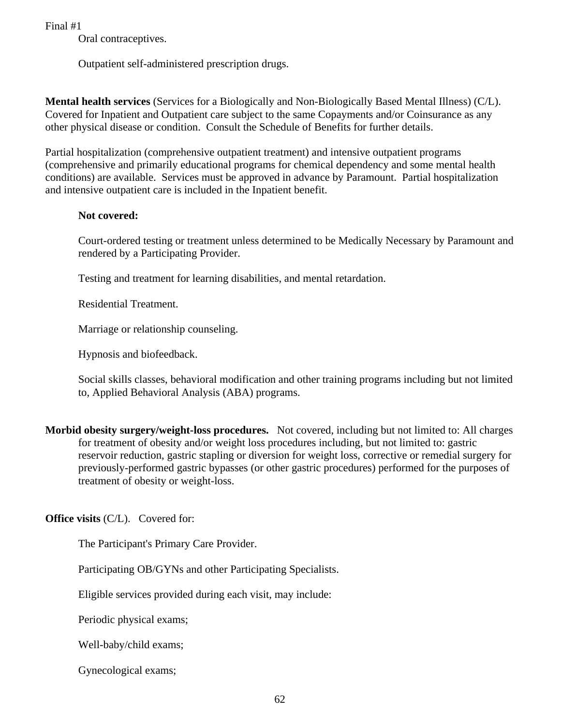Oral contraceptives.

Outpatient self-administered prescription drugs.

**Mental health services** (Services for a Biologically and Non-Biologically Based Mental Illness) (C/L). Covered for Inpatient and Outpatient care subject to the same Copayments and/or Coinsurance as any other physical disease or condition. Consult the Schedule of Benefits for further details.

Partial hospitalization (comprehensive outpatient treatment) and intensive outpatient programs (comprehensive and primarily educational programs for chemical dependency and some mental health conditions) are available. Services must be approved in advance by Paramount. Partial hospitalization and intensive outpatient care is included in the Inpatient benefit.

#### **Not covered:**

Court-ordered testing or treatment unless determined to be Medically Necessary by Paramount and rendered by a Participating Provider.

Testing and treatment for learning disabilities, and mental retardation.

Residential Treatment.

Marriage or relationship counseling.

Hypnosis and biofeedback.

Social skills classes, behavioral modification and other training programs including but not limited to, Applied Behavioral Analysis (ABA) programs.

**Morbid obesity surgery/weight-loss procedures.** Not covered, including but not limited to: All charges for treatment of obesity and/or weight loss procedures including, but not limited to: gastric reservoir reduction, gastric stapling or diversion for weight loss, corrective or remedial surgery for previously-performed gastric bypasses (or other gastric procedures) performed for the purposes of treatment of obesity or weight-loss.

**Office visits** (C/L). Covered for:

The Participant's Primary Care Provider.

Participating OB/GYNs and other Participating Specialists.

Eligible services provided during each visit, may include:

Periodic physical exams;

Well-baby/child exams;

Gynecological exams;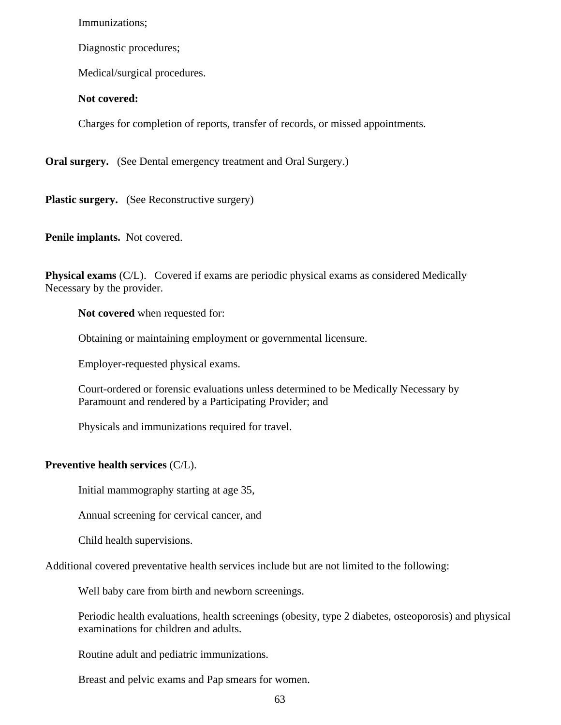Immunizations;

Diagnostic procedures;

Medical/surgical procedures.

#### **Not covered:**

Charges for completion of reports, transfer of records, or missed appointments.

**Oral surgery.** (See Dental emergency treatment and Oral Surgery.)

Plastic surgery. (See Reconstructive surgery)

**Penile implants.** Not covered.

**Physical exams** (C/L). Covered if exams are periodic physical exams as considered Medically Necessary by the provider.

**Not covered** when requested for:

Obtaining or maintaining employment or governmental licensure.

Employer-requested physical exams.

Court-ordered or forensic evaluations unless determined to be Medically Necessary by Paramount and rendered by a Participating Provider; and

Physicals and immunizations required for travel.

#### **Preventive health services** (C/L).

Initial mammography starting at age 35,

Annual screening for cervical cancer, and

Child health supervisions.

Additional covered preventative health services include but are not limited to the following:

Well baby care from birth and newborn screenings.

Periodic health evaluations, health screenings (obesity, type 2 diabetes, osteoporosis) and physical examinations for children and adults.

Routine adult and pediatric immunizations.

Breast and pelvic exams and Pap smears for women.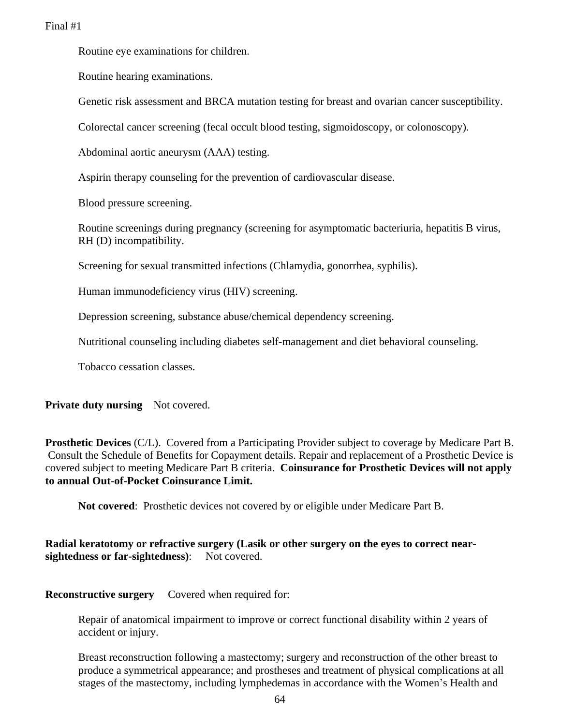Routine eye examinations for children.

Routine hearing examinations.

Genetic risk assessment and BRCA mutation testing for breast and ovarian cancer susceptibility.

Colorectal cancer screening (fecal occult blood testing, sigmoidoscopy, or colonoscopy).

Abdominal aortic aneurysm (AAA) testing.

Aspirin therapy counseling for the prevention of cardiovascular disease.

Blood pressure screening.

Routine screenings during pregnancy (screening for asymptomatic bacteriuria, hepatitis B virus, RH (D) incompatibility.

Screening for sexual transmitted infections (Chlamydia, gonorrhea, syphilis).

Human immunodeficiency virus (HIV) screening.

Depression screening, substance abuse/chemical dependency screening.

Nutritional counseling including diabetes self-management and diet behavioral counseling.

Tobacco cessation classes.

**Private duty nursing** Not covered.

**Prosthetic Devices** (C/L). Covered from a Participating Provider subject to coverage by Medicare Part B. Consult the Schedule of Benefits for Copayment details. Repair and replacement of a Prosthetic Device is covered subject to meeting Medicare Part B criteria. **Coinsurance for Prosthetic Devices will not apply to annual Out-of-Pocket Coinsurance Limit.**

**Not covered**: Prosthetic devices not covered by or eligible under Medicare Part B.

**Radial keratotomy or refractive surgery (Lasik or other surgery on the eyes to correct nearsightedness or far-sightedness**): Not covered.

**Reconstructive surgery** Covered when required for:

Repair of anatomical impairment to improve or correct functional disability within 2 years of accident or injury.

Breast reconstruction following a mastectomy; surgery and reconstruction of the other breast to produce a symmetrical appearance; and prostheses and treatment of physical complications at all stages of the mastectomy, including lymphedemas in accordance with the Women's Health and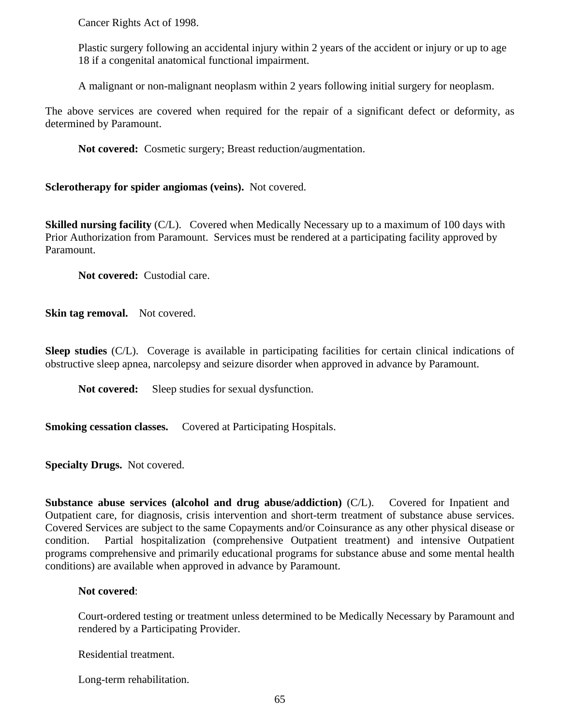Cancer Rights Act of 1998.

Plastic surgery following an accidental injury within 2 years of the accident or injury or up to age 18 if a congenital anatomical functional impairment.

A malignant or non-malignant neoplasm within 2 years following initial surgery for neoplasm.

The above services are covered when required for the repair of a significant defect or deformity, as determined by Paramount.

**Not covered:** Cosmetic surgery; Breast reduction/augmentation.

**Sclerotherapy for spider angiomas (veins).** Not covered.

**Skilled nursing facility** (C/L). Covered when Medically Necessary up to a maximum of 100 days with Prior Authorization from Paramount. Services must be rendered at a participating facility approved by Paramount.

**Not covered:** Custodial care.

**Skin tag removal.** Not covered.

**Sleep studies** (C/L). Coverage is available in participating facilities for certain clinical indications of obstructive sleep apnea, narcolepsy and seizure disorder when approved in advance by Paramount.

Not covered: Sleep studies for sexual dysfunction.

**Smoking cessation classes.** Covered at Participating Hospitals.

**Specialty Drugs.** Not covered.

**Substance abuse services (alcohol and drug abuse/addiction)** (C/L). Covered for Inpatient and Outpatient care, for diagnosis, crisis intervention and short-term treatment of substance abuse services. Covered Services are subject to the same Copayments and/or Coinsurance as any other physical disease or condition. Partial hospitalization (comprehensive Outpatient treatment) and intensive Outpatient programs comprehensive and primarily educational programs for substance abuse and some mental health conditions) are available when approved in advance by Paramount.

#### **Not covered**:

Court-ordered testing or treatment unless determined to be Medically Necessary by Paramount and rendered by a Participating Provider.

Residential treatment.

Long-term rehabilitation.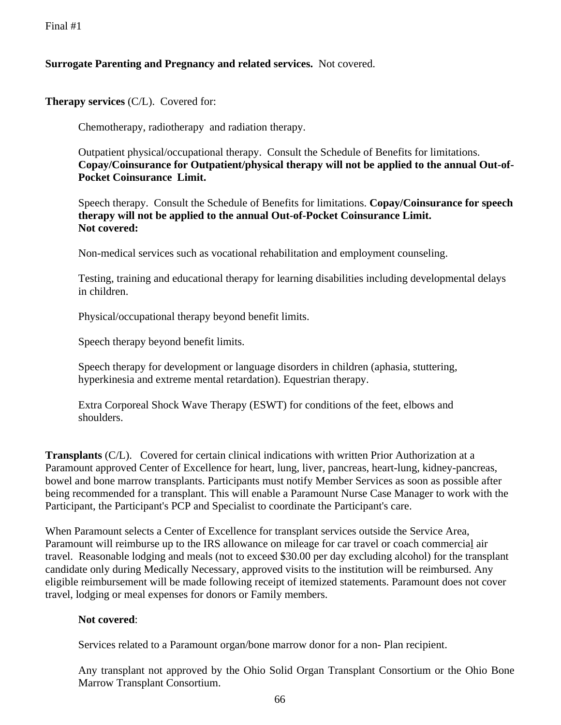#### **Surrogate Parenting and Pregnancy and related services.** Not covered.

**Therapy services** (C/L). Covered for:

Chemotherapy, radiotherapy and radiation therapy.

Outpatient physical/occupational therapy. Consult the Schedule of Benefits for limitations. **Copay/Coinsurance for Outpatient/physical therapy will not be applied to the annual Out-of-Pocket Coinsurance Limit.**

Speech therapy. Consult the Schedule of Benefits for limitations. **Copay/Coinsurance for speech therapy will not be applied to the annual Out-of-Pocket Coinsurance Limit. Not covered:**

Non-medical services such as vocational rehabilitation and employment counseling.

Testing, training and educational therapy for learning disabilities including developmental delays in children.

Physical/occupational therapy beyond benefit limits.

Speech therapy beyond benefit limits.

Speech therapy for development or language disorders in children (aphasia, stuttering, hyperkinesia and extreme mental retardation). Equestrian therapy.

Extra Corporeal Shock Wave Therapy (ESWT) for conditions of the feet, elbows and shoulders.

**Transplants** (C/L). Covered for certain clinical indications with written Prior Authorization at a Paramount approved Center of Excellence for heart, lung, liver, pancreas, heart-lung, kidney-pancreas, bowel and bone marrow transplants. Participants must notify Member Services as soon as possible after being recommended for a transplant. This will enable a Paramount Nurse Case Manager to work with the Participant, the Participant's PCP and Specialist to coordinate the Participant's care.

When Paramount selects a Center of Excellence for transplant services outside the Service Area, Paramount will reimburse up to the IRS allowance on mileage for car travel or coach commercial air travel. Reasonable lodging and meals (not to exceed \$30.00 per day excluding alcohol) for the transplant candidate only during Medically Necessary, approved visits to the institution will be reimbursed. Any eligible reimbursement will be made following receipt of itemized statements. Paramount does not cover travel, lodging or meal expenses for donors or Family members.

#### **Not covered**:

Services related to a Paramount organ/bone marrow donor for a non- Plan recipient.

Any transplant not approved by the Ohio Solid Organ Transplant Consortium or the Ohio Bone Marrow Transplant Consortium.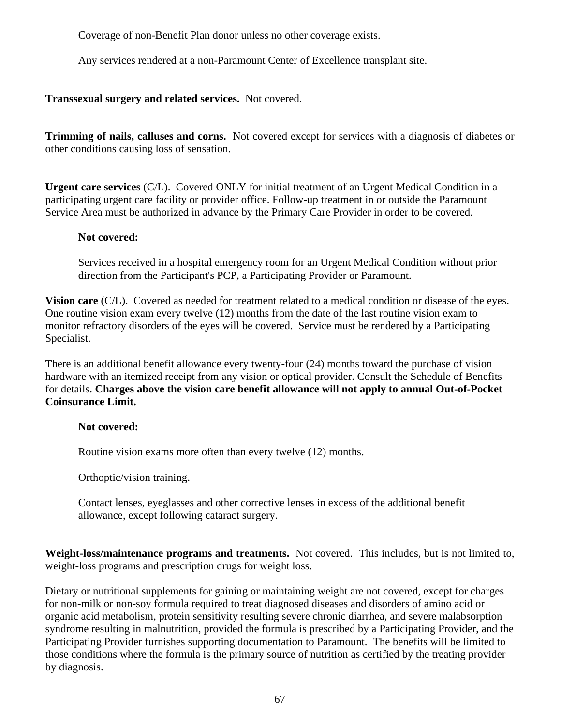Coverage of non-Benefit Plan donor unless no other coverage exists.

Any services rendered at a non-Paramount Center of Excellence transplant site.

**Transsexual surgery and related services.** Not covered.

**Trimming of nails, calluses and corns.** Not covered except for services with a diagnosis of diabetes or other conditions causing loss of sensation.

**Urgent care services** (C/L). Covered ONLY for initial treatment of an Urgent Medical Condition in a participating urgent care facility or provider office. Follow-up treatment in or outside the Paramount Service Area must be authorized in advance by the Primary Care Provider in order to be covered.

#### **Not covered:**

Services received in a hospital emergency room for an Urgent Medical Condition without prior direction from the Participant's PCP, a Participating Provider or Paramount.

**Vision care** (C/L). Covered as needed for treatment related to a medical condition or disease of the eyes. One routine vision exam every twelve (12) months from the date of the last routine vision exam to monitor refractory disorders of the eyes will be covered. Service must be rendered by a Participating Specialist.

There is an additional benefit allowance every twenty-four (24) months toward the purchase of vision hardware with an itemized receipt from any vision or optical provider. Consult the Schedule of Benefits for details. **Charges above the vision care benefit allowance will not apply to annual Out-of-Pocket Coinsurance Limit.**

#### **Not covered:**

Routine vision exams more often than every twelve (12) months.

Orthoptic/vision training.

Contact lenses, eyeglasses and other corrective lenses in excess of the additional benefit allowance, except following cataract surgery.

**Weight-loss/maintenance programs and treatments.** Not covered. This includes, but is not limited to, weight-loss programs and prescription drugs for weight loss.

Dietary or nutritional supplements for gaining or maintaining weight are not covered, except for charges for non-milk or non-soy formula required to treat diagnosed diseases and disorders of amino acid or organic acid metabolism, protein sensitivity resulting severe chronic diarrhea, and severe malabsorption syndrome resulting in malnutrition, provided the formula is prescribed by a Participating Provider, and the Participating Provider furnishes supporting documentation to Paramount. The benefits will be limited to those conditions where the formula is the primary source of nutrition as certified by the treating provider by diagnosis.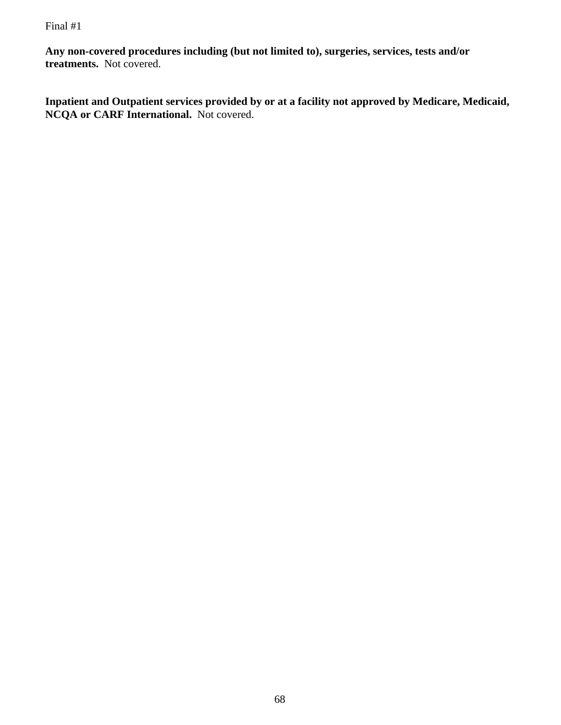**Any non-covered procedures including (but not limited to), surgeries, services, tests and/or treatments.** Not covered.

**Inpatient and Outpatient services provided by or at a facility not approved by Medicare, Medicaid, NCQA or CARF International.** Not covered.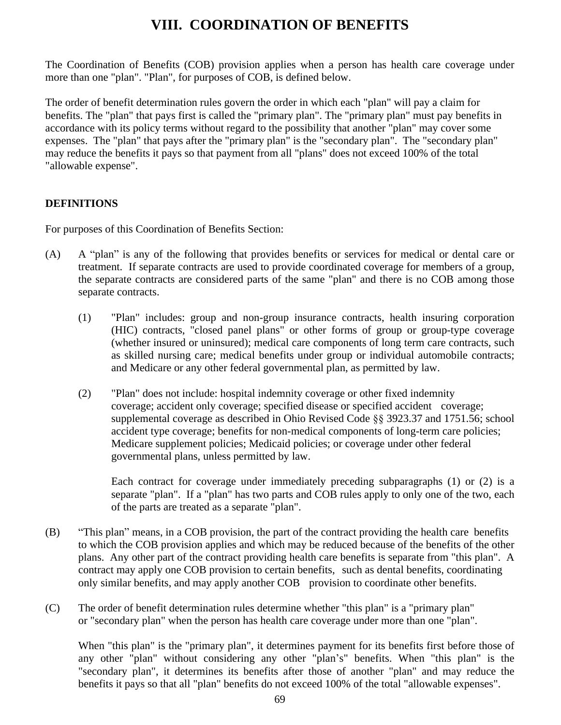# **VIII. COORDINATION OF BENEFITS**

The Coordination of Benefits (COB) provision applies when a person has health care coverage under more than one "plan". "Plan", for purposes of COB, is defined below.

The order of benefit determination rules govern the order in which each "plan" will pay a claim for benefits. The "plan" that pays first is called the "primary plan". The "primary plan" must pay benefits in accordance with its policy terms without regard to the possibility that another "plan" may cover some expenses. The "plan" that pays after the "primary plan" is the "secondary plan". The "secondary plan" may reduce the benefits it pays so that payment from all "plans" does not exceed 100% of the total "allowable expense".

### **DEFINITIONS**

For purposes of this Coordination of Benefits Section:

- (A) A "plan" is any of the following that provides benefits or services for medical or dental care or treatment. If separate contracts are used to provide coordinated coverage for members of a group, the separate contracts are considered parts of the same "plan" and there is no COB among those separate contracts.
	- (1) "Plan" includes: group and non-group insurance contracts, health insuring corporation (HIC) contracts, "closed panel plans" or other forms of group or group-type coverage (whether insured or uninsured); medical care components of long term care contracts, such as skilled nursing care; medical benefits under group or individual automobile contracts; and Medicare or any other federal governmental plan, as permitted by law.
	- (2) "Plan" does not include: hospital indemnity coverage or other fixed indemnity coverage; accident only coverage; specified disease or specified accident coverage; supplemental coverage as described in Ohio Revised Code §§ 3923.37 and 1751.56; school accident type coverage; benefits for non-medical components of long-term care policies; Medicare supplement policies; Medicaid policies; or coverage under other federal governmental plans, unless permitted by law.

Each contract for coverage under immediately preceding subparagraphs (1) or (2) is a separate "plan". If a "plan" has two parts and COB rules apply to only one of the two, each of the parts are treated as a separate "plan".

- (B) "This plan" means, in a COB provision, the part of the contract providing the health care benefits to which the COB provision applies and which may be reduced because of the benefits of the other plans. Any other part of the contract providing health care benefits is separate from "this plan". A contract may apply one COB provision to certain benefits, such as dental benefits, coordinating only similar benefits, and may apply another COB provision to coordinate other benefits.
- (C) The order of benefit determination rules determine whether "this plan" is a "primary plan" or "secondary plan" when the person has health care coverage under more than one "plan".

When "this plan" is the "primary plan", it determines payment for its benefits first before those of any other "plan" without considering any other "plan's" benefits. When "this plan" is the "secondary plan", it determines its benefits after those of another "plan" and may reduce the benefits it pays so that all "plan" benefits do not exceed 100% of the total "allowable expenses".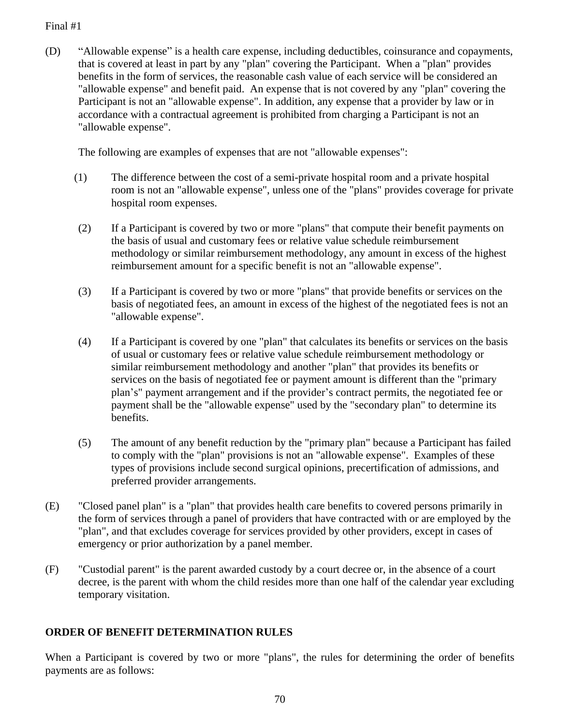(D) "Allowable expense" is a health care expense, including deductibles, coinsurance and copayments, that is covered at least in part by any "plan" covering the Participant. When a "plan" provides benefits in the form of services, the reasonable cash value of each service will be considered an "allowable expense" and benefit paid. An expense that is not covered by any "plan" covering the Participant is not an "allowable expense". In addition, any expense that a provider by law or in accordance with a contractual agreement is prohibited from charging a Participant is not an "allowable expense".

The following are examples of expenses that are not "allowable expenses":

- (1) The difference between the cost of a semi-private hospital room and a private hospital room is not an "allowable expense", unless one of the "plans" provides coverage for private hospital room expenses.
- (2) If a Participant is covered by two or more "plans" that compute their benefit payments on the basis of usual and customary fees or relative value schedule reimbursement methodology or similar reimbursement methodology, any amount in excess of the highest reimbursement amount for a specific benefit is not an "allowable expense".
- (3) If a Participant is covered by two or more "plans" that provide benefits or services on the basis of negotiated fees, an amount in excess of the highest of the negotiated fees is not an "allowable expense".
- (4) If a Participant is covered by one "plan" that calculates its benefits or services on the basis of usual or customary fees or relative value schedule reimbursement methodology or similar reimbursement methodology and another "plan" that provides its benefits or services on the basis of negotiated fee or payment amount is different than the "primary plan's" payment arrangement and if the provider's contract permits, the negotiated fee or payment shall be the "allowable expense" used by the "secondary plan" to determine its benefits.
- (5) The amount of any benefit reduction by the "primary plan" because a Participant has failed to comply with the "plan" provisions is not an "allowable expense". Examples of these types of provisions include second surgical opinions, precertification of admissions, and preferred provider arrangements.
- (E) "Closed panel plan" is a "plan" that provides health care benefits to covered persons primarily in the form of services through a panel of providers that have contracted with or are employed by the "plan", and that excludes coverage for services provided by other providers, except in cases of emergency or prior authorization by a panel member.
- (F) "Custodial parent" is the parent awarded custody by a court decree or, in the absence of a court decree, is the parent with whom the child resides more than one half of the calendar year excluding temporary visitation.

## **ORDER OF BENEFIT DETERMINATION RULES**

When a Participant is covered by two or more "plans", the rules for determining the order of benefits payments are as follows: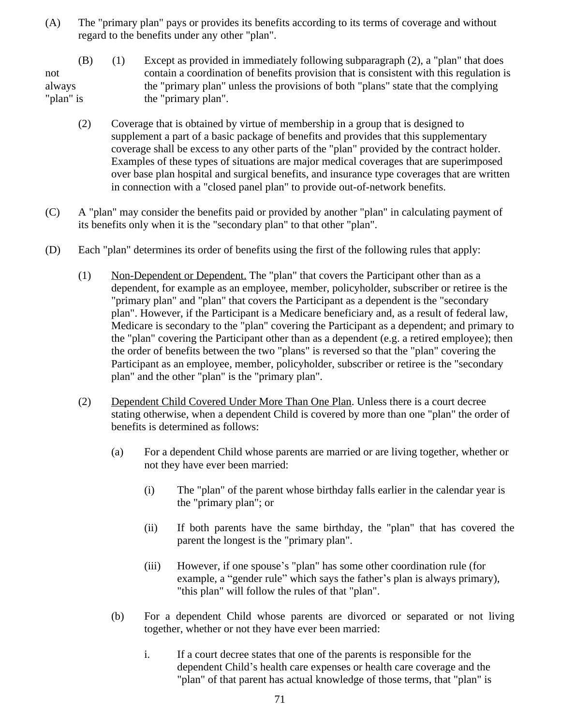- (A) The "primary plan" pays or provides its benefits according to its terms of coverage and without regard to the benefits under any other "plan".
- (B) (1) Except as provided in immediately following subparagraph (2), a "plan" that does not contain a coordination of benefits provision that is consistent with this regulation is always the "primary plan" unless the provisions of both "plans" state that the complying "plan" is the "primary plan".
	- (2) Coverage that is obtained by virtue of membership in a group that is designed to supplement a part of a basic package of benefits and provides that this supplementary coverage shall be excess to any other parts of the "plan" provided by the contract holder. Examples of these types of situations are major medical coverages that are superimposed over base plan hospital and surgical benefits, and insurance type coverages that are written in connection with a "closed panel plan" to provide out-of-network benefits.
- (C) A "plan" may consider the benefits paid or provided by another "plan" in calculating payment of its benefits only when it is the "secondary plan" to that other "plan".
- (D) Each "plan" determines its order of benefits using the first of the following rules that apply:
	- (1) Non-Dependent or Dependent. The "plan" that covers the Participant other than as a dependent, for example as an employee, member, policyholder, subscriber or retiree is the "primary plan" and "plan" that covers the Participant as a dependent is the "secondary plan". However, if the Participant is a Medicare beneficiary and, as a result of federal law, Medicare is secondary to the "plan" covering the Participant as a dependent; and primary to the "plan" covering the Participant other than as a dependent (e.g. a retired employee); then the order of benefits between the two "plans" is reversed so that the "plan" covering the Participant as an employee, member, policyholder, subscriber or retiree is the "secondary plan" and the other "plan" is the "primary plan".
	- (2) Dependent Child Covered Under More Than One Plan. Unless there is a court decree stating otherwise, when a dependent Child is covered by more than one "plan" the order of benefits is determined as follows:
		- (a) For a dependent Child whose parents are married or are living together, whether or not they have ever been married:
			- (i) The "plan" of the parent whose birthday falls earlier in the calendar year is the "primary plan"; or
			- (ii) If both parents have the same birthday, the "plan" that has covered the parent the longest is the "primary plan".
			- (iii) However, if one spouse's "plan" has some other coordination rule (for example, a "gender rule" which says the father's plan is always primary), "this plan" will follow the rules of that "plan".
		- (b) For a dependent Child whose parents are divorced or separated or not living together, whether or not they have ever been married:
			- i. If a court decree states that one of the parents is responsible for the dependent Child's health care expenses or health care coverage and the "plan" of that parent has actual knowledge of those terms, that "plan" is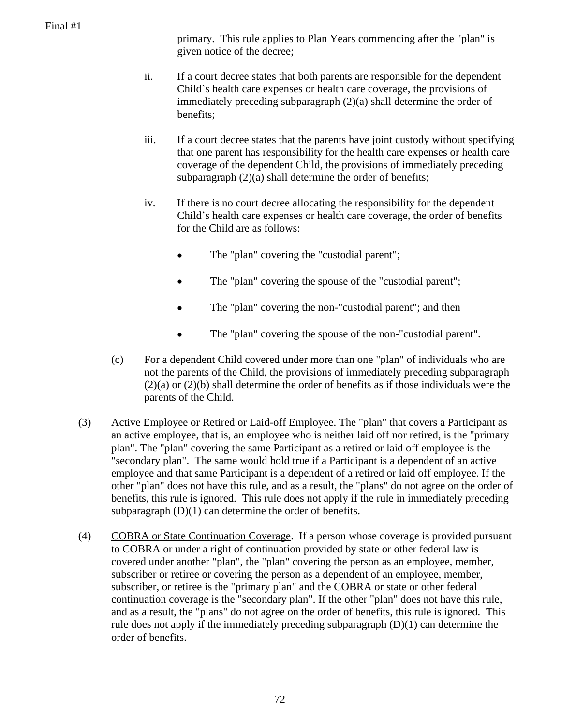primary. This rule applies to Plan Years commencing after the "plan" is given notice of the decree;

- ii. If a court decree states that both parents are responsible for the dependent Child's health care expenses or health care coverage, the provisions of immediately preceding subparagraph (2)(a) shall determine the order of benefits;
- iii. If a court decree states that the parents have joint custody without specifying that one parent has responsibility for the health care expenses or health care coverage of the dependent Child, the provisions of immediately preceding subparagraph  $(2)(a)$  shall determine the order of benefits;
- iv. If there is no court decree allocating the responsibility for the dependent Child's health care expenses or health care coverage, the order of benefits for the Child are as follows:
	- The "plan" covering the "custodial parent";
	- The "plan" covering the spouse of the "custodial parent";
	- The "plan" covering the non-"custodial parent"; and then
	- The "plan" covering the spouse of the non-"custodial parent".
- (c) For a dependent Child covered under more than one "plan" of individuals who are not the parents of the Child, the provisions of immediately preceding subparagraph (2)(a) or (2)(b) shall determine the order of benefits as if those individuals were the parents of the Child.
- (3) Active Employee or Retired or Laid-off Employee. The "plan" that covers a Participant as an active employee, that is, an employee who is neither laid off nor retired, is the "primary plan". The "plan" covering the same Participant as a retired or laid off employee is the "secondary plan". The same would hold true if a Participant is a dependent of an active employee and that same Participant is a dependent of a retired or laid off employee. If the other "plan" does not have this rule, and as a result, the "plans" do not agree on the order of benefits, this rule is ignored. This rule does not apply if the rule in immediately preceding subparagraph  $(D)(1)$  can determine the order of benefits.
- (4) COBRA or State Continuation Coverage. If a person whose coverage is provided pursuant to COBRA or under a right of continuation provided by state or other federal law is covered under another "plan", the "plan" covering the person as an employee, member, subscriber or retiree or covering the person as a dependent of an employee, member, subscriber, or retiree is the "primary plan" and the COBRA or state or other federal continuation coverage is the "secondary plan". If the other "plan" does not have this rule, and as a result, the "plans" do not agree on the order of benefits, this rule is ignored. This rule does not apply if the immediately preceding subparagraph (D)(1) can determine the order of benefits.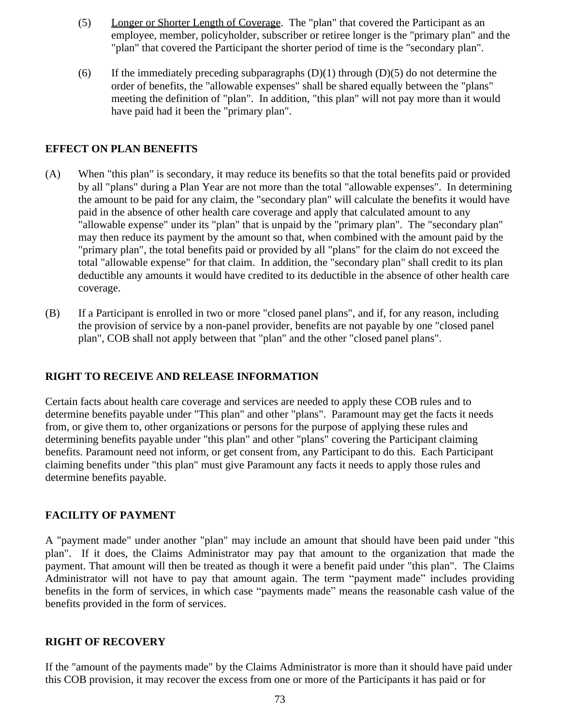- (5) Longer or Shorter Length of Coverage. The "plan" that covered the Participant as an employee, member, policyholder, subscriber or retiree longer is the "primary plan" and the "plan" that covered the Participant the shorter period of time is the "secondary plan".
- (6) If the immediately preceding subparagraphs  $(D)(1)$  through  $(D)(5)$  do not determine the order of benefits, the "allowable expenses" shall be shared equally between the "plans" meeting the definition of "plan". In addition, "this plan" will not pay more than it would have paid had it been the "primary plan".

#### **EFFECT ON PLAN BENEFITS**

- (A) When "this plan" is secondary, it may reduce its benefits so that the total benefits paid or provided by all "plans" during a Plan Year are not more than the total "allowable expenses". In determining the amount to be paid for any claim, the "secondary plan" will calculate the benefits it would have paid in the absence of other health care coverage and apply that calculated amount to any "allowable expense" under its "plan" that is unpaid by the "primary plan". The "secondary plan" may then reduce its payment by the amount so that, when combined with the amount paid by the "primary plan", the total benefits paid or provided by all "plans" for the claim do not exceed the total "allowable expense" for that claim. In addition, the "secondary plan" shall credit to its plan deductible any amounts it would have credited to its deductible in the absence of other health care coverage.
- (B) If a Participant is enrolled in two or more "closed panel plans", and if, for any reason, including the provision of service by a non-panel provider, benefits are not payable by one "closed panel plan", COB shall not apply between that "plan" and the other "closed panel plans".

#### **RIGHT TO RECEIVE AND RELEASE INFORMATION**

Certain facts about health care coverage and services are needed to apply these COB rules and to determine benefits payable under "This plan" and other "plans". Paramount may get the facts it needs from, or give them to, other organizations or persons for the purpose of applying these rules and determining benefits payable under "this plan" and other "plans" covering the Participant claiming benefits. Paramount need not inform, or get consent from, any Participant to do this. Each Participant claiming benefits under "this plan" must give Paramount any facts it needs to apply those rules and determine benefits payable.

#### **FACILITY OF PAYMENT**

A "payment made" under another "plan" may include an amount that should have been paid under "this plan". If it does, the Claims Administrator may pay that amount to the organization that made the payment. That amount will then be treated as though it were a benefit paid under "this plan". The Claims Administrator will not have to pay that amount again. The term "payment made" includes providing benefits in the form of services, in which case "payments made" means the reasonable cash value of the benefits provided in the form of services.

#### **RIGHT OF RECOVERY**

If the "amount of the payments made" by the Claims Administrator is more than it should have paid under this COB provision, it may recover the excess from one or more of the Participants it has paid or for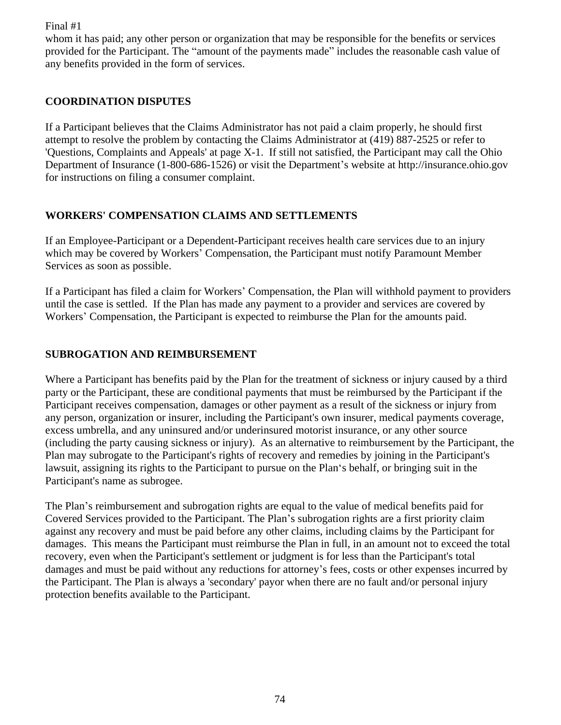whom it has paid; any other person or organization that may be responsible for the benefits or services provided for the Participant. The "amount of the payments made" includes the reasonable cash value of any benefits provided in the form of services.

## **COORDINATION DISPUTES**

If a Participant believes that the Claims Administrator has not paid a claim properly, he should first attempt to resolve the problem by contacting the Claims Administrator at (419) 887-2525 or refer to 'Questions, Complaints and Appeals' at page X-1. If still not satisfied, the Participant may call the Ohio Department of Insurance (1-800-686-1526) or visit the Department's website at http://insurance.ohio.gov for instructions on filing a consumer complaint.

### **WORKERS' COMPENSATION CLAIMS AND SETTLEMENTS**

If an Employee-Participant or a Dependent-Participant receives health care services due to an injury which may be covered by Workers' Compensation, the Participant must notify Paramount Member Services as soon as possible.

If a Participant has filed a claim for Workers' Compensation, the Plan will withhold payment to providers until the case is settled. If the Plan has made any payment to a provider and services are covered by Workers' Compensation, the Participant is expected to reimburse the Plan for the amounts paid.

## **SUBROGATION AND REIMBURSEMENT**

Where a Participant has benefits paid by the Plan for the treatment of sickness or injury caused by a third party or the Participant, these are conditional payments that must be reimbursed by the Participant if the Participant receives compensation, damages or other payment as a result of the sickness or injury from any person, organization or insurer, including the Participant's own insurer, medical payments coverage, excess umbrella, and any uninsured and/or underinsured motorist insurance, or any other source (including the party causing sickness or injury). As an alternative to reimbursement by the Participant, the Plan may subrogate to the Participant's rights of recovery and remedies by joining in the Participant's lawsuit, assigning its rights to the Participant to pursue on the Plan's behalf, or bringing suit in the Participant's name as subrogee.

The Plan's reimbursement and subrogation rights are equal to the value of medical benefits paid for Covered Services provided to the Participant. The Plan's subrogation rights are a first priority claim against any recovery and must be paid before any other claims, including claims by the Participant for damages. This means the Participant must reimburse the Plan in full, in an amount not to exceed the total recovery, even when the Participant's settlement or judgment is for less than the Participant's total damages and must be paid without any reductions for attorney's fees, costs or other expenses incurred by the Participant. The Plan is always a 'secondary' payor when there are no fault and/or personal injury protection benefits available to the Participant.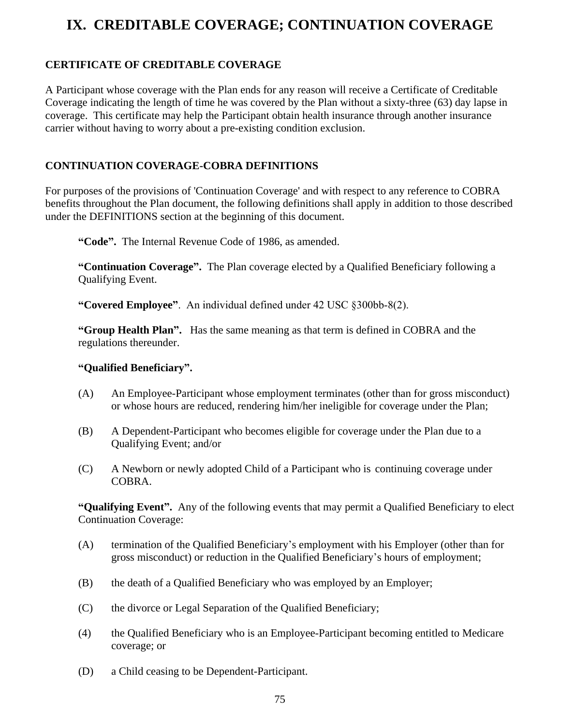# **IX. CREDITABLE COVERAGE; CONTINUATION COVERAGE**

# **CERTIFICATE OF CREDITABLE COVERAGE**

A Participant whose coverage with the Plan ends for any reason will receive a Certificate of Creditable Coverage indicating the length of time he was covered by the Plan without a sixty-three (63) day lapse in coverage. This certificate may help the Participant obtain health insurance through another insurance carrier without having to worry about a pre-existing condition exclusion.

## **CONTINUATION COVERAGE-COBRA DEFINITIONS**

For purposes of the provisions of 'Continuation Coverage' and with respect to any reference to COBRA benefits throughout the Plan document, the following definitions shall apply in addition to those described under the DEFINITIONS section at the beginning of this document.

**"Code".** The Internal Revenue Code of 1986, as amended.

**"Continuation Coverage".** The Plan coverage elected by a Qualified Beneficiary following a Qualifying Event.

**"Covered Employee"**. An individual defined under 42 USC §300bb-8(2).

**"Group Health Plan".** Has the same meaning as that term is defined in COBRA and the regulations thereunder.

#### **"Qualified Beneficiary".**

- (A) An Employee-Participant whose employment terminates (other than for gross misconduct) or whose hours are reduced, rendering him/her ineligible for coverage under the Plan;
- (B) A Dependent-Participant who becomes eligible for coverage under the Plan due to a Qualifying Event; and/or
- (C) A Newborn or newly adopted Child of a Participant who is continuing coverage under COBRA.

**"Qualifying Event".** Any of the following events that may permit a Qualified Beneficiary to elect Continuation Coverage:

- (A) termination of the Qualified Beneficiary's employment with his Employer (other than for gross misconduct) or reduction in the Qualified Beneficiary's hours of employment;
- (B) the death of a Qualified Beneficiary who was employed by an Employer;
- (C) the divorce or Legal Separation of the Qualified Beneficiary;
- (4) the Qualified Beneficiary who is an Employee-Participant becoming entitled to Medicare coverage; or
- (D) a Child ceasing to be Dependent-Participant.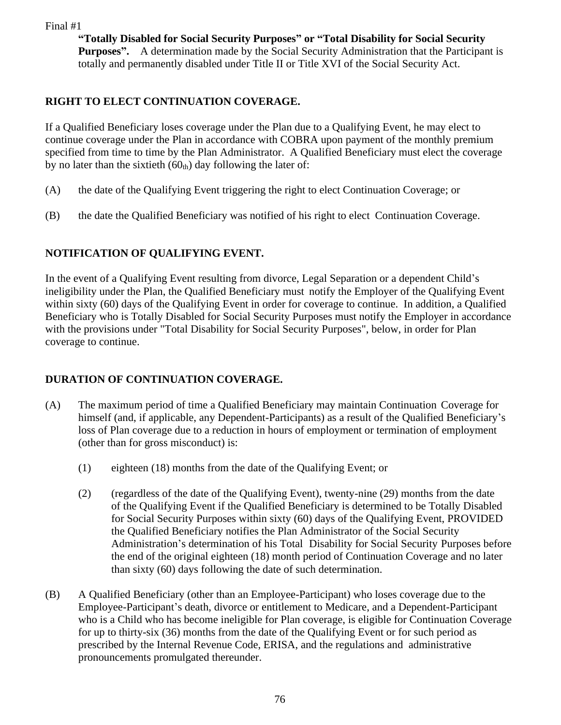**"Totally Disabled for Social Security Purposes" or "Total Disability for Social Security Purposes".** A determination made by the Social Security Administration that the Participant is totally and permanently disabled under Title II or Title XVI of the Social Security Act.

# **RIGHT TO ELECT CONTINUATION COVERAGE.**

If a Qualified Beneficiary loses coverage under the Plan due to a Qualifying Event, he may elect to continue coverage under the Plan in accordance with COBRA upon payment of the monthly premium specified from time to time by the Plan Administrator. A Qualified Beneficiary must elect the coverage by no later than the sixtieth  $(60<sub>th</sub>)$  day following the later of:

- (A) the date of the Qualifying Event triggering the right to elect Continuation Coverage; or
- (B) the date the Qualified Beneficiary was notified of his right to elect Continuation Coverage.

# **NOTIFICATION OF QUALIFYING EVENT.**

In the event of a Qualifying Event resulting from divorce, Legal Separation or a dependent Child's ineligibility under the Plan, the Qualified Beneficiary must notify the Employer of the Qualifying Event within sixty (60) days of the Qualifying Event in order for coverage to continue. In addition, a Qualified Beneficiary who is Totally Disabled for Social Security Purposes must notify the Employer in accordance with the provisions under "Total Disability for Social Security Purposes", below, in order for Plan coverage to continue.

# **DURATION OF CONTINUATION COVERAGE.**

- (A) The maximum period of time a Qualified Beneficiary may maintain Continuation Coverage for himself (and, if applicable, any Dependent-Participants) as a result of the Qualified Beneficiary's loss of Plan coverage due to a reduction in hours of employment or termination of employment (other than for gross misconduct) is:
	- (1) eighteen (18) months from the date of the Qualifying Event; or
	- (2) (regardless of the date of the Qualifying Event), twenty-nine (29) months from the date of the Qualifying Event if the Qualified Beneficiary is determined to be Totally Disabled for Social Security Purposes within sixty (60) days of the Qualifying Event, PROVIDED the Qualified Beneficiary notifies the Plan Administrator of the Social Security Administration's determination of his Total Disability for Social Security Purposes before the end of the original eighteen (18) month period of Continuation Coverage and no later than sixty (60) days following the date of such determination.
- (B) A Qualified Beneficiary (other than an Employee-Participant) who loses coverage due to the Employee-Participant's death, divorce or entitlement to Medicare, and a Dependent-Participant who is a Child who has become ineligible for Plan coverage, is eligible for Continuation Coverage for up to thirty-six (36) months from the date of the Qualifying Event or for such period as prescribed by the Internal Revenue Code, ERISA, and the regulations and administrative pronouncements promulgated thereunder.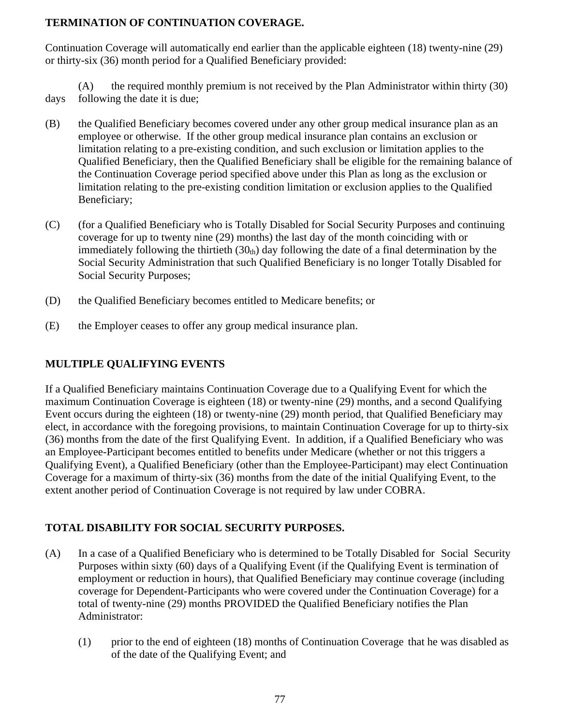## **TERMINATION OF CONTINUATION COVERAGE.**

Continuation Coverage will automatically end earlier than the applicable eighteen (18) twenty-nine (29) or thirty-six (36) month period for a Qualified Beneficiary provided:

(A) the required monthly premium is not received by the Plan Administrator within thirty (30) days following the date it is due;

- (B) the Qualified Beneficiary becomes covered under any other group medical insurance plan as an employee or otherwise. If the other group medical insurance plan contains an exclusion or limitation relating to a pre-existing condition, and such exclusion or limitation applies to the Qualified Beneficiary, then the Qualified Beneficiary shall be eligible for the remaining balance of the Continuation Coverage period specified above under this Plan as long as the exclusion or limitation relating to the pre-existing condition limitation or exclusion applies to the Qualified Beneficiary;
- (C) (for a Qualified Beneficiary who is Totally Disabled for Social Security Purposes and continuing coverage for up to twenty nine (29) months) the last day of the month coinciding with or immediately following the thirtieth  $(30<sub>th</sub>)$  day following the date of a final determination by the Social Security Administration that such Qualified Beneficiary is no longer Totally Disabled for Social Security Purposes;
- (D) the Qualified Beneficiary becomes entitled to Medicare benefits; or
- (E) the Employer ceases to offer any group medical insurance plan.

# **MULTIPLE QUALIFYING EVENTS**

If a Qualified Beneficiary maintains Continuation Coverage due to a Qualifying Event for which the maximum Continuation Coverage is eighteen (18) or twenty-nine (29) months, and a second Qualifying Event occurs during the eighteen (18) or twenty-nine (29) month period, that Qualified Beneficiary may elect, in accordance with the foregoing provisions, to maintain Continuation Coverage for up to thirty-six (36) months from the date of the first Qualifying Event. In addition, if a Qualified Beneficiary who was an Employee-Participant becomes entitled to benefits under Medicare (whether or not this triggers a Qualifying Event), a Qualified Beneficiary (other than the Employee-Participant) may elect Continuation Coverage for a maximum of thirty-six (36) months from the date of the initial Qualifying Event, to the extent another period of Continuation Coverage is not required by law under COBRA.

# **TOTAL DISABILITY FOR SOCIAL SECURITY PURPOSES.**

- (A) In a case of a Qualified Beneficiary who is determined to be Totally Disabled for Social Security Purposes within sixty (60) days of a Qualifying Event (if the Qualifying Event is termination of employment or reduction in hours), that Qualified Beneficiary may continue coverage (including coverage for Dependent-Participants who were covered under the Continuation Coverage) for a total of twenty-nine (29) months PROVIDED the Qualified Beneficiary notifies the Plan Administrator:
	- (1) prior to the end of eighteen (18) months of Continuation Coverage that he was disabled as of the date of the Qualifying Event; and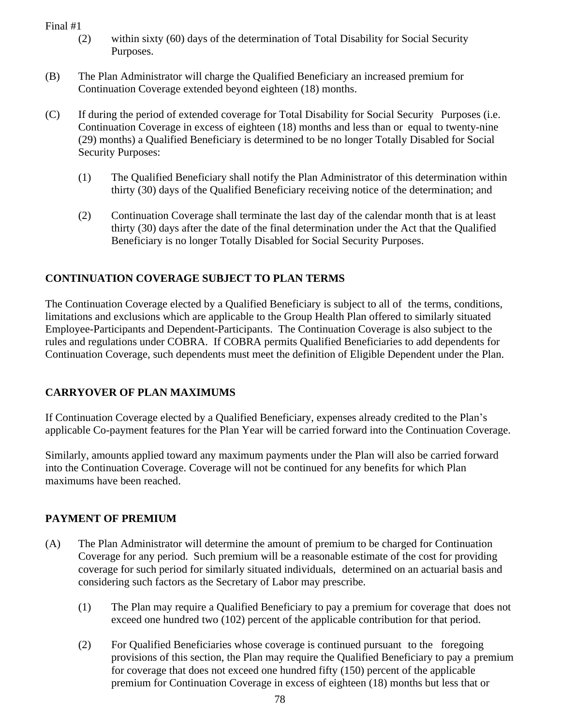- (2) within sixty (60) days of the determination of Total Disability for Social Security Purposes.
- (B) The Plan Administrator will charge the Qualified Beneficiary an increased premium for Continuation Coverage extended beyond eighteen (18) months.
- (C) If during the period of extended coverage for Total Disability for Social Security Purposes (i.e. Continuation Coverage in excess of eighteen (18) months and less than or equal to twenty-nine (29) months) a Qualified Beneficiary is determined to be no longer Totally Disabled for Social Security Purposes:
	- (1) The Qualified Beneficiary shall notify the Plan Administrator of this determination within thirty (30) days of the Qualified Beneficiary receiving notice of the determination; and
	- (2) Continuation Coverage shall terminate the last day of the calendar month that is at least thirty (30) days after the date of the final determination under the Act that the Qualified Beneficiary is no longer Totally Disabled for Social Security Purposes.

# **CONTINUATION COVERAGE SUBJECT TO PLAN TERMS**

The Continuation Coverage elected by a Qualified Beneficiary is subject to all of the terms, conditions, limitations and exclusions which are applicable to the Group Health Plan offered to similarly situated Employee-Participants and Dependent-Participants. The Continuation Coverage is also subject to the rules and regulations under COBRA. If COBRA permits Qualified Beneficiaries to add dependents for Continuation Coverage, such dependents must meet the definition of Eligible Dependent under the Plan.

# **CARRYOVER OF PLAN MAXIMUMS**

If Continuation Coverage elected by a Qualified Beneficiary, expenses already credited to the Plan's applicable Co-payment features for the Plan Year will be carried forward into the Continuation Coverage.

Similarly, amounts applied toward any maximum payments under the Plan will also be carried forward into the Continuation Coverage. Coverage will not be continued for any benefits for which Plan maximums have been reached.

# **PAYMENT OF PREMIUM**

- (A) The Plan Administrator will determine the amount of premium to be charged for Continuation Coverage for any period. Such premium will be a reasonable estimate of the cost for providing coverage for such period for similarly situated individuals, determined on an actuarial basis and considering such factors as the Secretary of Labor may prescribe.
	- (1) The Plan may require a Qualified Beneficiary to pay a premium for coverage that does not exceed one hundred two (102) percent of the applicable contribution for that period.
	- (2) For Qualified Beneficiaries whose coverage is continued pursuant to the foregoing provisions of this section, the Plan may require the Qualified Beneficiary to pay a premium for coverage that does not exceed one hundred fifty (150) percent of the applicable premium for Continuation Coverage in excess of eighteen (18) months but less that or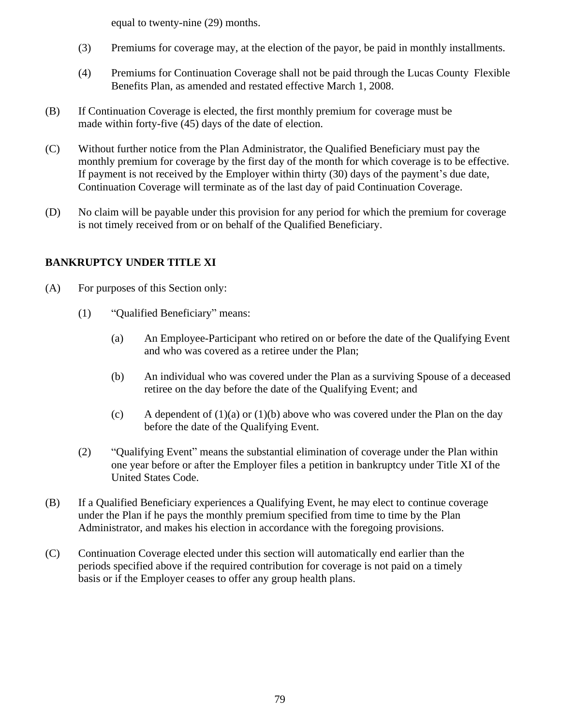equal to twenty-nine (29) months.

- (3) Premiums for coverage may, at the election of the payor, be paid in monthly installments.
- (4) Premiums for Continuation Coverage shall not be paid through the Lucas County Flexible Benefits Plan, as amended and restated effective March 1, 2008.
- (B) If Continuation Coverage is elected, the first monthly premium for coverage must be made within forty-five (45) days of the date of election.
- (C) Without further notice from the Plan Administrator, the Qualified Beneficiary must pay the monthly premium for coverage by the first day of the month for which coverage is to be effective. If payment is not received by the Employer within thirty (30) days of the payment's due date, Continuation Coverage will terminate as of the last day of paid Continuation Coverage.
- (D) No claim will be payable under this provision for any period for which the premium for coverage is not timely received from or on behalf of the Qualified Beneficiary.

## **BANKRUPTCY UNDER TITLE XI**

- (A) For purposes of this Section only:
	- (1) "Qualified Beneficiary" means:
		- (a) An Employee-Participant who retired on or before the date of the Qualifying Event and who was covered as a retiree under the Plan;
		- (b) An individual who was covered under the Plan as a surviving Spouse of a deceased retiree on the day before the date of the Qualifying Event; and
		- (c) A dependent of  $(1)(a)$  or  $(1)(b)$  above who was covered under the Plan on the day before the date of the Qualifying Event.
	- (2) "Qualifying Event" means the substantial elimination of coverage under the Plan within one year before or after the Employer files a petition in bankruptcy under Title XI of the United States Code.
- (B) If a Qualified Beneficiary experiences a Qualifying Event, he may elect to continue coverage under the Plan if he pays the monthly premium specified from time to time by the Plan Administrator, and makes his election in accordance with the foregoing provisions.
- (C) Continuation Coverage elected under this section will automatically end earlier than the periods specified above if the required contribution for coverage is not paid on a timely basis or if the Employer ceases to offer any group health plans.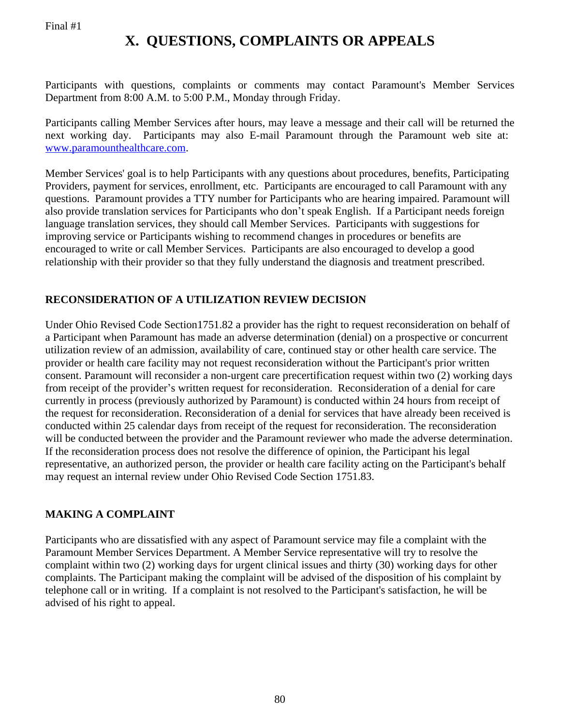# **X. QUESTIONS, COMPLAINTS OR APPEALS**

Participants with questions, complaints or comments may contact Paramount's Member Services Department from 8:00 A.M. to 5:00 P.M., Monday through Friday.

Participants calling Member Services after hours, may leave a message and their call will be returned the next working day. Participants may also E-mail Paramount through the Paramount web site at: [www.paramounthealthcare.com.](http://www.paramounthealthcare.com)

Member Services' goal is to help Participants with any questions about procedures, benefits, Participating Providers, payment for services, enrollment, etc. Participants are encouraged to call Paramount with any questions. Paramount provides a TTY number for Participants who are hearing impaired. Paramount will also provide translation services for Participants who don't speak English. If a Participant needs foreign language translation services, they should call Member Services. Participants with suggestions for improving service or Participants wishing to recommend changes in procedures or benefits are encouraged to write or call Member Services. Participants are also encouraged to develop a good relationship with their provider so that they fully understand the diagnosis and treatment prescribed.

# **RECONSIDERATION OF A UTILIZATION REVIEW DECISION**

Under Ohio Revised Code Section1751.82 a provider has the right to request reconsideration on behalf of a Participant when Paramount has made an adverse determination (denial) on a prospective or concurrent utilization review of an admission, availability of care, continued stay or other health care service. The provider or health care facility may not request reconsideration without the Participant's prior written consent. Paramount will reconsider a non-urgent care precertification request within two (2) working days from receipt of the provider's written request for reconsideration. Reconsideration of a denial for care currently in process (previously authorized by Paramount) is conducted within 24 hours from receipt of the request for reconsideration. Reconsideration of a denial for services that have already been received is conducted within 25 calendar days from receipt of the request for reconsideration. The reconsideration will be conducted between the provider and the Paramount reviewer who made the adverse determination. If the reconsideration process does not resolve the difference of opinion, the Participant his legal representative, an authorized person, the provider or health care facility acting on the Participant's behalf may request an internal review under Ohio Revised Code Section 1751.83.

# **MAKING A COMPLAINT**

Participants who are dissatisfied with any aspect of Paramount service may file a complaint with the Paramount Member Services Department. A Member Service representative will try to resolve the complaint within two (2) working days for urgent clinical issues and thirty (30) working days for other complaints. The Participant making the complaint will be advised of the disposition of his complaint by telephone call or in writing. If a complaint is not resolved to the Participant's satisfaction, he will be advised of his right to appeal.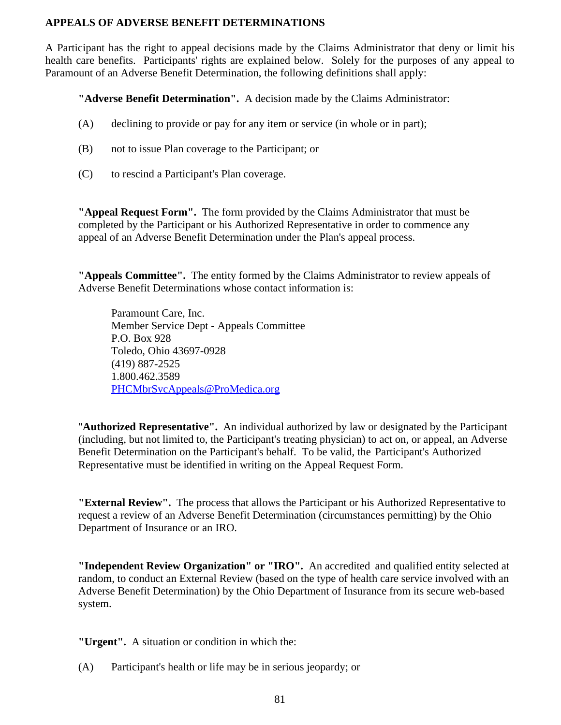#### **APPEALS OF ADVERSE BENEFIT DETERMINATIONS**

A Participant has the right to appeal decisions made by the Claims Administrator that deny or limit his health care benefits. Participants' rights are explained below. Solely for the purposes of any appeal to Paramount of an Adverse Benefit Determination, the following definitions shall apply:

**"Adverse Benefit Determination".** A decision made by the Claims Administrator:

- (A) declining to provide or pay for any item or service (in whole or in part);
- (B) not to issue Plan coverage to the Participant; or
- (C) to rescind a Participant's Plan coverage.

**"Appeal Request Form".** The form provided by the Claims Administrator that must be completed by the Participant or his Authorized Representative in order to commence any appeal of an Adverse Benefit Determination under the Plan's appeal process.

**"Appeals Committee".** The entity formed by the Claims Administrator to review appeals of Adverse Benefit Determinations whose contact information is:

Paramount Care, Inc. Member Service Dept - Appeals Committee P.O. Box 928 Toledo, Ohio 43697-0928 (419) 887-2525 1.800.462.3589 [PHCMbrSvcAppeals@ProMedica.org](mailto:PHCMbrSvcAppeals@ProMedica.org)

"**Authorized Representative".** An individual authorized by law or designated by the Participant (including, but not limited to, the Participant's treating physician) to act on, or appeal, an Adverse Benefit Determination on the Participant's behalf. To be valid, the Participant's Authorized Representative must be identified in writing on the Appeal Request Form.

**"External Review".** The process that allows the Participant or his Authorized Representative to request a review of an Adverse Benefit Determination (circumstances permitting) by the Ohio Department of Insurance or an IRO.

**"Independent Review Organization" or "IRO".** An accredited and qualified entity selected at random, to conduct an External Review (based on the type of health care service involved with an Adverse Benefit Determination) by the Ohio Department of Insurance from its secure web-based system.

**"Urgent".** A situation or condition in which the:

(A) Participant's health or life may be in serious jeopardy; or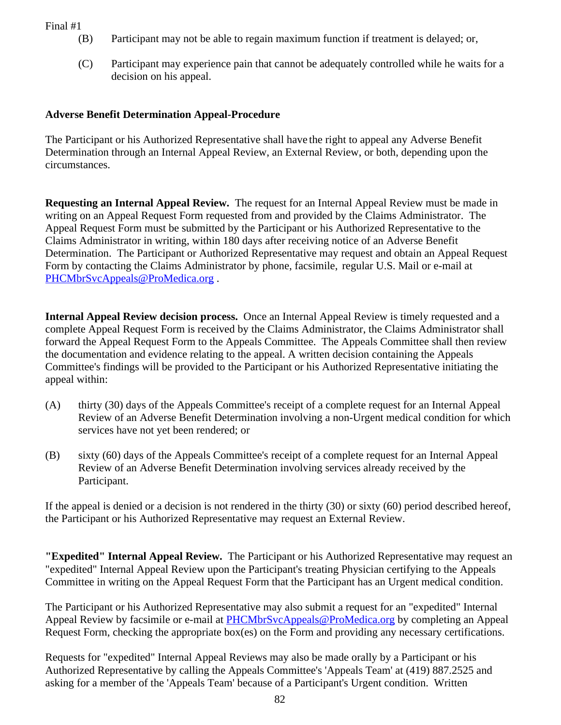- (B) Participant may not be able to regain maximum function if treatment is delayed; or,
- (C) Participant may experience pain that cannot be adequately controlled while he waits for a decision on his appeal.

## **Adverse Benefit Determination Appeal-Procedure**

The Participant or his Authorized Representative shall have the right to appeal any Adverse Benefit Determination through an Internal Appeal Review, an External Review, or both, depending upon the circumstances.

**Requesting an Internal Appeal Review.** The request for an Internal Appeal Review must be made in writing on an Appeal Request Form requested from and provided by the Claims Administrator. The Appeal Request Form must be submitted by the Participant or his Authorized Representative to the Claims Administrator in writing, within 180 days after receiving notice of an Adverse Benefit Determination. The Participant or Authorized Representative may request and obtain an Appeal Request Form by contacting the Claims Administrator by phone, facsimile, regular U.S. Mail or e-mail at [PHCMbrSvcAppeals@ProMedica.org](mailto:PHCMbrSvcAppeals@ProMedica.org) .

**Internal Appeal Review decision process.** Once an Internal Appeal Review is timely requested and a complete Appeal Request Form is received by the Claims Administrator, the Claims Administrator shall forward the Appeal Request Form to the Appeals Committee. The Appeals Committee shall then review the documentation and evidence relating to the appeal. A written decision containing the Appeals Committee's findings will be provided to the Participant or his Authorized Representative initiating the appeal within:

- (A) thirty (30) days of the Appeals Committee's receipt of a complete request for an Internal Appeal Review of an Adverse Benefit Determination involving a non-Urgent medical condition for which services have not yet been rendered; or
- (B) sixty (60) days of the Appeals Committee's receipt of a complete request for an Internal Appeal Review of an Adverse Benefit Determination involving services already received by the Participant.

If the appeal is denied or a decision is not rendered in the thirty (30) or sixty (60) period described hereof, the Participant or his Authorized Representative may request an External Review.

**"Expedited" Internal Appeal Review.** The Participant or his Authorized Representative may request an "expedited" Internal Appeal Review upon the Participant's treating Physician certifying to the Appeals Committee in writing on the Appeal Request Form that the Participant has an Urgent medical condition.

The Participant or his Authorized Representative may also submit a request for an "expedited" Internal Appeal Review by facsimile or e-mail at [PHCMbrSvcAppeals@ProMedica.org](mailto:PHCMbrSvcAppeals@ProMedica.org) by completing an Appeal Request Form, checking the appropriate box(es) on the Form and providing any necessary certifications.

Requests for "expedited" Internal Appeal Reviews may also be made orally by a Participant or his Authorized Representative by calling the Appeals Committee's 'Appeals Team' at (419) 887.2525 and asking for a member of the 'Appeals Team' because of a Participant's Urgent condition. Written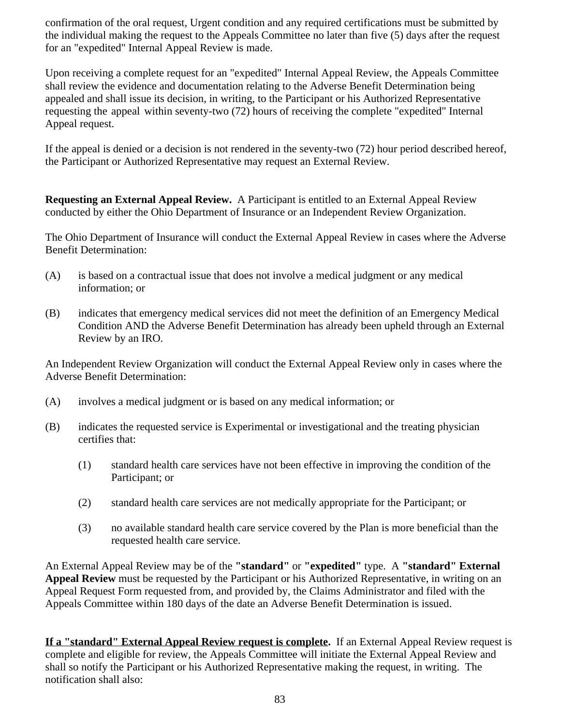confirmation of the oral request, Urgent condition and any required certifications must be submitted by the individual making the request to the Appeals Committee no later than five (5) days after the request for an "expedited" Internal Appeal Review is made.

Upon receiving a complete request for an "expedited" Internal Appeal Review, the Appeals Committee shall review the evidence and documentation relating to the Adverse Benefit Determination being appealed and shall issue its decision, in writing, to the Participant or his Authorized Representative requesting the appeal within seventy-two (72) hours of receiving the complete "expedited" Internal Appeal request.

If the appeal is denied or a decision is not rendered in the seventy-two (72) hour period described hereof, the Participant or Authorized Representative may request an External Review.

**Requesting an External Appeal Review.** A Participant is entitled to an External Appeal Review conducted by either the Ohio Department of Insurance or an Independent Review Organization.

The Ohio Department of Insurance will conduct the External Appeal Review in cases where the Adverse Benefit Determination:

- (A) is based on a contractual issue that does not involve a medical judgment or any medical information; or
- (B) indicates that emergency medical services did not meet the definition of an Emergency Medical Condition AND the Adverse Benefit Determination has already been upheld through an External Review by an IRO.

An Independent Review Organization will conduct the External Appeal Review only in cases where the Adverse Benefit Determination:

- (A) involves a medical judgment or is based on any medical information; or
- (B) indicates the requested service is Experimental or investigational and the treating physician certifies that:
	- (1) standard health care services have not been effective in improving the condition of the Participant; or
	- (2) standard health care services are not medically appropriate for the Participant; or
	- (3) no available standard health care service covered by the Plan is more beneficial than the requested health care service.

An External Appeal Review may be of the **"standard"** or **"expedited"** type. A **"standard" External Appeal Review** must be requested by the Participant or his Authorized Representative, in writing on an Appeal Request Form requested from, and provided by, the Claims Administrator and filed with the Appeals Committee within 180 days of the date an Adverse Benefit Determination is issued.

**If a "standard" External Appeal Review request is complete.** If an External Appeal Review request is complete and eligible for review, the Appeals Committee will initiate the External Appeal Review and shall so notify the Participant or his Authorized Representative making the request, in writing. The notification shall also: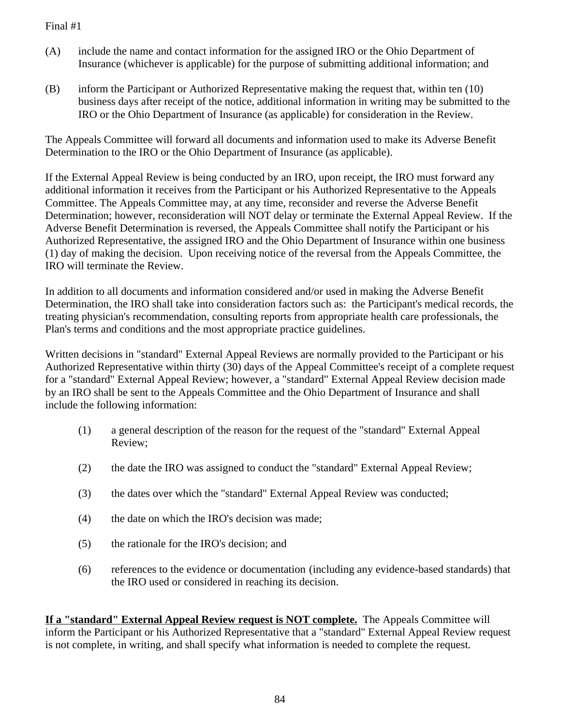- (A) include the name and contact information for the assigned IRO or the Ohio Department of Insurance (whichever is applicable) for the purpose of submitting additional information; and
- (B) inform the Participant or Authorized Representative making the request that, within ten (10) business days after receipt of the notice, additional information in writing may be submitted to the IRO or the Ohio Department of Insurance (as applicable) for consideration in the Review.

The Appeals Committee will forward all documents and information used to make its Adverse Benefit Determination to the IRO or the Ohio Department of Insurance (as applicable).

If the External Appeal Review is being conducted by an IRO, upon receipt, the IRO must forward any additional information it receives from the Participant or his Authorized Representative to the Appeals Committee. The Appeals Committee may, at any time, reconsider and reverse the Adverse Benefit Determination; however, reconsideration will NOT delay or terminate the External Appeal Review. If the Adverse Benefit Determination is reversed, the Appeals Committee shall notify the Participant or his Authorized Representative, the assigned IRO and the Ohio Department of Insurance within one business (1) day of making the decision. Upon receiving notice of the reversal from the Appeals Committee, the IRO will terminate the Review.

In addition to all documents and information considered and/or used in making the Adverse Benefit Determination, the IRO shall take into consideration factors such as: the Participant's medical records, the treating physician's recommendation, consulting reports from appropriate health care professionals, the Plan's terms and conditions and the most appropriate practice guidelines.

Written decisions in "standard" External Appeal Reviews are normally provided to the Participant or his Authorized Representative within thirty (30) days of the Appeal Committee's receipt of a complete request for a "standard" External Appeal Review; however, a "standard" External Appeal Review decision made by an IRO shall be sent to the Appeals Committee and the Ohio Department of Insurance and shall include the following information:

- (1) a general description of the reason for the request of the "standard" External Appeal Review;
- (2) the date the IRO was assigned to conduct the "standard" External Appeal Review;
- (3) the dates over which the "standard" External Appeal Review was conducted;
- (4) the date on which the IRO's decision was made;
- (5) the rationale for the IRO's decision; and
- (6) references to the evidence or documentation (including any evidence-based standards) that the IRO used or considered in reaching its decision.

**If a "standard" External Appeal Review request is NOT complete.** The Appeals Committee will inform the Participant or his Authorized Representative that a "standard" External Appeal Review request is not complete, in writing, and shall specify what information is needed to complete the request.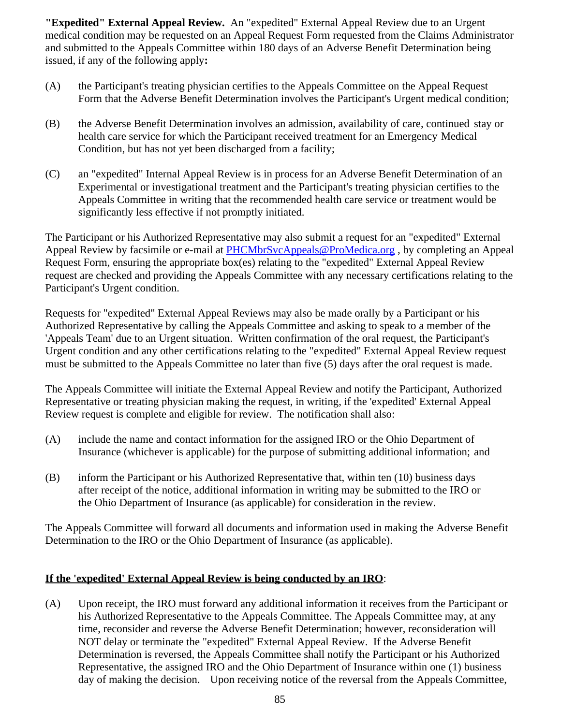**"Expedited" External Appeal Review.** An "expedited" External Appeal Review due to an Urgent medical condition may be requested on an Appeal Request Form requested from the Claims Administrator and submitted to the Appeals Committee within 180 days of an Adverse Benefit Determination being issued, if any of the following apply**:**

- (A) the Participant's treating physician certifies to the Appeals Committee on the Appeal Request Form that the Adverse Benefit Determination involves the Participant's Urgent medical condition;
- (B) the Adverse Benefit Determination involves an admission, availability of care, continued stay or health care service for which the Participant received treatment for an Emergency Medical Condition, but has not yet been discharged from a facility;
- (C) an "expedited" Internal Appeal Review is in process for an Adverse Benefit Determination of an Experimental or investigational treatment and the Participant's treating physician certifies to the Appeals Committee in writing that the recommended health care service or treatment would be significantly less effective if not promptly initiated.

The Participant or his Authorized Representative may also submit a request for an "expedited" External Appeal Review by facsimile or e-mail at [PHCMbrSvcAppeals@ProMedica.org](mailto:PHCMbrSvcAppeals@ProMedica.org), by completing an Appeal Request Form, ensuring the appropriate box(es) relating to the "expedited" External Appeal Review request are checked and providing the Appeals Committee with any necessary certifications relating to the Participant's Urgent condition.

Requests for "expedited" External Appeal Reviews may also be made orally by a Participant or his Authorized Representative by calling the Appeals Committee and asking to speak to a member of the 'Appeals Team' due to an Urgent situation. Written confirmation of the oral request, the Participant's Urgent condition and any other certifications relating to the "expedited" External Appeal Review request must be submitted to the Appeals Committee no later than five (5) days after the oral request is made.

The Appeals Committee will initiate the External Appeal Review and notify the Participant, Authorized Representative or treating physician making the request, in writing, if the 'expedited' External Appeal Review request is complete and eligible for review. The notification shall also:

- (A) include the name and contact information for the assigned IRO or the Ohio Department of Insurance (whichever is applicable) for the purpose of submitting additional information; and
- (B) inform the Participant or his Authorized Representative that, within ten (10) business days after receipt of the notice, additional information in writing may be submitted to the IRO or the Ohio Department of Insurance (as applicable) for consideration in the review.

The Appeals Committee will forward all documents and information used in making the Adverse Benefit Determination to the IRO or the Ohio Department of Insurance (as applicable).

### **If the 'expedited' External Appeal Review is being conducted by an IRO**:

(A) Upon receipt, the IRO must forward any additional information it receives from the Participant or his Authorized Representative to the Appeals Committee. The Appeals Committee may, at any time, reconsider and reverse the Adverse Benefit Determination; however, reconsideration will NOT delay or terminate the "expedited" External Appeal Review. If the Adverse Benefit Determination is reversed, the Appeals Committee shall notify the Participant or his Authorized Representative, the assigned IRO and the Ohio Department of Insurance within one (1) business day of making the decision. Upon receiving notice of the reversal from the Appeals Committee,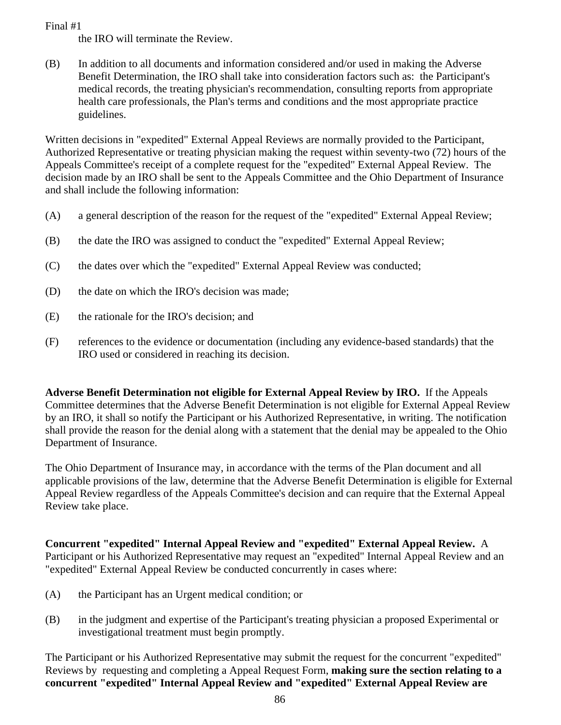the IRO will terminate the Review.

(B) In addition to all documents and information considered and/or used in making the Adverse Benefit Determination, the IRO shall take into consideration factors such as: the Participant's medical records, the treating physician's recommendation, consulting reports from appropriate health care professionals, the Plan's terms and conditions and the most appropriate practice guidelines.

Written decisions in "expedited" External Appeal Reviews are normally provided to the Participant, Authorized Representative or treating physician making the request within seventy-two (72) hours of the Appeals Committee's receipt of a complete request for the "expedited" External Appeal Review. The decision made by an IRO shall be sent to the Appeals Committee and the Ohio Department of Insurance and shall include the following information:

- (A) a general description of the reason for the request of the "expedited" External Appeal Review;
- (B) the date the IRO was assigned to conduct the "expedited" External Appeal Review;
- (C) the dates over which the "expedited" External Appeal Review was conducted;
- (D) the date on which the IRO's decision was made;
- (E) the rationale for the IRO's decision; and
- (F) references to the evidence or documentation (including any evidence-based standards) that the IRO used or considered in reaching its decision.

**Adverse Benefit Determination not eligible for External Appeal Review by IRO.** If the Appeals Committee determines that the Adverse Benefit Determination is not eligible for External Appeal Review by an IRO, it shall so notify the Participant or his Authorized Representative, in writing. The notification shall provide the reason for the denial along with a statement that the denial may be appealed to the Ohio Department of Insurance.

The Ohio Department of Insurance may, in accordance with the terms of the Plan document and all applicable provisions of the law, determine that the Adverse Benefit Determination is eligible for External Appeal Review regardless of the Appeals Committee's decision and can require that the External Appeal Review take place.

**Concurrent "expedited" Internal Appeal Review and "expedited" External Appeal Review.** A Participant or his Authorized Representative may request an "expedited" Internal Appeal Review and an "expedited" External Appeal Review be conducted concurrently in cases where:

- (A) the Participant has an Urgent medical condition; or
- (B) in the judgment and expertise of the Participant's treating physician a proposed Experimental or investigational treatment must begin promptly.

The Participant or his Authorized Representative may submit the request for the concurrent "expedited" Reviews by requesting and completing a Appeal Request Form, **making sure the section relating to a concurrent "expedited" Internal Appeal Review and "expedited" External Appeal Review are**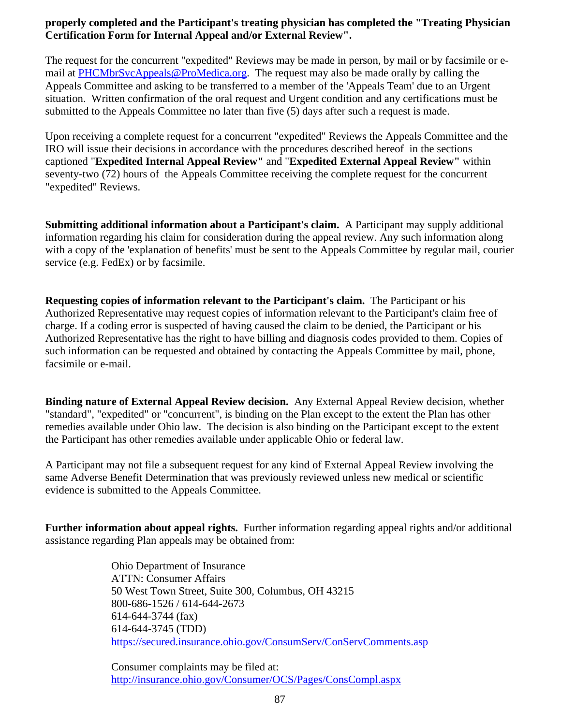## **properly completed and the Participant's treating physician has completed the "Treating Physician Certification Form for Internal Appeal and/or External Review".**

The request for the concurrent "expedited" Reviews may be made in person, by mail or by facsimile or email at [PHCMbrSvcAppeals@ProMedica.org.](mailto:PHCMbrSvcAppeals@ProMedica.org) The request may also be made orally by calling the Appeals Committee and asking to be transferred to a member of the 'Appeals Team' due to an Urgent situation. Written confirmation of the oral request and Urgent condition and any certifications must be submitted to the Appeals Committee no later than five (5) days after such a request is made.

Upon receiving a complete request for a concurrent "expedited" Reviews the Appeals Committee and the IRO will issue their decisions in accordance with the procedures described hereof in the sections captioned "**Expedited Internal Appeal Review"** and "**Expedited External Appeal Review"** within seventy-two (72) hours of the Appeals Committee receiving the complete request for the concurrent "expedited" Reviews.

**Submitting additional information about a Participant's claim.** A Participant may supply additional information regarding his claim for consideration during the appeal review. Any such information along with a copy of the 'explanation of benefits' must be sent to the Appeals Committee by regular mail, courier service (e.g. FedEx) or by facsimile.

**Requesting copies of information relevant to the Participant's claim.** The Participant or his Authorized Representative may request copies of information relevant to the Participant's claim free of charge. If a coding error is suspected of having caused the claim to be denied, the Participant or his Authorized Representative has the right to have billing and diagnosis codes provided to them. Copies of such information can be requested and obtained by contacting the Appeals Committee by mail, phone, facsimile or e-mail.

**Binding nature of External Appeal Review decision.** Any External Appeal Review decision, whether "standard", "expedited" or "concurrent", is binding on the Plan except to the extent the Plan has other remedies available under Ohio law. The decision is also binding on the Participant except to the extent the Participant has other remedies available under applicable Ohio or federal law.

A Participant may not file a subsequent request for any kind of External Appeal Review involving the same Adverse Benefit Determination that was previously reviewed unless new medical or scientific evidence is submitted to the Appeals Committee.

**Further information about appeal rights.** Further information regarding appeal rights and/or additional assistance regarding Plan appeals may be obtained from:

> Ohio Department of Insurance ATTN: Consumer Affairs 50 West Town Street, Suite 300, Columbus, OH 43215 800-686-1526 / 614-644-2673 614-644-3744 (fax) 614-644-3745 (TDD) <https://secured.insurance.ohio.gov/ConsumServ/ConServComments.asp>

Consumer complaints may be filed at: <http://insurance.ohio.gov/Consumer/OCS/Pages/ConsCompl.aspx>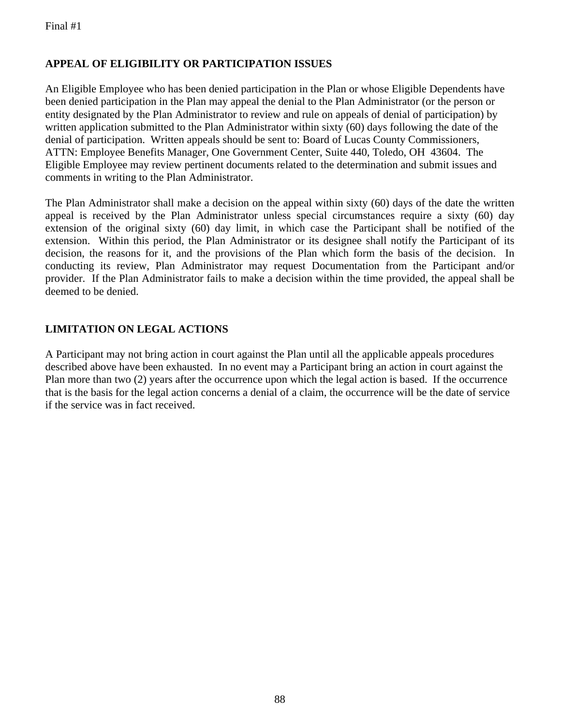## **APPEAL OF ELIGIBILITY OR PARTICIPATION ISSUES**

An Eligible Employee who has been denied participation in the Plan or whose Eligible Dependents have been denied participation in the Plan may appeal the denial to the Plan Administrator (or the person or entity designated by the Plan Administrator to review and rule on appeals of denial of participation) by written application submitted to the Plan Administrator within sixty (60) days following the date of the denial of participation. Written appeals should be sent to: Board of Lucas County Commissioners, ATTN: Employee Benefits Manager, One Government Center, Suite 440, Toledo, OH 43604. The Eligible Employee may review pertinent documents related to the determination and submit issues and comments in writing to the Plan Administrator.

The Plan Administrator shall make a decision on the appeal within sixty (60) days of the date the written appeal is received by the Plan Administrator unless special circumstances require a sixty (60) day extension of the original sixty (60) day limit, in which case the Participant shall be notified of the extension. Within this period, the Plan Administrator or its designee shall notify the Participant of its decision, the reasons for it, and the provisions of the Plan which form the basis of the decision. In conducting its review, Plan Administrator may request Documentation from the Participant and/or provider. If the Plan Administrator fails to make a decision within the time provided, the appeal shall be deemed to be denied.

## **LIMITATION ON LEGAL ACTIONS**

A Participant may not bring action in court against the Plan until all the applicable appeals procedures described above have been exhausted. In no event may a Participant bring an action in court against the Plan more than two (2) years after the occurrence upon which the legal action is based. If the occurrence that is the basis for the legal action concerns a denial of a claim, the occurrence will be the date of service if the service was in fact received.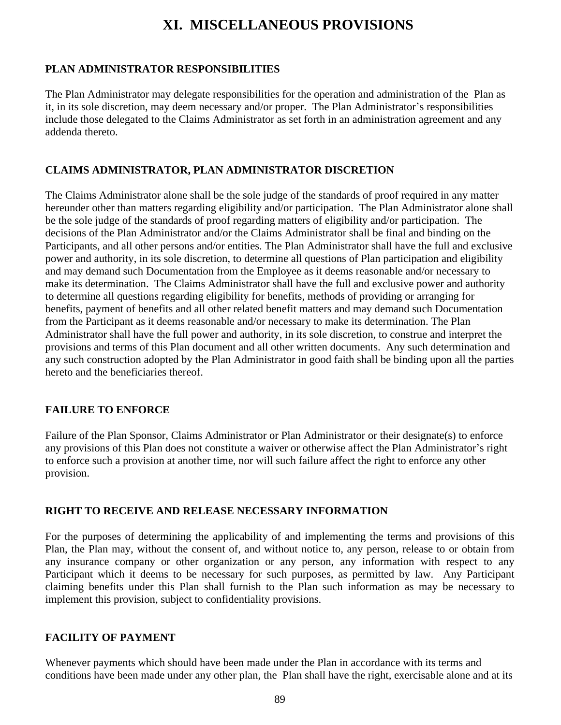# **XI. MISCELLANEOUS PROVISIONS**

### **PLAN ADMINISTRATOR RESPONSIBILITIES**

The Plan Administrator may delegate responsibilities for the operation and administration of the Plan as it, in its sole discretion, may deem necessary and/or proper. The Plan Administrator's responsibilities include those delegated to the Claims Administrator as set forth in an administration agreement and any addenda thereto.

## **CLAIMS ADMINISTRATOR, PLAN ADMINISTRATOR DISCRETION**

The Claims Administrator alone shall be the sole judge of the standards of proof required in any matter hereunder other than matters regarding eligibility and/or participation. The Plan Administrator alone shall be the sole judge of the standards of proof regarding matters of eligibility and/or participation. The decisions of the Plan Administrator and/or the Claims Administrator shall be final and binding on the Participants, and all other persons and/or entities. The Plan Administrator shall have the full and exclusive power and authority, in its sole discretion, to determine all questions of Plan participation and eligibility and may demand such Documentation from the Employee as it deems reasonable and/or necessary to make its determination. The Claims Administrator shall have the full and exclusive power and authority to determine all questions regarding eligibility for benefits, methods of providing or arranging for benefits, payment of benefits and all other related benefit matters and may demand such Documentation from the Participant as it deems reasonable and/or necessary to make its determination. The Plan Administrator shall have the full power and authority, in its sole discretion, to construe and interpret the provisions and terms of this Plan document and all other written documents. Any such determination and any such construction adopted by the Plan Administrator in good faith shall be binding upon all the parties hereto and the beneficiaries thereof.

### **FAILURE TO ENFORCE**

Failure of the Plan Sponsor, Claims Administrator or Plan Administrator or their designate(s) to enforce any provisions of this Plan does not constitute a waiver or otherwise affect the Plan Administrator's right to enforce such a provision at another time, nor will such failure affect the right to enforce any other provision.

### **RIGHT TO RECEIVE AND RELEASE NECESSARY INFORMATION**

For the purposes of determining the applicability of and implementing the terms and provisions of this Plan, the Plan may, without the consent of, and without notice to, any person, release to or obtain from any insurance company or other organization or any person, any information with respect to any Participant which it deems to be necessary for such purposes, as permitted by law. Any Participant claiming benefits under this Plan shall furnish to the Plan such information as may be necessary to implement this provision, subject to confidentiality provisions.

### **FACILITY OF PAYMENT**

Whenever payments which should have been made under the Plan in accordance with its terms and conditions have been made under any other plan, the Plan shall have the right, exercisable alone and at its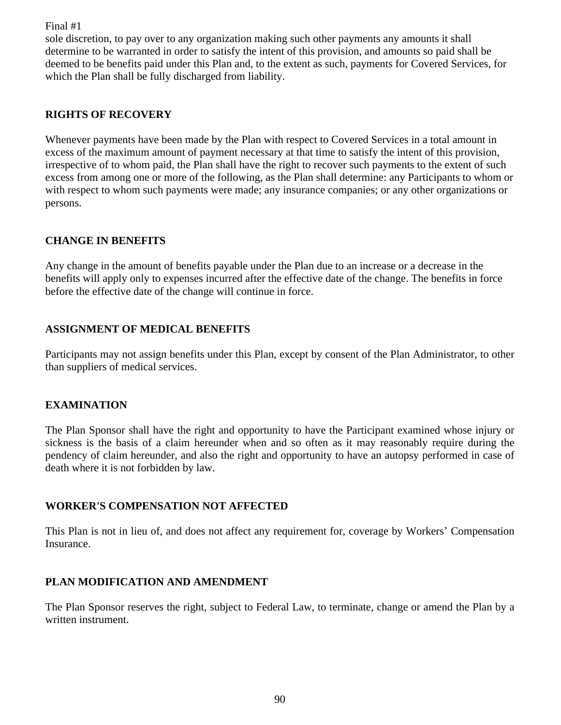sole discretion, to pay over to any organization making such other payments any amounts it shall determine to be warranted in order to satisfy the intent of this provision, and amounts so paid shall be deemed to be benefits paid under this Plan and, to the extent as such, payments for Covered Services, for which the Plan shall be fully discharged from liability.

## **RIGHTS OF RECOVERY**

Whenever payments have been made by the Plan with respect to Covered Services in a total amount in excess of the maximum amount of payment necessary at that time to satisfy the intent of this provision, irrespective of to whom paid, the Plan shall have the right to recover such payments to the extent of such excess from among one or more of the following, as the Plan shall determine: any Participants to whom or with respect to whom such payments were made; any insurance companies; or any other organizations or persons.

### **CHANGE IN BENEFITS**

Any change in the amount of benefits payable under the Plan due to an increase or a decrease in the benefits will apply only to expenses incurred after the effective date of the change. The benefits in force before the effective date of the change will continue in force.

### **ASSIGNMENT OF MEDICAL BENEFITS**

Participants may not assign benefits under this Plan, except by consent of the Plan Administrator, to other than suppliers of medical services.

### **EXAMINATION**

The Plan Sponsor shall have the right and opportunity to have the Participant examined whose injury or sickness is the basis of a claim hereunder when and so often as it may reasonably require during the pendency of claim hereunder, and also the right and opportunity to have an autopsy performed in case of death where it is not forbidden by law.

### **WORKER'S COMPENSATION NOT AFFECTED**

This Plan is not in lieu of, and does not affect any requirement for, coverage by Workers' Compensation Insurance.

### **PLAN MODIFICATION AND AMENDMENT**

The Plan Sponsor reserves the right, subject to Federal Law, to terminate, change or amend the Plan by a written instrument.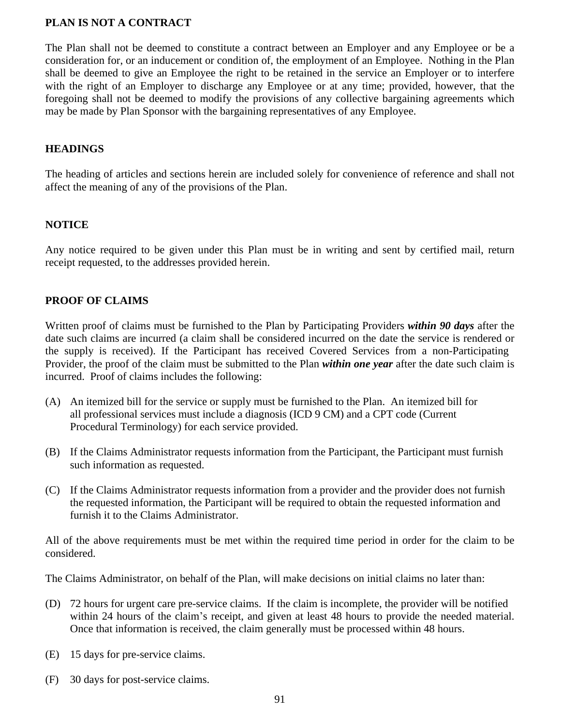#### **PLAN IS NOT A CONTRACT**

The Plan shall not be deemed to constitute a contract between an Employer and any Employee or be a consideration for, or an inducement or condition of, the employment of an Employee. Nothing in the Plan shall be deemed to give an Employee the right to be retained in the service an Employer or to interfere with the right of an Employer to discharge any Employee or at any time; provided, however, that the foregoing shall not be deemed to modify the provisions of any collective bargaining agreements which may be made by Plan Sponsor with the bargaining representatives of any Employee.

#### **HEADINGS**

The heading of articles and sections herein are included solely for convenience of reference and shall not affect the meaning of any of the provisions of the Plan.

#### **NOTICE**

Any notice required to be given under this Plan must be in writing and sent by certified mail, return receipt requested, to the addresses provided herein.

#### **PROOF OF CLAIMS**

Written proof of claims must be furnished to the Plan by Participating Providers *within 90 days* after the date such claims are incurred (a claim shall be considered incurred on the date the service is rendered or the supply is received). If the Participant has received Covered Services from a non-Participating Provider, the proof of the claim must be submitted to the Plan *within one year* after the date such claim is incurred. Proof of claims includes the following:

- (A) An itemized bill for the service or supply must be furnished to the Plan. An itemized bill for all professional services must include a diagnosis (ICD 9 CM) and a CPT code (Current Procedural Terminology) for each service provided.
- (B) If the Claims Administrator requests information from the Participant, the Participant must furnish such information as requested.
- (C) If the Claims Administrator requests information from a provider and the provider does not furnish the requested information, the Participant will be required to obtain the requested information and furnish it to the Claims Administrator.

All of the above requirements must be met within the required time period in order for the claim to be considered.

The Claims Administrator, on behalf of the Plan, will make decisions on initial claims no later than:

- (D) 72 hours for urgent care pre-service claims. If the claim is incomplete, the provider will be notified within 24 hours of the claim's receipt, and given at least 48 hours to provide the needed material. Once that information is received, the claim generally must be processed within 48 hours.
- (E) 15 days for pre-service claims.
- (F) 30 days for post-service claims.